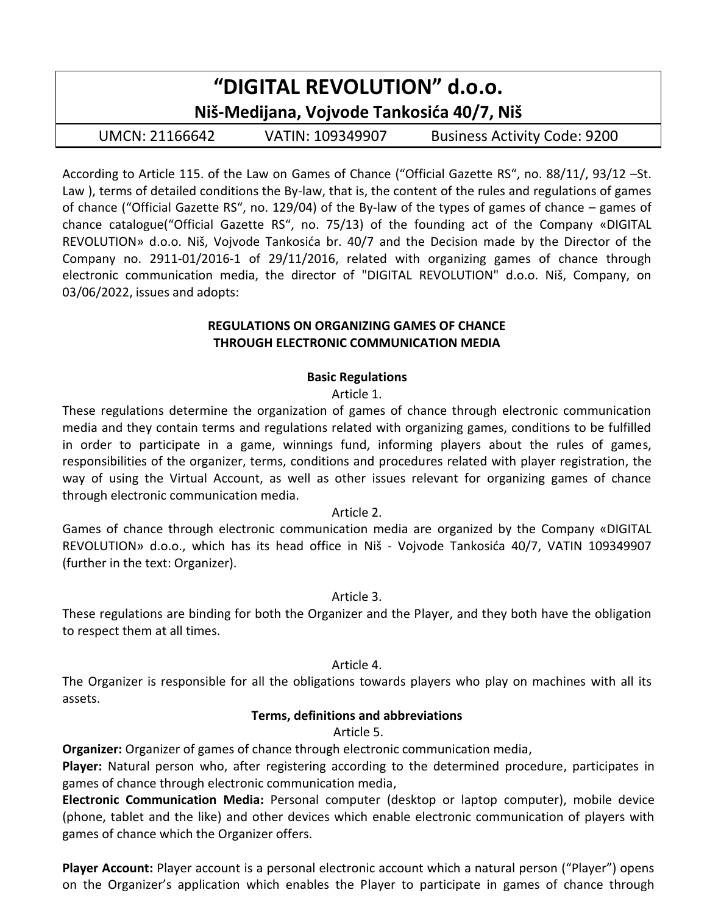| "DIGITAL REVOLUTION" d.o.o.               |                  |                                     |  |  |  |  |  |  |
|-------------------------------------------|------------------|-------------------------------------|--|--|--|--|--|--|
| Niš-Medijana, Vojvode Tankosića 40/7, Niš |                  |                                     |  |  |  |  |  |  |
| UMCN: 21166642                            | VATIN: 109349907 | <b>Business Activity Code: 9200</b> |  |  |  |  |  |  |
|                                           |                  |                                     |  |  |  |  |  |  |

According to Article 115. of the Law on Games of Chance ("Official Gazette RS", no. 88/11/, 93/12 –St. Law ), terms of detailed conditions the By-law, that is, the content of the rules and regulations of games of chance ("Official Gazette RS", no. 129/04) of the By-law of the types of games of chance – games of chance catalogue("Official Gazette RS", no. 75/13) of the founding act of the Company «DIGITAL REVOLUTION» d.o.o. Niš, Vojvode Tankosića br. 40/7 and the Decision made by the Director of the Company no. 2911-01/2016-1 of 29/11/2016, related with organizing games of chance through electronic communication media, the director of "DIGITAL REVOLUTION" d.o.o. Niš, Company, on 03/06/2022, issues and adopts:

#### **REGULATIONS ON ORGANIZING GAMES OF CHANCE THROUGH ELECTRONIC COMMUNICATION MEDIA**

## **Basic Regulations**

Article 1.

These regulations determine the organization of games of chance through electronic communication media and they contain terms and regulations related with organizing games, conditions to be fulfilled in order to participate in a game, winnings fund, informing players about the rules of games, responsibilities of the organizer, terms, conditions and procedures related with player registration, the way of using the Virtual Account, as well as other issues relevant for organizing games of chance through electronic communication media.

## Article 2.

Games of chance through electronic communication media are organized by the Company «DIGITAL REVOLUTION» d.o.o., which has its head office in Niš - Vojvode Tankosića 40/7, VATIN 109349907 (further in the text: Organizer).

## Article 3.

These regulations are binding for both the Organizer and the Player, and they both have the obligation to respect them at all times.

## Article 4.

The Organizer is responsible for all the obligations towards players who play on machines with all its assets.

## **Terms, definitions and abbreviations**

Article 5.

**Organizer:** Organizer of games of chance through electronic communication media,

**Player:** Natural person who, after registering according to the determined procedure, participates in games of chance through electronic communication media,

**Electronic Communication Media:** Personal computer (desktop or laptop computer), mobile device (phone, tablet and the like) and other devices which enable electronic communication of players with games of chance which the Organizer offers.

**Player Account:** Player account is a personal electronic account which a natural person ("Player") opens on the Organizer's application which enables the Player to participate in games of chance through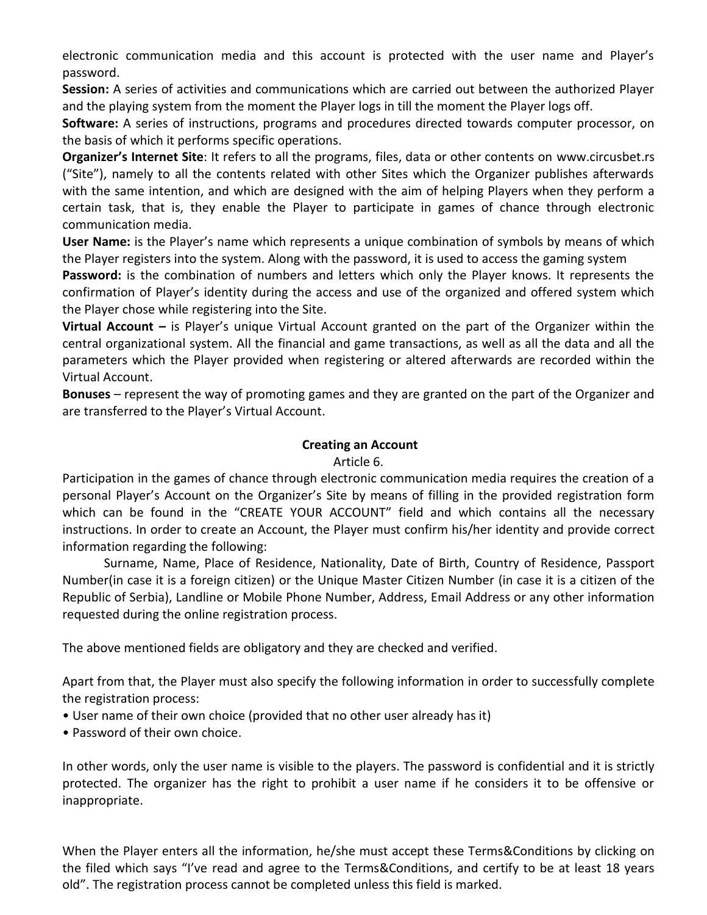electronic communication media and this account is protected with the user name and Player's password.

**Session:** A series of activities and communications which are carried out between the authorized Player and the playing system from the moment the Player logs in till the moment the Player logs off.

**Software:** A series of instructions, programs and procedures directed towards computer processor, on the basis of which it performs specific operations.

**Organizer's Internet Site**: It refers to all the programs, files, data or other contents on www.circusbet.rs ("Site"), namely to all the contents related with other Sites which the Organizer publishes afterwards with the same intention, and which are designed with the aim of helping Players when they perform a certain task, that is, they enable the Player to participate in games of chance through electronic communication media.

**User Name:** is the Player's name which represents a unique combination of symbols by means of which the Player registers into the system. Along with the password, it is used to access the gaming system

**Password:** is the combination of numbers and letters which only the Player knows. It represents the confirmation of Player's identity during the access and use of the organized and offered system which the Player chose while registering into the Site.

**Virtual Account –** is Player's unique Virtual Account granted on the part of the Organizer within the central organizational system. All the financial and game transactions, as well as all the data and all the parameters which the Player provided when registering or altered afterwards are recorded within the Virtual Account.

**Bonuses** – represent the way of promoting games and they are granted on the part of the Organizer and are transferred to the Player's Virtual Account.

#### **Creating an Account**

#### Article 6.

Participation in the games of chance through electronic communication media requires the creation of a personal Player's Account on the Organizer's Site by means of filling in the provided registration form which can be found in the "CREATE YOUR ACCOUNT" field and which contains all the necessary instructions. In order to create an Account, the Player must confirm his/her identity and provide correct information regarding the following:

Surname, Name, Place of Residence, Nationality, Date of Birth, Country of Residence, Passport Number(in case it is a foreign citizen) or the Unique Master Citizen Number (in case it is a citizen of the Republic of Serbia), Landline or Mobile Phone Number, Address, Email Address or any other information requested during the online registration process.

The above mentioned fields are obligatory and they are checked and verified.

Apart from that, the Player must also specify the following information in order to successfully complete the registration process:

- User name of their own choice (provided that no other user already has it)
- Password of their own choice.

In other words, only the user name is visible to the players. The password is confidential and it is strictly protected. The organizer has the right to prohibit a user name if he considers it to be offensive or inappropriate.

When the Player enters all the information, he/she must accept these Terms&Conditions by clicking on the filed which says "I've read and agree to the Terms&Conditions, and certify to be at least 18 years old". The registration process cannot be completed unless this field is marked.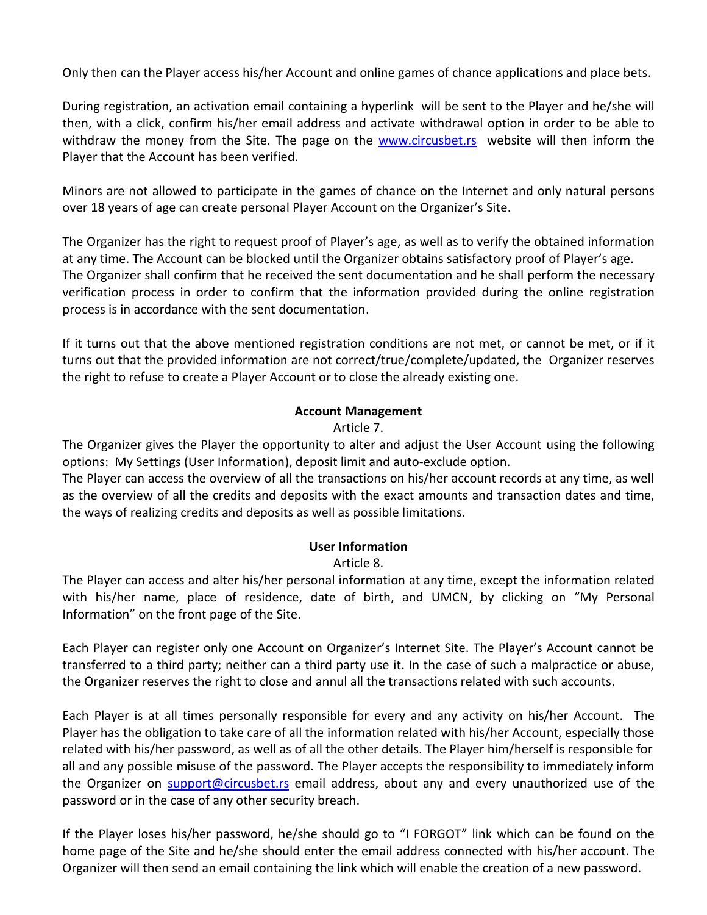Only then can the Player access his/her Account and online games of chance applications and place bets.

During registration, an activation email containing a hyperlink will be sent to the Player and he/she will then, with a click, confirm his/her email address and activate withdrawal option in order to be able to withdraw the money from the Site. The page on the [www.circusbet.rs](http://www.circuscasino.rs/) website will then inform the Player that the Account has been verified.

Minors are not allowed to participate in the games of chance on the Internet and only natural persons over 18 years of age can create personal Player Account on the Organizer's Site.

The Organizer has the right to request proof of Player's age, as well as to verify the obtained information at any time. The Account can be blocked until the Organizer obtains satisfactory proof of Player's age. The Organizer shall confirm that he received the sent documentation and he shall perform the necessary verification process in order to confirm that the information provided during the online registration process is in accordance with the sent documentation.

If it turns out that the above mentioned registration conditions are not met, or cannot be met, or if it turns out that the provided information are not correct/true/complete/updated, the Organizer reserves the right to refuse to create a Player Account or to close the already existing one.

#### **Account Management**

#### Article 7.

The Organizer gives the Player the opportunity to alter and adjust the User Account using the following options: My Settings (User Information), deposit limit and auto-exclude option.

The Player can access the overview of all the transactions on his/her account records at any time, as well as the overview of all the credits and deposits with the exact amounts and transaction dates and time, the ways of realizing credits and deposits as well as possible limitations.

#### **User Information**

#### Article 8.

The Player can access and alter his/her personal information at any time, except the information related with his/her name, place of residence, date of birth, and UMCN, by clicking on "My Personal Information" on the front page of the Site.

Each Player can register only one Account on Organizer's Internet Site. The Player's Account cannot be transferred to a third party; neither can a third party use it. In the case of such a malpractice or abuse, the Organizer reserves the right to close and annul all the transactions related with such accounts.

Each Player is at all times personally responsible for every and any activity on his/her Account. The Player has the obligation to take care of all the information related with his/her Account, especially those related with his/her password, as well as of all the other details. The Player him/herself is responsible for all and any possible misuse of the password. The Player accepts the responsibility to immediately inform the Organizer on **[support@circusbet.rs](mailto:support@circuscasino.rs)** email address, about any and every unauthorized use of the password or in the case of any other security breach.

If the Player loses his/her password, he/she should go to "I FORGOT" link which can be found on the home page of the Site and he/she should enter the email address connected with his/her account. The Organizer will then send an email containing the link which will enable the creation of a new password.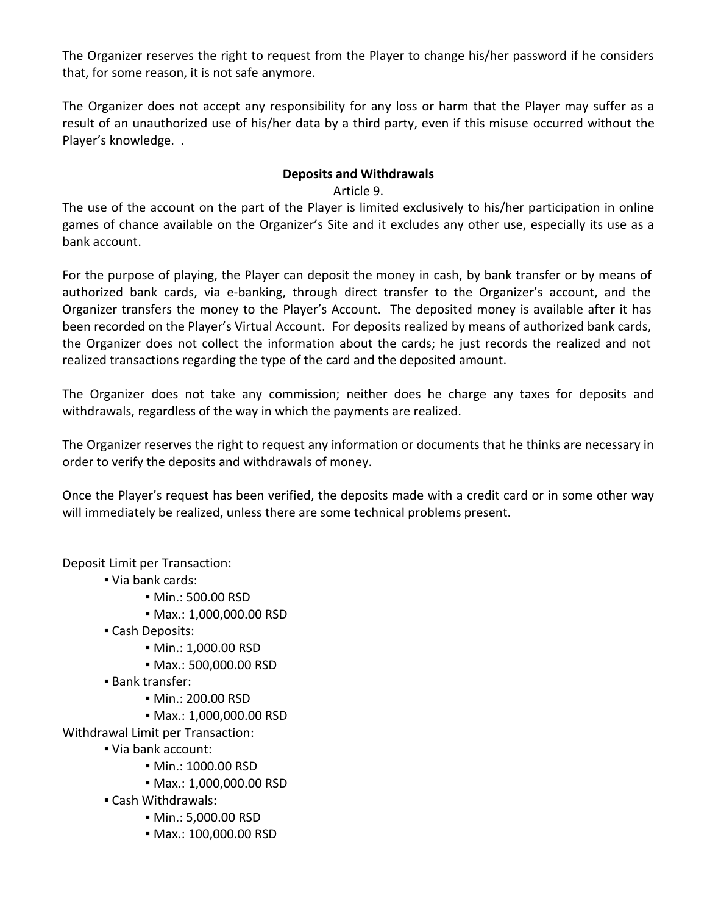The Organizer reserves the right to request from the Player to change his/her password if he considers that, for some reason, it is not safe anymore.

The Organizer does not accept any responsibility for any loss or harm that the Player may suffer as a result of an unauthorized use of his/her data by a third party, even if this misuse occurred without the Player's knowledge. .

#### **Deposits and Withdrawals**

Article 9.

The use of the account on the part of the Player is limited exclusively to his/her participation in online games of chance available on the Organizer's Site and it excludes any other use, especially its use as a bank account.

For the purpose of playing, the Player can deposit the money in cash, by bank transfer or by means of authorized bank cards, via e-banking, through direct transfer to the Organizer's account, and the Organizer transfers the money to the Player's Account. The deposited money is available after it has been recorded on the Player's Virtual Account. For deposits realized by means of authorized bank cards, the Organizer does not collect the information about the cards; he just records the realized and not realized transactions regarding the type of the card and the deposited amount.

The Organizer does not take any commission; neither does he charge any taxes for deposits and withdrawals, regardless of the way in which the payments are realized.

The Organizer reserves the right to request any information or documents that he thinks are necessary in order to verify the deposits and withdrawals of money.

Once the Player's request has been verified, the deposits made with a credit card or in some other way will immediately be realized, unless there are some technical problems present.

Deposit Limit per Transaction:

- Via bank cards:
	- Min.: 500.00 RSD
	- Max.: 1,000,000.00 RSD
- Cash Deposits:
	- Min.: 1,000.00 RSD
	- Max.: 500,000.00 RSD
- Bank transfer:
	- Min.: 200.00 RSD
	- Max.: 1,000,000.00 RSD

Withdrawal Limit per Transaction:

- Via bank account:
	- Min.: 1000.00 RSD
	- Max.: 1,000,000.00 RSD
- Cash Withdrawals:
	- Min.: 5,000.00 RSD
	- Max.: 100,000.00 RSD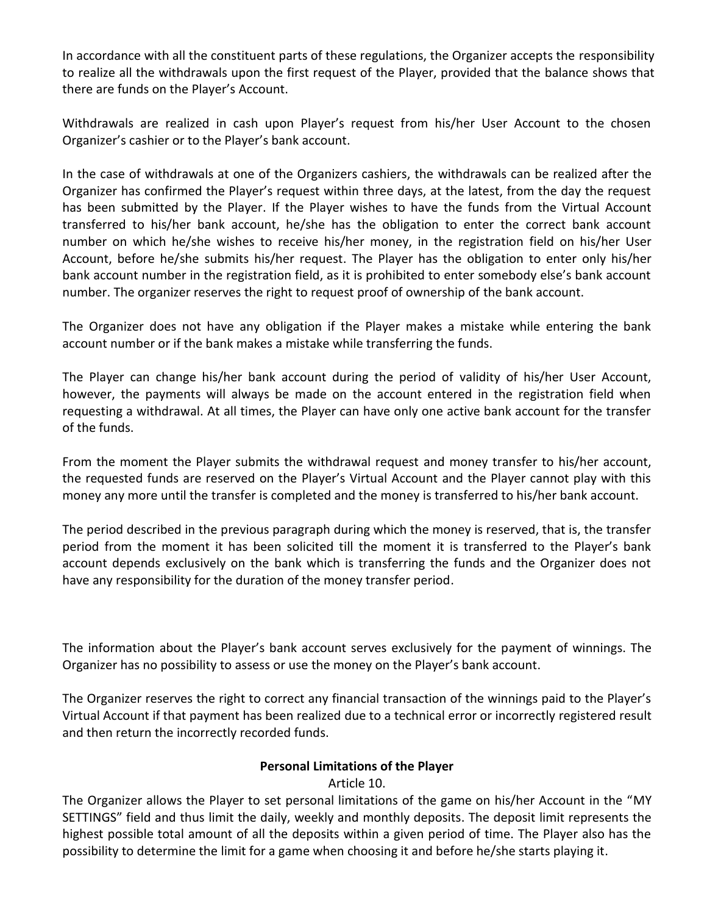In accordance with all the constituent parts of these regulations, the Organizer accepts the responsibility to realize all the withdrawals upon the first request of the Player, provided that the balance shows that there are funds on the Player's Account.

Withdrawals are realized in cash upon Player's request from his/her User Account to the chosen Organizer's cashier or to the Player's bank account.

In the case of withdrawals at one of the Organizers cashiers, the withdrawals can be realized after the Organizer has confirmed the Player's request within three days, at the latest, from the day the request has been submitted by the Player. If the Player wishes to have the funds from the Virtual Account transferred to his/her bank account, he/she has the obligation to enter the correct bank account number on which he/she wishes to receive his/her money, in the registration field on his/her User Account, before he/she submits his/her request. The Player has the obligation to enter only his/her bank account number in the registration field, as it is prohibited to enter somebody else's bank account number. The organizer reserves the right to request proof of ownership of the bank account.

The Organizer does not have any obligation if the Player makes a mistake while entering the bank account number or if the bank makes a mistake while transferring the funds.

The Player can change his/her bank account during the period of validity of his/her User Account, however, the payments will always be made on the account entered in the registration field when requesting a withdrawal. At all times, the Player can have only one active bank account for the transfer of the funds.

From the moment the Player submits the withdrawal request and money transfer to his/her account, the requested funds are reserved on the Player's Virtual Account and the Player cannot play with this money any more until the transfer is completed and the money is transferred to his/her bank account.

The period described in the previous paragraph during which the money is reserved, that is, the transfer period from the moment it has been solicited till the moment it is transferred to the Player's bank account depends exclusively on the bank which is transferring the funds and the Organizer does not have any responsibility for the duration of the money transfer period.

The information about the Player's bank account serves exclusively for the payment of winnings. The Organizer has no possibility to assess or use the money on the Player's bank account.

The Organizer reserves the right to correct any financial transaction of the winnings paid to the Player's Virtual Account if that payment has been realized due to a technical error or incorrectly registered result and then return the incorrectly recorded funds.

## **Personal Limitations of the Player**

## Article 10.

The Organizer allows the Player to set personal limitations of the game on his/her Account in the "MY SETTINGS" field and thus limit the daily, weekly and monthly deposits. The deposit limit represents the highest possible total amount of all the deposits within a given period of time. The Player also has the possibility to determine the limit for a game when choosing it and before he/she starts playing it.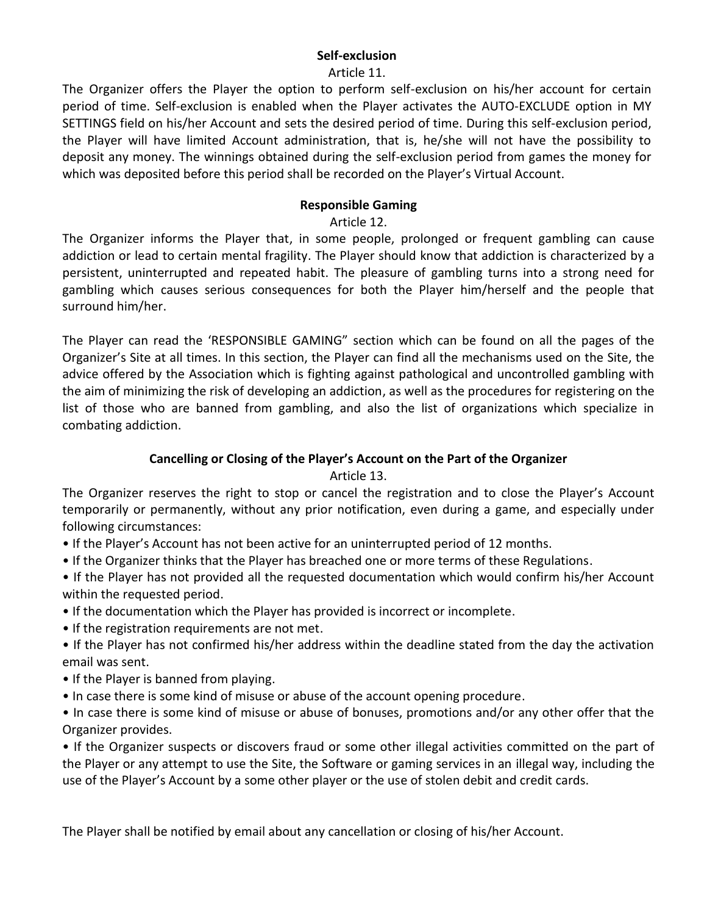#### **Self-exclusion**

#### Article 11.

The Organizer offers the Player the option to perform self-exclusion on his/her account for certain period of time. Self-exclusion is enabled when the Player activates the AUTO-EXCLUDE option in MY SETTINGS field on his/her Account and sets the desired period of time. During this self-exclusion period, the Player will have limited Account administration, that is, he/she will not have the possibility to deposit any money. The winnings obtained during the self-exclusion period from games the money for which was deposited before this period shall be recorded on the Player's Virtual Account.

#### **Responsible Gaming**

Article 12.

The Organizer informs the Player that, in some people, prolonged or frequent gambling can cause addiction or lead to certain mental fragility. The Player should know that addiction is characterized by a persistent, uninterrupted and repeated habit. The pleasure of gambling turns into a strong need for gambling which causes serious consequences for both the Player him/herself and the people that surround him/her.

The Player can read the 'RESPONSIBLE GAMING" section which can be found on all the pages of the Organizer's Site at all times. In this section, the Player can find all the mechanisms used on the Site, the advice offered by the Association which is fighting against pathological and uncontrolled gambling with the aim of minimizing the risk of developing an addiction, as well as the procedures for registering on the list of those who are banned from gambling, and also the list of organizations which specialize in combating addiction.

## **Cancelling or Closing of the Player's Account on the Part of the Organizer**

Article 13.

The Organizer reserves the right to stop or cancel the registration and to close the Player's Account temporarily or permanently, without any prior notification, even during a game, and especially under following circumstances:

- If the Player's Account has not been active for an uninterrupted period of 12 months.
- If the Organizer thinks that the Player has breached one or more terms of these Regulations.
- If the Player has not provided all the requested documentation which would confirm his/her Account within the requested period.
- If the documentation which the Player has provided is incorrect or incomplete.
- If the registration requirements are not met.
- If the Player has not confirmed his/her address within the deadline stated from the day the activation email was sent.
- If the Player is banned from playing.
- In case there is some kind of misuse or abuse of the account opening procedure.

• In case there is some kind of misuse or abuse of bonuses, promotions and/or any other offer that the Organizer provides.

• If the Organizer suspects or discovers fraud or some other illegal activities committed on the part of the Player or any attempt to use the Site, the Software or gaming services in an illegal way, including the use of the Player's Account by a some other player or the use of stolen debit and credit cards.

The Player shall be notified by email about any cancellation or closing of his/her Account.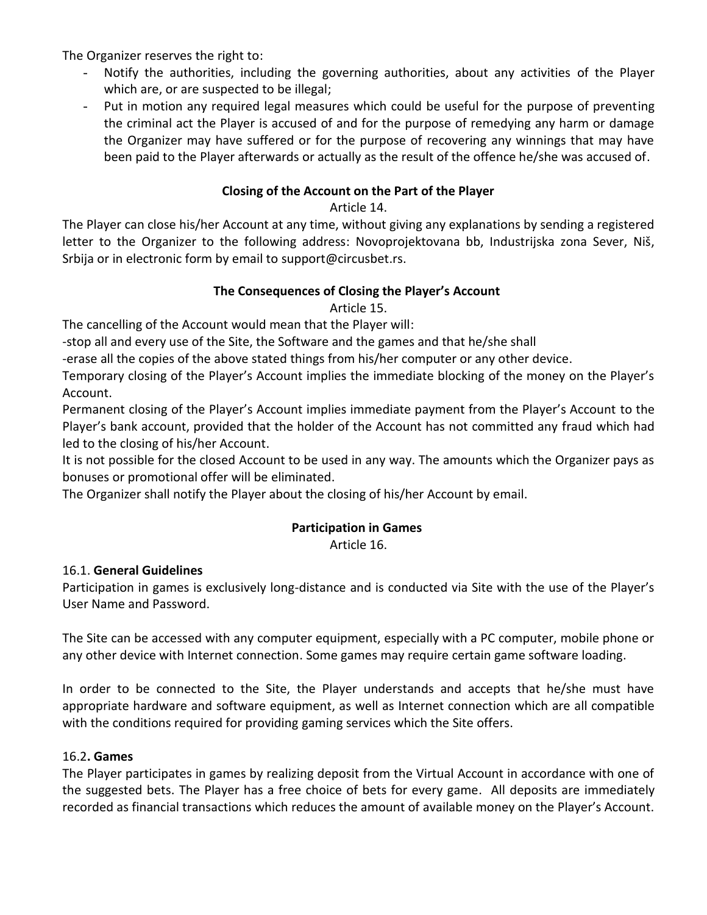The Organizer reserves the right to:

- Notify the authorities, including the governing authorities, about any activities of the Player which are, or are suspected to be illegal;
- Put in motion any required legal measures which could be useful for the purpose of preventing the criminal act the Player is accused of and for the purpose of remedying any harm or damage the Organizer may have suffered or for the purpose of recovering any winnings that may have been paid to the Player afterwards or actually as the result of the offence he/she was accused of.

#### **Closing of the Account on the Part of the Player**

Article 14.

The Player can close his/her Account at any time, without giving any explanations by sending a registered letter to the Organizer to the following address: Novoprojektovana bb, Industrijska zona Sever, Niš, Srbija or in electronic form by email to support@circusbet.rs.

#### **The Consequences of Closing the Player's Account**

Article 15.

The cancelling of the Account would mean that the Player will:

-stop all and every use of the Site, the Software and the games and that he/she shall

-erase all the copies of the above stated things from his/her computer or any other device.

Temporary closing of the Player's Account implies the immediate blocking of the money on the Player's Account.

Permanent closing of the Player's Account implies immediate payment from the Player's Account to the Player's bank account, provided that the holder of the Account has not committed any fraud which had led to the closing of his/her Account.

It is not possible for the closed Account to be used in any way. The amounts which the Organizer pays as bonuses or promotional offer will be eliminated.

The Organizer shall notify the Player about the closing of his/her Account by email.

## **Participation in Games**

Article 16.

#### 16.1. **General Guidelines**

Participation in games is exclusively long-distance and is conducted via Site with the use of the Player's User Name and Password.

The Site can be accessed with any computer equipment, especially with a PC computer, mobile phone or any other device with Internet connection. Some games may require certain game software loading.

In order to be connected to the Site, the Player understands and accepts that he/she must have appropriate hardware and software equipment, as well as Internet connection which are all compatible with the conditions required for providing gaming services which the Site offers.

#### 16.2**. Games**

The Player participates in games by realizing deposit from the Virtual Account in accordance with one of the suggested bets. The Player has a free choice of bets for every game. All deposits are immediately recorded as financial transactions which reduces the amount of available money on the Player's Account.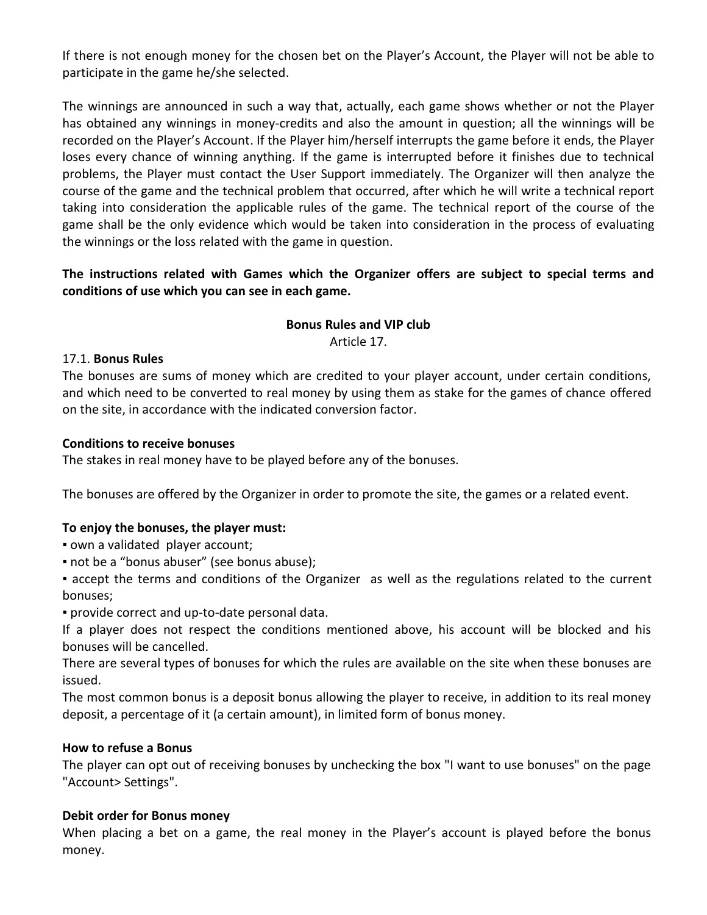If there is not enough money for the chosen bet on the Player's Account, the Player will not be able to participate in the game he/she selected.

The winnings are announced in such a way that, actually, each game shows whether or not the Player has obtained any winnings in money-credits and also the amount in question; all the winnings will be recorded on the Player's Account. If the Player him/herself interrupts the game before it ends, the Player loses every chance of winning anything. If the game is interrupted before it finishes due to technical problems, the Player must contact the User Support immediately. The Organizer will then analyze the course of the game and the technical problem that occurred, after which he will write a technical report taking into consideration the applicable rules of the game. The technical report of the course of the game shall be the only evidence which would be taken into consideration in the process of evaluating the winnings or the loss related with the game in question.

**The instructions related with Games which the Organizer offers are subject to special terms and conditions of use which you can see in each game.** 

#### **Bonus Rules and VIP club** Article 17.

#### 17.1. **Bonus Rules**

The bonuses are sums of money which are credited to your player account, under certain conditions, and which need to be converted to real money by using them as stake for the games of chance offered on the site, in accordance with the indicated conversion factor.

#### **Conditions to receive bonuses**

The stakes in real money have to be played before any of the bonuses.

The bonuses are offered by the Organizer in order to promote the site, the games or a related event.

#### **To enjoy the bonuses, the player must:**

- own a validated player account;
- not be a "bonus abuser" (see bonus abuse);
- accept the terms and conditions of the Organizer as well as the regulations related to the current bonuses;
- provide correct and up-to-date personal data.

If a player does not respect the conditions mentioned above, his account will be blocked and his bonuses will be cancelled.

There are several types of bonuses for which the rules are available on the site when these bonuses are issued.

The most common bonus is a deposit bonus allowing the player to receive, in addition to its real money deposit, a percentage of it (a certain amount), in limited form of bonus money.

#### **How to refuse a Bonus**

The player can opt out of receiving bonuses by unchecking the box "I want to use bonuses" on the page "Account> Settings".

#### **Debit order for Bonus money**

When placing a bet on a game, the real money in the Player's account is played before the bonus money.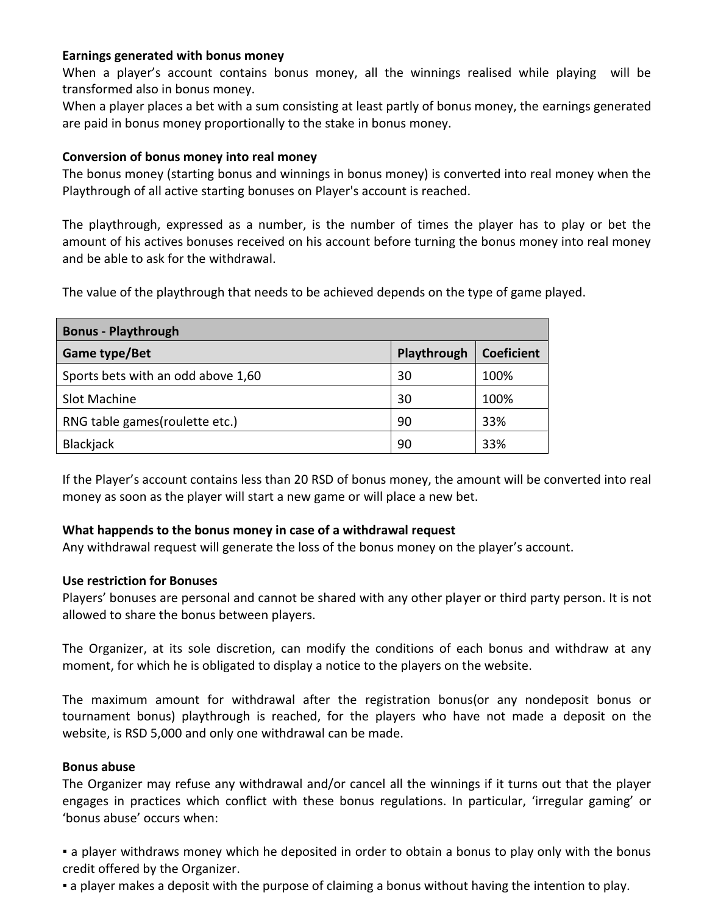#### **Earnings generated with bonus money**

When a player's account contains bonus money, all the winnings realised while playing will be transformed also in bonus money.

When a player places a bet with a sum consisting at least partly of bonus money, the earnings generated are paid in bonus money proportionally to the stake in bonus money.

#### **Conversion of bonus money into real money**

The bonus money (starting bonus and winnings in bonus money) is converted into real money when the Playthrough of all active starting bonuses on Player's account is reached.

The playthrough, expressed as a number, is the number of times the player has to play or bet the amount of his actives bonuses received on his account before turning the bonus money into real money and be able to ask for the withdrawal.

The value of the playthrough that needs to be achieved depends on the type of game played.

| <b>Bonus - Playthrough</b>         |             |                   |  |  |  |  |  |  |
|------------------------------------|-------------|-------------------|--|--|--|--|--|--|
| Game type/Bet                      | Playthrough | <b>Coeficient</b> |  |  |  |  |  |  |
| Sports bets with an odd above 1,60 | 30          | 100%              |  |  |  |  |  |  |
| Slot Machine                       | 30          | 100%              |  |  |  |  |  |  |
| RNG table games (roulette etc.)    | 90          | 33%               |  |  |  |  |  |  |
| <b>Blackjack</b>                   | 90          | 33%               |  |  |  |  |  |  |

If the Player's account contains less than 20 RSD of bonus money, the amount will be converted into real money as soon as the player will start a new game or will place a new bet.

#### **What happends to the bonus money in case of a withdrawal request**

Any withdrawal request will generate the loss of the bonus money on the player's account.

#### **Use restriction for Bonuses**

Players' bonuses are personal and cannot be shared with any other player or third party person. It is not allowed to share the bonus between players.

The Organizer, at its sole discretion, can modify the conditions of each bonus and withdraw at any moment, for which he is obligated to display a notice to the players on the website.

The maximum amount for withdrawal after the registration bonus(or any nondeposit bonus or tournament bonus) playthrough is reached, for the players who have not made a deposit on the website, is RSD 5,000 and only one withdrawal can be made.

#### **Bonus abuse**

The Organizer may refuse any withdrawal and/or cancel all the winnings if it turns out that the player engages in practices which conflict with these bonus regulations. In particular, 'irregular gaming' or 'bonus abuse' occurs when:

• a player withdraws money which he deposited in order to obtain a bonus to play only with the bonus credit offered by the Organizer.

▪ a player makes a deposit with the purpose of claiming a bonus without having the intention to play.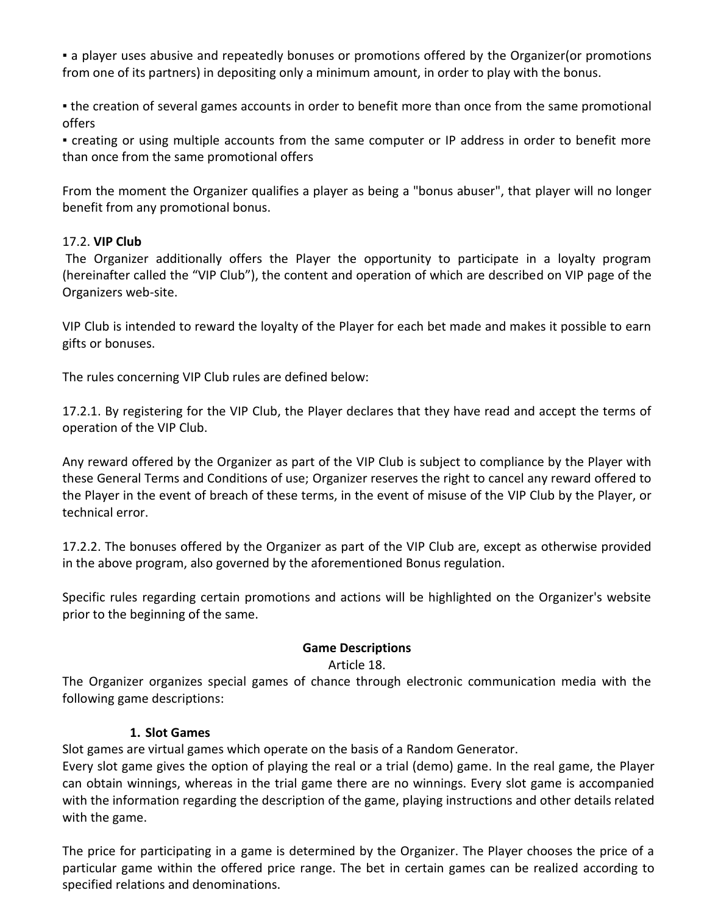▪ a player uses abusive and repeatedly bonuses or promotions offered by the Organizer(or promotions from one of its partners) in depositing only a minimum amount, in order to play with the bonus.

• the creation of several games accounts in order to benefit more than once from the same promotional offers

▪ creating or using multiple accounts from the same computer or IP address in order to benefit more than once from the same promotional offers

From the moment the Organizer qualifies a player as being a "bonus abuser", that player will no longer benefit from any promotional bonus.

#### 17.2. **VIP Club**

The Organizer additionally offers the Player the opportunity to participate in a loyalty program (hereinafter called the "VIP Club"), the content and operation of which are described on VIP page of the Organizers web-site.

VIP Club is intended to reward the loyalty of the Player for each bet made and makes it possible to earn gifts or bonuses.

The rules concerning VIP Club rules are defined below:

17.2.1. By registering for the VIP Club, the Player declares that they have read and accept the terms of operation of the VIP Club.

Any reward offered by the Organizer as part of the VIP Club is subject to compliance by the Player with these General Terms and Conditions of use; Organizer reserves the right to cancel any reward offered to the Player in the event of breach of these terms, in the event of misuse of the VIP Club by the Player, or technical error.

17.2.2. The bonuses offered by the Organizer as part of the VIP Club are, except as otherwise provided in the above program, also governed by the aforementioned Bonus regulation.

Specific rules regarding certain promotions and actions will be highlighted on the Organizer's website prior to the beginning of the same.

## **Game Descriptions**

#### Article 18.

The Organizer organizes special games of chance through electronic communication media with the following game descriptions:

#### **1. Slot Games**

Slot games are virtual games which operate on the basis of a Random Generator.

Every slot game gives the option of playing the real or a trial (demo) game. In the real game, the Player can obtain winnings, whereas in the trial game there are no winnings. Every slot game is accompanied with the information regarding the description of the game, playing instructions and other details related with the game.

The price for participating in a game is determined by the Organizer. The Player chooses the price of a particular game within the offered price range. The bet in certain games can be realized according to specified relations and denominations.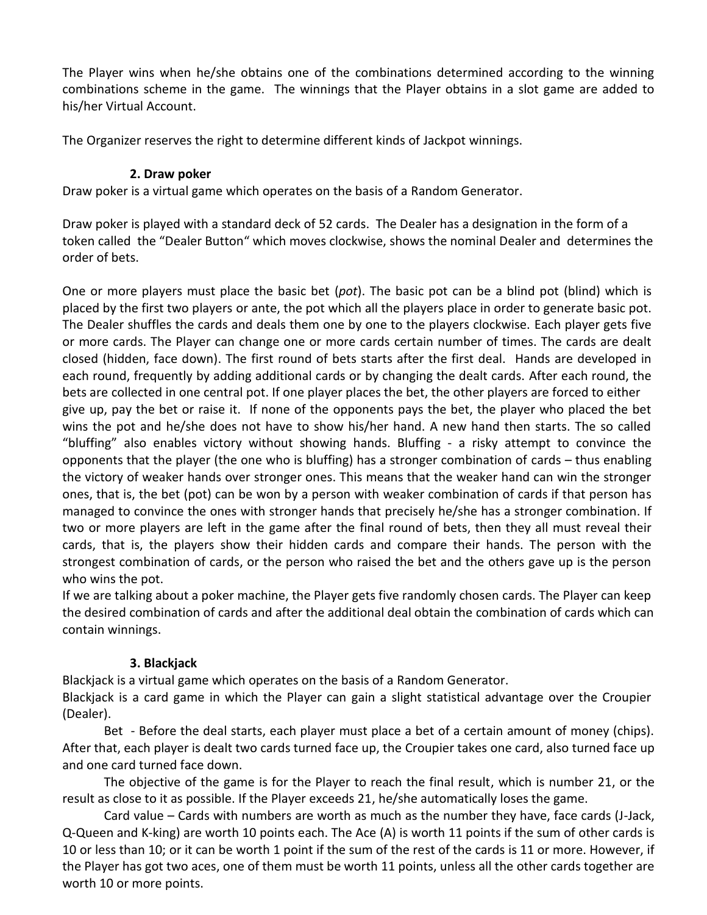The Player wins when he/she obtains one of the combinations determined according to the winning combinations scheme in the game. The winnings that the Player obtains in a slot game are added to his/her Virtual Account.

The Organizer reserves the right to determine different kinds of Jackpot winnings.

#### **2. Draw poker**

Draw poker is a virtual game which operates on the basis of a Random Generator.

Draw poker is played with a standard deck of 52 cards. The Dealer has a designation in the form of a token called the "Dealer Button" which moves clockwise, shows the nominal Dealer and determines the order of bets.

One or more players must place the basic bet (*pot*). The basic pot can be a blind pot (blind) which is placed by the first two players or ante, the pot which all the players place in order to generate basic pot. The Dealer shuffles the cards and deals them one by one to the players clockwise. Each player gets five or more cards. The Player can change one or more cards certain number of times. The cards are dealt closed (hidden, face down). The first round of bets starts after the first deal. Hands are developed in each round, frequently by adding additional cards or by changing the dealt cards. After each round, the bets are collected in one central pot. If one player places the bet, the other players are forced to either give up, pay the bet or raise it. If none of the opponents pays the bet, the player who placed the bet wins the pot and he/she does not have to show his/her hand. A new hand then starts. The so called "bluffing" also enables victory without showing hands. Bluffing - a risky attempt to convince the opponents that the player (the one who is bluffing) has a stronger combination of cards – thus enabling the victory of weaker hands over stronger ones. This means that the weaker hand can win the stronger ones, that is, the bet (pot) can be won by a person with weaker combination of cards if that person has managed to convince the ones with stronger hands that precisely he/she has a stronger combination. If two or more players are left in the game after the final round of bets, then they all must reveal their cards, that is, the players show their hidden cards and compare their hands. The person with the strongest combination of cards, or the person who raised the bet and the others gave up is the person who wins the pot.

If we are talking about a poker machine, the Player gets five randomly chosen cards. The Player can keep the desired combination of cards and after the additional deal obtain the combination of cards which can contain winnings.

## **3. Blackjack**

Blackjack is a virtual game which operates on the basis of a Random Generator.

Blackjack is a card game in which the Player can gain a slight statistical advantage over the Croupier (Dealer).

Bet - Before the deal starts, each player must place a bet of a certain amount of money (chips). After that, each player is dealt two cards turned face up, the Croupier takes one card, also turned face up and one card turned face down.

The objective of the game is for the Player to reach the final result, which is number 21, or the result as close to it as possible. If the Player exceeds 21, he/she automatically loses the game.

Card value – Cards with numbers are worth as much as the number they have, face cards (J-Jack, Q-Queen and K-king) are worth 10 points each. The Ace (A) is worth 11 points if the sum of other cards is 10 or less than 10; or it can be worth 1 point if the sum of the rest of the cards is 11 or more. However, if the Player has got two aces, one of them must be worth 11 points, unless all the other cards together are worth 10 or more points.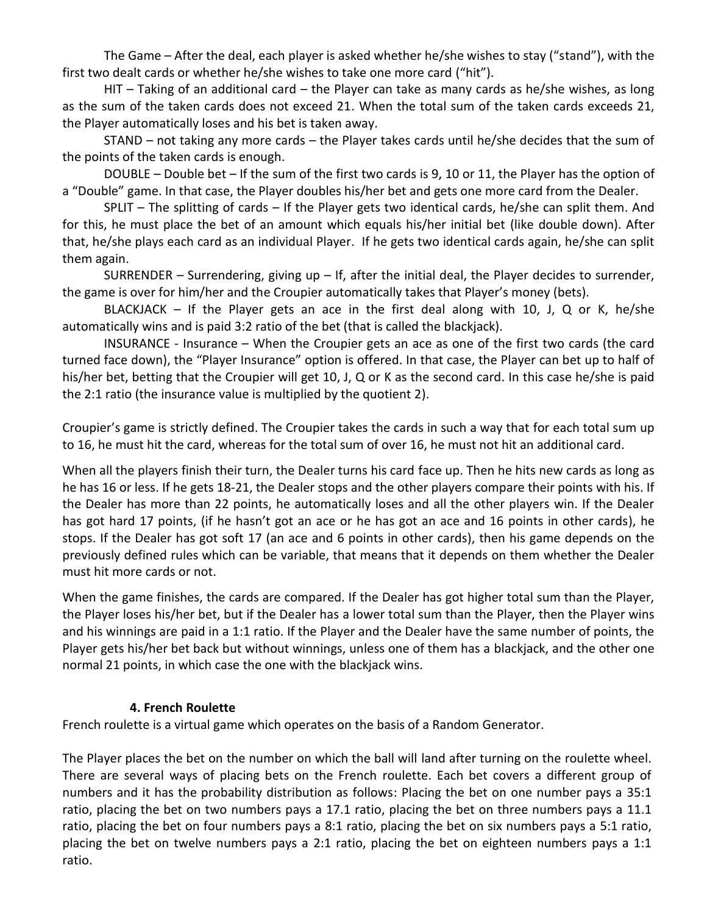The Game – After the deal, each player is asked whether he/she wishes to stay ("stand"), with the first two dealt cards or whether he/she wishes to take one more card ("hit").

HIT – Taking of an additional card – the Player can take as many cards as he/she wishes, as long as the sum of the taken cards does not exceed 21. When the total sum of the taken cards exceeds 21, the Player automatically loses and his bet is taken away.

STAND – not taking any more cards – the Player takes cards until he/she decides that the sum of the points of the taken cards is enough.

DOUBLE – Double bet – If the sum of the first two cards is 9, 10 or 11, the Player has the option of a "Double" game. In that case, the Player doubles his/her bet and gets one more card from the Dealer.

SPLIT – The splitting of cards – If the Player gets two identical cards, he/she can split them. And for this, he must place the bet of an amount which equals his/her initial bet (like double down). After that, he/she plays each card as an individual Player. If he gets two identical cards again, he/she can split them again.

SURRENDER – Surrendering, giving up – If, after the initial deal, the Player decides to surrender, the game is over for him/her and the Croupier automatically takes that Player's money (bets).

BLACKJACK – If the Player gets an ace in the first deal along with 10, J, Q or K, he/she automatically wins and is paid 3:2 ratio of the bet (that is called the blackjack).

INSURANCE - Insurance – When the Croupier gets an ace as one of the first two cards (the card turned face down), the "Player Insurance" option is offered. In that case, the Player can bet up to half of his/her bet, betting that the Croupier will get 10, J, Q or K as the second card. In this case he/she is paid the 2:1 ratio (the insurance value is multiplied by the quotient 2).

Croupier's game is strictly defined. The Croupier takes the cards in such a way that for each total sum up to 16, he must hit the card, whereas for the total sum of over 16, he must not hit an additional card.

When all the players finish their turn, the Dealer turns his card face up. Then he hits new cards as long as he has 16 or less. If he gets 18-21, the Dealer stops and the other players compare their points with his. If the Dealer has more than 22 points, he automatically loses and all the other players win. If the Dealer has got hard 17 points, (if he hasn't got an ace or he has got an ace and 16 points in other cards), he stops. If the Dealer has got soft 17 (an ace and 6 points in other cards), then his game depends on the previously defined rules which can be variable, that means that it depends on them whether the Dealer must hit more cards or not.

When the game finishes, the cards are compared. If the Dealer has got higher total sum than the Player, the Player loses his/her bet, but if the Dealer has a lower total sum than the Player, then the Player wins and his winnings are paid in a 1:1 ratio. If the Player and the Dealer have the same number of points, the Player gets his/her bet back but without winnings, unless one of them has a blackjack, and the other one normal 21 points, in which case the one with the blackjack wins.

## **4. French Roulette**

French roulette is a virtual game which operates on the basis of a Random Generator.

The Player places the bet on the number on which the ball will land after turning on the roulette wheel. There are several ways of placing bets on the French roulette. Each bet covers a different group of numbers and it has the probability distribution as follows: Placing the bet on one number pays a 35:1 ratio, placing the bet on two numbers pays a 17.1 ratio, placing the bet on three numbers pays a 11.1 ratio, placing the bet on four numbers pays a 8:1 ratio, placing the bet on six numbers pays a 5:1 ratio, placing the bet on twelve numbers pays a 2:1 ratio, placing the bet on eighteen numbers pays a 1:1 ratio.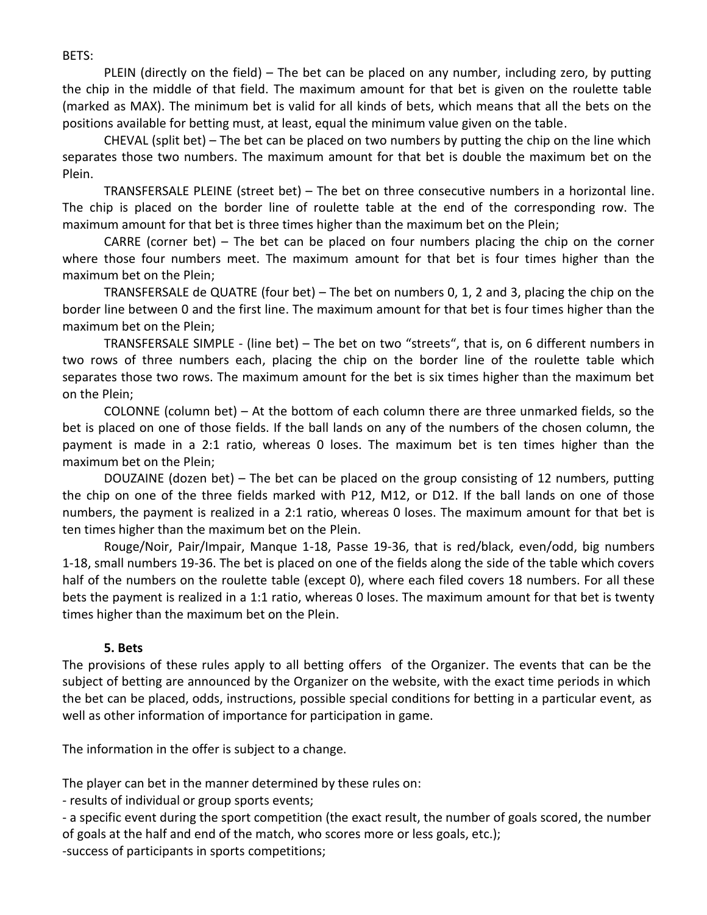BETS:

PLEIN (directly on the field) – The bet can be placed on any number, including zero, by putting the chip in the middle of that field. The maximum amount for that bet is given on the roulette table (marked as MAX). The minimum bet is valid for all kinds of bets, which means that all the bets on the positions available for betting must, at least, equal the minimum value given on the table.

CHEVAL (split bet) – The bet can be placed on two numbers by putting the chip on the line which separates those two numbers. The maximum amount for that bet is double the maximum bet on the Plein.

TRANSFERSALE PLEINE (street bet) – The bet on three consecutive numbers in a horizontal line. The chip is placed on the border line of roulette table at the end of the corresponding row. The maximum amount for that bet is three times higher than the maximum bet on the Plein;

CARRE (corner bet) – The bet can be placed on four numbers placing the chip on the corner where those four numbers meet. The maximum amount for that bet is four times higher than the maximum bet on the Plein;

TRANSFERSALE de QUATRE (four bet) – The bet on numbers 0, 1, 2 and 3, placing the chip on the border line between 0 and the first line. The maximum amount for that bet is four times higher than the maximum bet on the Plein;

TRANSFERSALE SIMPLE - (line bet) – The bet on two "streets", that is, on 6 different numbers in two rows of three numbers each, placing the chip on the border line of the roulette table which separates those two rows. The maximum amount for the bet is six times higher than the maximum bet on the Plein;

COLONNE (column bet) – At the bottom of each column there are three unmarked fields, so the bet is placed on one of those fields. If the ball lands on any of the numbers of the chosen column, the payment is made in a 2:1 ratio, whereas 0 loses. The maximum bet is ten times higher than the maximum bet on the Plein;

DOUZAINE (dozen bet) – The bet can be placed on the group consisting of 12 numbers, putting the chip on one of the three fields marked with P12, M12, or D12. If the ball lands on one of those numbers, the payment is realized in a 2:1 ratio, whereas 0 loses. The maximum amount for that bet is ten times higher than the maximum bet on the Plein.

Rouge/Noir, Pair/Impair, Manque 1-18, Passe 19-36, that is red/black, even/odd, big numbers 1-18, small numbers 19-36. The bet is placed on one of the fields along the side of the table which covers half of the numbers on the roulette table (except 0), where each filed covers 18 numbers. For all these bets the payment is realized in a 1:1 ratio, whereas 0 loses. The maximum amount for that bet is twenty times higher than the maximum bet on the Plein.

#### **5. Bets**

The provisions of these rules apply to all betting offers of the Organizer. The events that can be the subject of betting are announced by the Organizer on the website, with the exact time periods in which the bet can be placed, odds, instructions, possible special conditions for betting in a particular event, as well as other information of importance for participation in game.

The information in the offer is subject to a change.

The player can bet in the manner determined by these rules on:

- results of individual or group sports events;

- a specific event during the sport competition (the exact result, the number of goals scored, the number of goals at the half and end of the match, who scores more or less goals, etc.);

-success of participants in sports competitions;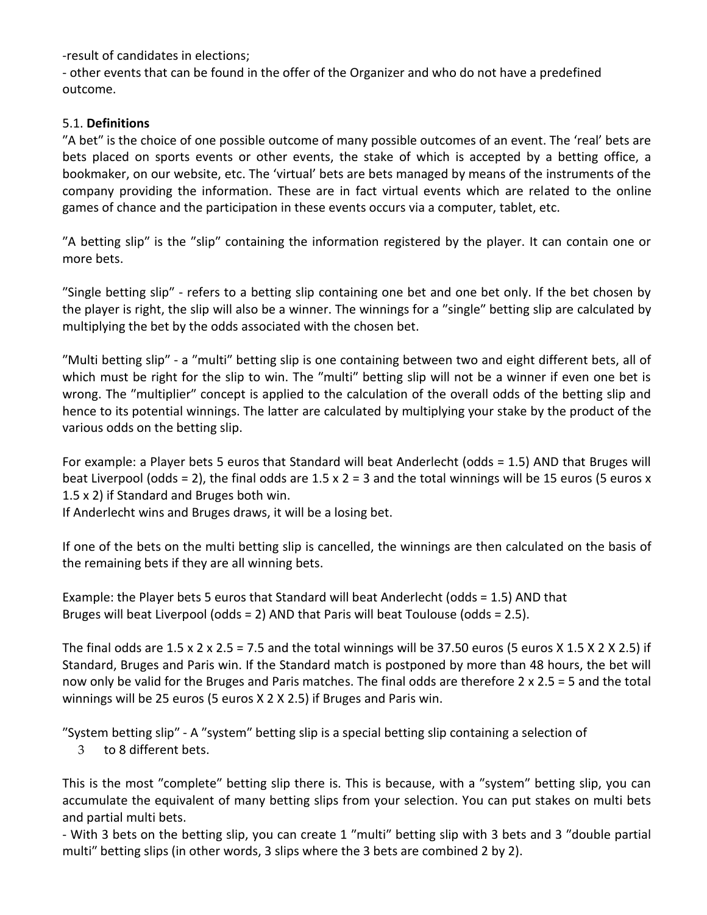-result of candidates in elections;

- other events that can be found in the offer of the Organizer and who do not have a predefined outcome.

## 5.1. **Definitions**

"A bet" is the choice of one possible outcome of many possible outcomes of an event. The 'real' bets are bets placed on sports events or other events, the stake of which is accepted by a betting office, a bookmaker, on our website, etc. The 'virtual' bets are bets managed by means of the instruments of the company providing the information. These are in fact virtual events which are related to the online games of chance and the participation in these events occurs via a computer, tablet, etc.

"A betting slip" is the "slip" containing the information registered by the player. It can contain one or more bets.

ʺSingle betting slipʺ ‐ refers to a betting slip containing one bet and one bet only. If the bet chosen by the player is right, the slip will also be a winner. The winnings for a "single" betting slip are calculated by multiplying the bet by the odds associated with the chosen bet.

"Multi betting slip" - a "multi" betting slip is one containing between two and eight different bets, all of which must be right for the slip to win. The "multi" betting slip will not be a winner if even one bet is wrong. The "multiplier" concept is applied to the calculation of the overall odds of the betting slip and hence to its potential winnings. The latter are calculated by multiplying your stake by the product of the various odds on the betting slip.

For example: a Player bets 5 euros that Standard will beat Anderlecht (odds = 1.5) AND that Bruges will beat Liverpool (odds = 2), the final odds are  $1.5 \times 2 = 3$  and the total winnings will be 15 euros (5 euros x 1.5 x 2) if Standard and Bruges both win.

If Anderlecht wins and Bruges draws, it will be a losing bet.

If one of the bets on the multi betting slip is cancelled, the winnings are then calculated on the basis of the remaining bets if they are all winning bets.

Example: the Player bets 5 euros that Standard will beat Anderlecht (odds = 1.5) AND that Bruges will beat Liverpool (odds = 2) AND that Paris will beat Toulouse (odds = 2.5).

The final odds are  $1.5 \times 2 \times 2.5 = 7.5$  and the total winnings will be 37.50 euros (5 euros X 1.5 X 2 X 2.5) if Standard, Bruges and Paris win. If the Standard match is postponed by more than 48 hours, the bet will now only be valid for the Bruges and Paris matches. The final odds are therefore 2 x 2.5 = 5 and the total winnings will be 25 euros (5 euros X 2 X 2.5) if Bruges and Paris win.

"System betting slip" - A "system" betting slip is a special betting slip containing a selection of

3 to 8 different bets.

This is the most "complete" betting slip there is. This is because, with a "system" betting slip, you can accumulate the equivalent of many betting slips from your selection. You can put stakes on multi bets and partial multi bets.

- With 3 bets on the betting slip, you can create 1 "multi" betting slip with 3 bets and 3 "double partial multi" betting slips (in other words, 3 slips where the 3 bets are combined 2 by 2).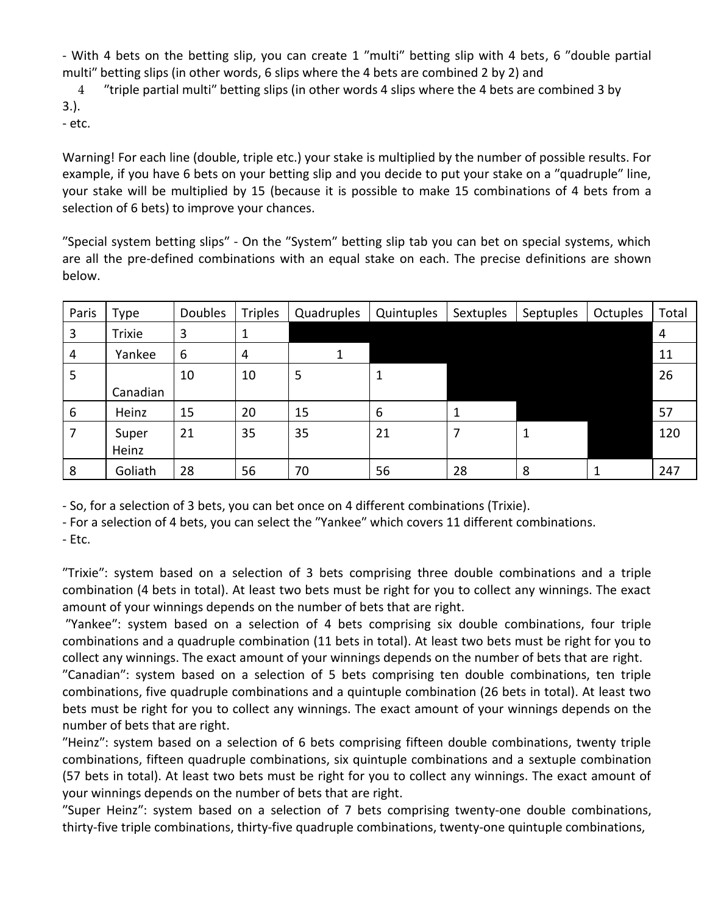- With 4 bets on the betting slip, you can create 1 "multi" betting slip with 4 bets, 6 "double partial multi" betting slips (in other words, 6 slips where the 4 bets are combined 2 by 2) and

4 Triple partial multi<sup>"</sup> betting slips (in other words 4 slips where the 4 bets are combined 3 by 3.).

‐ etc.

Warning! For each line (double, triple etc.) your stake is multiplied by the number of possible results. For example, if you have 6 bets on your betting slip and you decide to put your stake on a "quadruple" line, your stake will be multiplied by 15 (because it is possible to make 15 combinations of 4 bets from a selection of 6 bets) to improve your chances.

"Special system betting slips" - On the "System" betting slip tab you can bet on special systems, which are all the pre-defined combinations with an equal stake on each. The precise definitions are shown below.

| Paris | Type          | <b>Doubles</b> | <b>Triples</b> | Quadruples | Quintuples | Sextuples | Septuples | Octuples | Total          |
|-------|---------------|----------------|----------------|------------|------------|-----------|-----------|----------|----------------|
| 3     | <b>Trixie</b> | 3              | 1              |            |            |           |           |          | $\overline{4}$ |
| 4     | Yankee        | 6              | 4              |            |            |           |           |          | 11             |
| 5     |               | 10             | 10             | 5          | 1          |           |           |          | 26             |
|       | Canadian      |                |                |            |            |           |           |          |                |
| 6     | Heinz         | 15             | 20             | 15         | 6          |           |           |          | 57             |
|       | Super         | 21             | 35             | 35         | 21         | 7         | 1         |          | 120            |
|       | Heinz         |                |                |            |            |           |           |          |                |
| 8     | Goliath       | 28             | 56             | 70         | 56         | 28        | 8         |          | 247            |

‐ So, for a selection of 3 bets, you can bet once on 4 different combinations (Trixie).

- For a selection of 4 bets, you can select the "Yankee" which covers 11 different combinations.

‐ Etc.

ʺTrixieʺ: system based on a selection of 3 bets comprising three double combinations and a triple combination (4 bets in total). At least two bets must be right for you to collect any winnings. The exact amount of your winnings depends on the number of bets that are right.

ʺYankeeʺ: system based on a selection of 4 bets comprising six double combinations, four triple combinations and a quadruple combination (11 bets in total). At least two bets must be right for you to collect any winnings. The exact amount of your winnings depends on the number of bets that are right.

ʺCanadianʺ: system based on a selection of 5 bets comprising ten double combinations, ten triple combinations, five quadruple combinations and a quintuple combination (26 bets in total). At least two bets must be right for you to collect any winnings. The exact amount of your winnings depends on the number of bets that are right.

ʺHeinzʺ: system based on a selection of 6 bets comprising fifteen double combinations, twenty triple combinations, fifteen quadruple combinations, six quintuple combinations and a sextuple combination (57 bets in total). At least two bets must be right for you to collect any winnings. The exact amount of your winnings depends on the number of bets that are right.

ʺSuper Heinzʺ: system based on a selection of 7 bets comprising twenty‐one double combinations, thirty‐five triple combinations, thirty‐five quadruple combinations, twenty‐one quintuple combinations,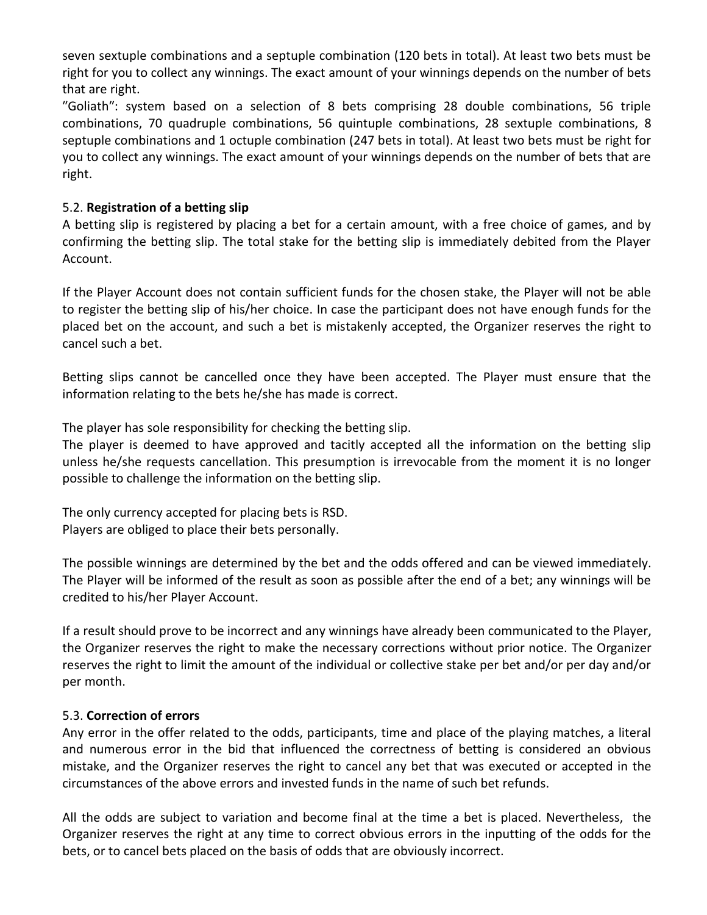seven sextuple combinations and a septuple combination (120 bets in total). At least two bets must be right for you to collect any winnings. The exact amount of your winnings depends on the number of bets that are right.

ʺGoliathʺ: system based on a selection of 8 bets comprising 28 double combinations, 56 triple combinations, 70 quadruple combinations, 56 quintuple combinations, 28 sextuple combinations, 8 septuple combinations and 1 octuple combination (247 bets in total). At least two bets must be right for you to collect any winnings. The exact amount of your winnings depends on the number of bets that are right.

#### 5.2. **Registration of a betting slip**

A betting slip is registered by placing a bet for a certain amount, with a free choice of games, and by confirming the betting slip. The total stake for the betting slip is immediately debited from the Player Account.

If the Player Account does not contain sufficient funds for the chosen stake, the Player will not be able to register the betting slip of his/her choice. In case the participant does not have enough funds for the placed bet on the account, and such a bet is mistakenly accepted, the Organizer reserves the right to cancel such a bet.

Betting slips cannot be cancelled once they have been accepted. The Player must ensure that the information relating to the bets he/she has made is correct.

The player has sole responsibility for checking the betting slip.

The player is deemed to have approved and tacitly accepted all the information on the betting slip unless he/she requests cancellation. This presumption is irrevocable from the moment it is no longer possible to challenge the information on the betting slip.

The only currency accepted for placing bets is RSD. Players are obliged to place their bets personally.

The possible winnings are determined by the bet and the odds offered and can be viewed immediately. The Player will be informed of the result as soon as possible after the end of a bet; any winnings will be credited to his/her Player Account.

If a result should prove to be incorrect and any winnings have already been communicated to the Player, the Organizer reserves the right to make the necessary corrections without prior notice. The Organizer reserves the right to limit the amount of the individual or collective stake per bet and/or per day and/or per month.

#### 5.3. **Correction of errors**

Any error in the offer related to the odds, participants, time and place of the playing matches, a literal and numerous error in the bid that influenced the correctness of betting is considered an obvious mistake, and the Organizer reserves the right to cancel any bet that was executed or accepted in the circumstances of the above errors and invested funds in the name of such bet refunds.

All the odds are subject to variation and become final at the time a bet is placed. Nevertheless, the Organizer reserves the right at any time to correct obvious errors in the inputting of the odds for the bets, or to cancel bets placed on the basis of odds that are obviously incorrect.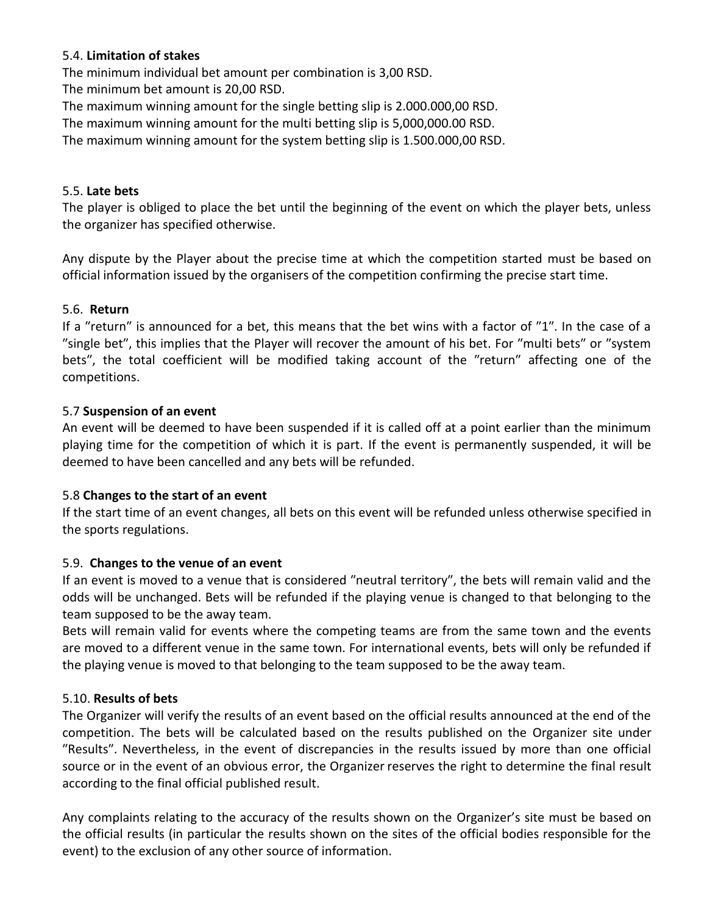#### 5.4. **Limitation of stakes**

The minimum individual bet amount per combination is 3,00 RSD.

The minimum bet amount is 20,00 RSD.

The maximum winning amount for the single betting slip is 2.000.000,00 RSD.

The maximum winning amount for the multi betting slip is 5,000,000.00 RSD.

The maximum winning amount for the system betting slip is 1.500.000,00 RSD.

#### 5.5. **Late bets**

The player is obliged to place the bet until the beginning of the event on which the player bets, unless the organizer has specified otherwise.

Any dispute by the Player about the precise time at which the competition started must be based on official information issued by the organisers of the competition confirming the precise start time.

#### 5.6. **Return**

If a "return" is announced for a bet, this means that the bet wins with a factor of "1". In the case of a "single bet", this implies that the Player will recover the amount of his bet. For "multi bets" or "system bets", the total coefficient will be modified taking account of the "return" affecting one of the competitions.

#### 5.7 **Suspension of an event**

An event will be deemed to have been suspended if it is called off at a point earlier than the minimum playing time for the competition of which it is part. If the event is permanently suspended, it will be deemed to have been cancelled and any bets will be refunded.

#### 5.8 **Changes to the start of an event**

If the start time of an event changes, all bets on this event will be refunded unless otherwise specified in the sports regulations.

## 5.9. **Changes to the venue of an event**

If an event is moved to a venue that is considered "neutral territory", the bets will remain valid and the odds will be unchanged. Bets will be refunded if the playing venue is changed to that belonging to the team supposed to be the away team.

Bets will remain valid for events where the competing teams are from the same town and the events are moved to a different venue in the same town. For international events, bets will only be refunded if the playing venue is moved to that belonging to the team supposed to be the away team.

#### 5.10. **Results of bets**

The Organizer will verify the results of an event based on the official results announced at the end of the competition. The bets will be calculated based on the results published on the Organizer site under "Results". Nevertheless, in the event of discrepancies in the results issued by more than one official source or in the event of an obvious error, the Organizer reserves the right to determine the final result according to the final official published result.

Any complaints relating to the accuracy of the results shown on the Organizer's site must be based on the official results (in particular the results shown on the sites of the official bodies responsible for the event) to the exclusion of any other source of information.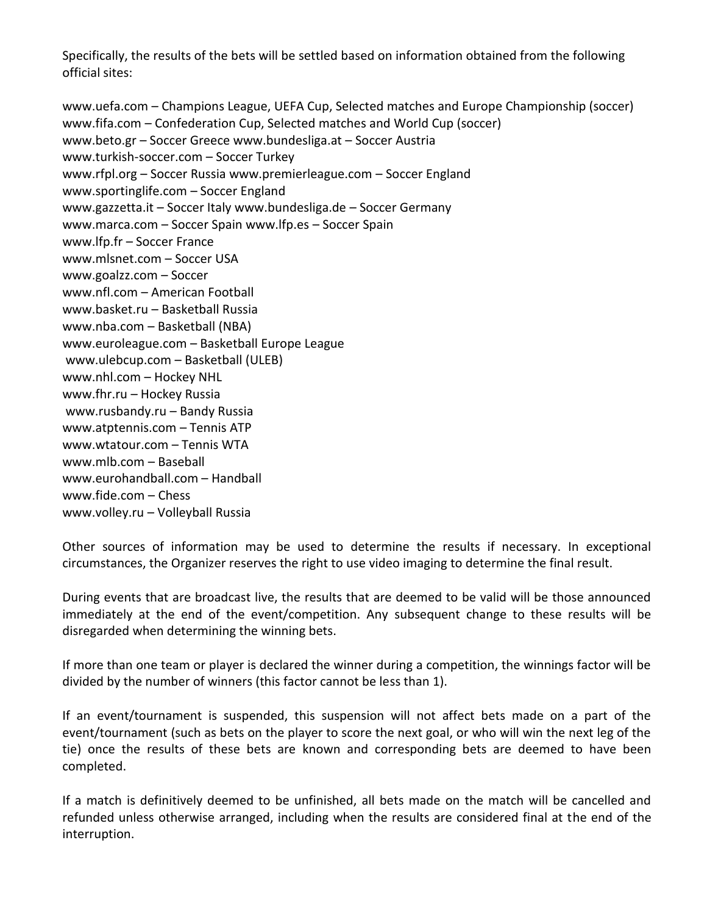Specifically, the results of the bets will be settled based on information obtained from the following official sites:

www.uefa.com – Champions League, UEFA Cup, Selected matches and Europe Championship (soccer) www.fifa.com – Confederation Cup, Selected matches and World Cup (soccer) www.beto.gr – Soccer Greece www.bundesliga.at – Soccer Austria www.turkish‐soccer.com – Soccer Turkey www.rfpl.org – Soccer Russia www.premierleague.com – Soccer England www.sportinglife.com – Soccer England www.gazzetta.it – Soccer Italy www.bundesliga.de – Soccer Germany www.marca.com – Soccer Spain www.lfp.es – Soccer Spain www.lfp.fr – Soccer France www.mlsnet.com – Soccer USA www.goalzz.com – Soccer www.nfl.com – American Football www.basket.ru – Basketball Russia www.nba.com – Basketball (NBA) www.euroleague.com – Basketball Europe League www.ulebcup.com – Basketball (ULEB) www.nhl.com – Hockey NHL www.fhr.ru – Hockey Russia www.rusbandy.ru – Bandy Russia www.atptennis.com – Tennis ATP www.wtatour.com – Tennis WTA www.mlb.com – Baseball www.eurohandball.com – Handball www.fide.com – Chess

www.volley.ru – Volleyball Russia

Other sources of information may be used to determine the results if necessary. In exceptional circumstances, the Organizer reserves the right to use video imaging to determine the final result.

During events that are broadcast live, the results that are deemed to be valid will be those announced immediately at the end of the event/competition. Any subsequent change to these results will be disregarded when determining the winning bets.

If more than one team or player is declared the winner during a competition, the winnings factor will be divided by the number of winners (this factor cannot be less than 1).

If an event/tournament is suspended, this suspension will not affect bets made on a part of the event/tournament (such as bets on the player to score the next goal, or who will win the next leg of the tie) once the results of these bets are known and corresponding bets are deemed to have been completed.

If a match is definitively deemed to be unfinished, all bets made on the match will be cancelled and refunded unless otherwise arranged, including when the results are considered final at the end of the interruption.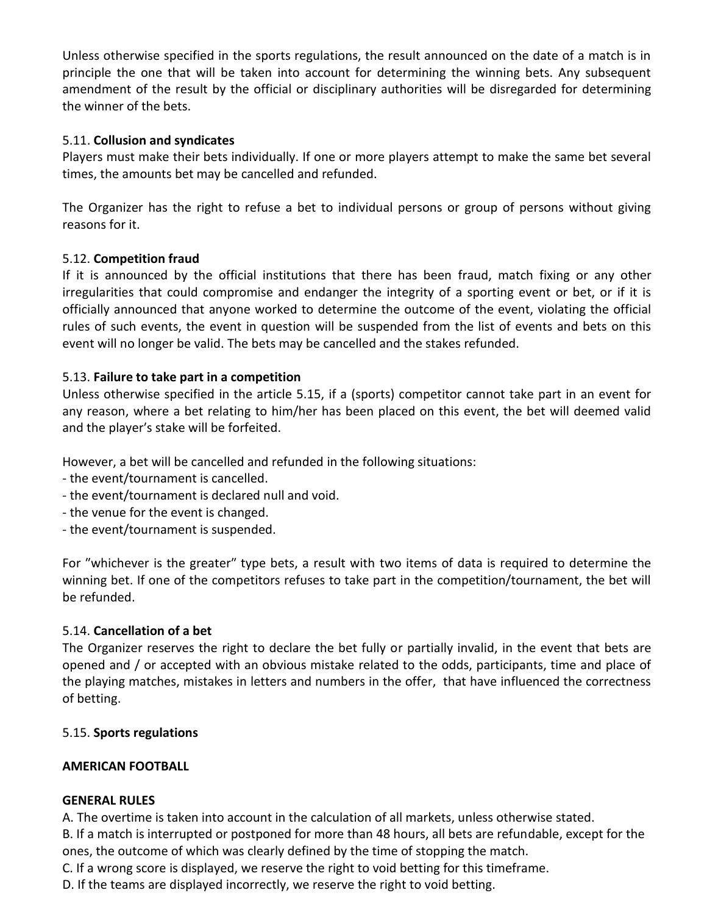Unless otherwise specified in the sports regulations, the result announced on the date of a match is in principle the one that will be taken into account for determining the winning bets. Any subsequent amendment of the result by the official or disciplinary authorities will be disregarded for determining the winner of the bets.

## 5.11. **Collusion and syndicates**

Players must make their bets individually. If one or more players attempt to make the same bet several times, the amounts bet may be cancelled and refunded.

The Organizer has the right to refuse a bet to individual persons or group of persons without giving reasons for it.

#### 5.12. **Competition fraud**

If it is announced by the official institutions that there has been fraud, match fixing or any other irregularities that could compromise and endanger the integrity of a sporting event or bet, or if it is officially announced that anyone worked to determine the outcome of the event, violating the official rules of such events, the event in question will be suspended from the list of events and bets on this event will no longer be valid. The bets may be cancelled and the stakes refunded.

#### 5.13. **Failure to take part in a competition**

Unless otherwise specified in the article 5.15, if a (sports) competitor cannot take part in an event for any reason, where a bet relating to him/her has been placed on this event, the bet will deemed valid and the playerʹs stake will be forfeited.

However, a bet will be cancelled and refunded in the following situations:

- ‐ the event/tournament is cancelled.
- ‐ the event/tournament is declared null and void.
- ‐ the venue for the event is changed.
- ‐ the event/tournament is suspended.

For "whichever is the greater" type bets, a result with two items of data is required to determine the winning bet. If one of the competitors refuses to take part in the competition/tournament, the bet will be refunded.

#### 5.14. **Cancellation of a bet**

The Organizer reserves the right to declare the bet fully or partially invalid, in the event that bets are opened and / or accepted with an obvious mistake related to the odds, participants, time and place of the playing matches, mistakes in letters and numbers in the offer, that have influenced the correctness of betting.

#### 5.15. **Sports regulations**

#### **AMERICAN FOOTBALL**

## **GENERAL RULES**

A. The overtime is taken into account in the calculation of all markets, unless otherwise stated.

B. If a match is interrupted or postponed for more than 48 hours, all bets are refundable, except for the ones, the outcome of which was clearly defined by the time of stopping the match.

C. If a wrong score is displayed, we reserve the right to void betting for this timeframe.

D. If the teams are displayed incorrectly, we reserve the right to void betting.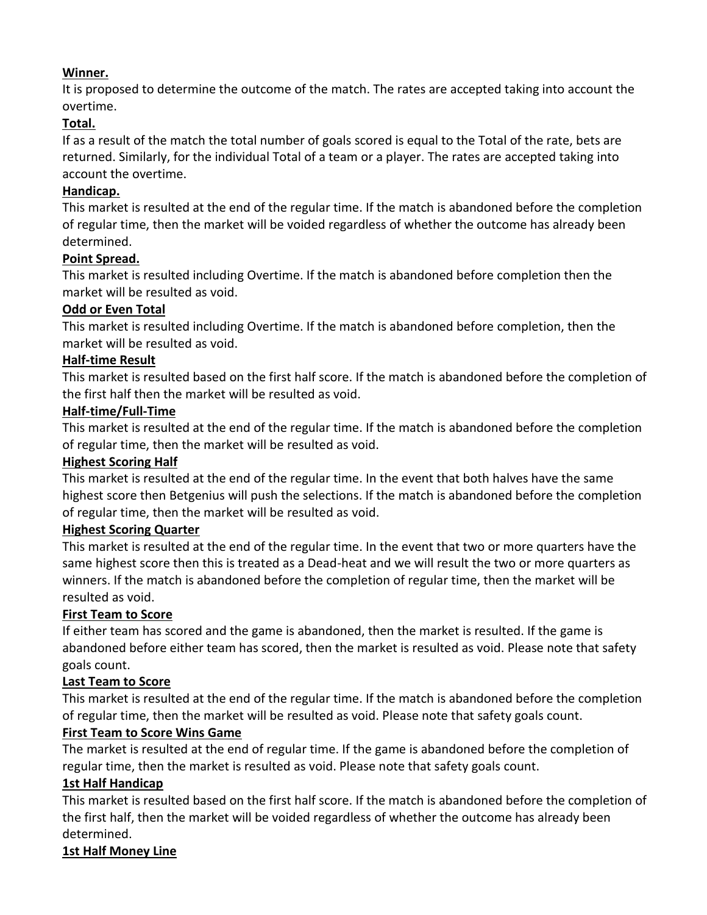## **Winner.**

It is proposed to determine the outcome of the match. The rates are accepted taking into account the overtime.

# **Total.**

If as a result of the match the total number of goals scored is equal to the Total of the rate, bets are returned. Similarly, for the individual Total of a team or a player. The rates are accepted taking into account the overtime.

# **Handicap.**

This market is resulted at the end of the regular time. If the match is abandoned before the completion of regular time, then the market will be voided regardless of whether the outcome has already been determined.

# **Point Spread.**

This market is resulted including Overtime. If the match is abandoned before completion then the market will be resulted as void.

## **Odd or Even Total**

This market is resulted including Overtime. If the match is abandoned before completion, then the market will be resulted as void.

## **Half-time Result**

This market is resulted based on the first half score. If the match is abandoned before the completion of the first half then the market will be resulted as void.

## **Half-time/Full-Time**

This market is resulted at the end of the regular time. If the match is abandoned before the completion of regular time, then the market will be resulted as void.

## **Highest Scoring Half**

This market is resulted at the end of the regular time. In the event that both halves have the same highest score then Betgenius will push the selections. If the match is abandoned before the completion of regular time, then the market will be resulted as void.

## **Highest Scoring Quarter**

This market is resulted at the end of the regular time. In the event that two or more quarters have the same highest score then this is treated as a Dead-heat and we will result the two or more quarters as winners. If the match is abandoned before the completion of regular time, then the market will be resulted as void.

# **First Team to Score**

If either team has scored and the game is abandoned, then the market is resulted. If the game is abandoned before either team has scored, then the market is resulted as void. Please note that safety goals count.

## **Last Team to Score**

This market is resulted at the end of the regular time. If the match is abandoned before the completion of regular time, then the market will be resulted as void. Please note that safety goals count.

## **First Team to Score Wins Game**

The market is resulted at the end of regular time. If the game is abandoned before the completion of regular time, then the market is resulted as void. Please note that safety goals count.

## **1st Half Handicap**

This market is resulted based on the first half score. If the match is abandoned before the completion of the first half, then the market will be voided regardless of whether the outcome has already been determined.

# **1st Half Money Line**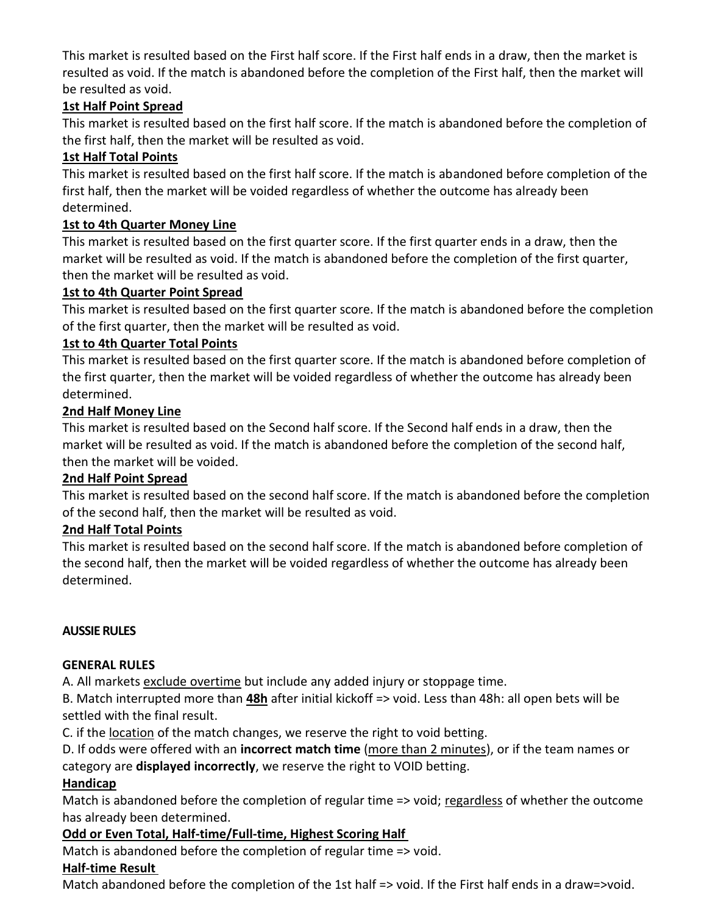This market is resulted based on the First half score. If the First half ends in a draw, then the market is resulted as void. If the match is abandoned before the completion of the First half, then the market will be resulted as void.

# **1st Half Point Spread**

This market is resulted based on the first half score. If the match is abandoned before the completion of the first half, then the market will be resulted as void.

## **1st Half Total Points**

This market is resulted based on the first half score. If the match is abandoned before completion of the first half, then the market will be voided regardless of whether the outcome has already been determined.

## **1st to 4th Quarter Money Line**

This market is resulted based on the first quarter score. If the first quarter ends in a draw, then the market will be resulted as void. If the match is abandoned before the completion of the first quarter, then the market will be resulted as void.

## **1st to 4th Quarter Point Spread**

This market is resulted based on the first quarter score. If the match is abandoned before the completion of the first quarter, then the market will be resulted as void.

## **1st to 4th Quarter Total Points**

This market is resulted based on the first quarter score. If the match is abandoned before completion of the first quarter, then the market will be voided regardless of whether the outcome has already been determined.

## **2nd Half Money Line**

This market is resulted based on the Second half score. If the Second half ends in a draw, then the market will be resulted as void. If the match is abandoned before the completion of the second half, then the market will be voided.

## **2nd Half Point Spread**

This market is resulted based on the second half score. If the match is abandoned before the completion of the second half, then the market will be resulted as void.

## **2nd Half Total Points**

This market is resulted based on the second half score. If the match is abandoned before completion of the second half, then the market will be voided regardless of whether the outcome has already been determined.

## **AUSSIE RULES**

## **GENERAL RULES**

A. All markets exclude overtime but include any added injury or stoppage time.

B. Match interrupted more than **48h** after initial kickoff => void. Less than 48h: all open bets will be settled with the final result.

C. if the location of the match changes, we reserve the right to void betting.

D. If odds were offered with an **incorrect match time** (more than 2 minutes), or if the team names or category are **displayed incorrectly**, we reserve the right to VOID betting.

## **Handicap**

Match is abandoned before the completion of regular time => void; regardless of whether the outcome has already been determined.

## **Odd or Even Total, Half-time/Full-time, Highest Scoring Half**

Match is abandoned before the completion of regular time => void.

## **Half-time Result**

Match abandoned before the completion of the 1st half => void. If the First half ends in a draw=>void.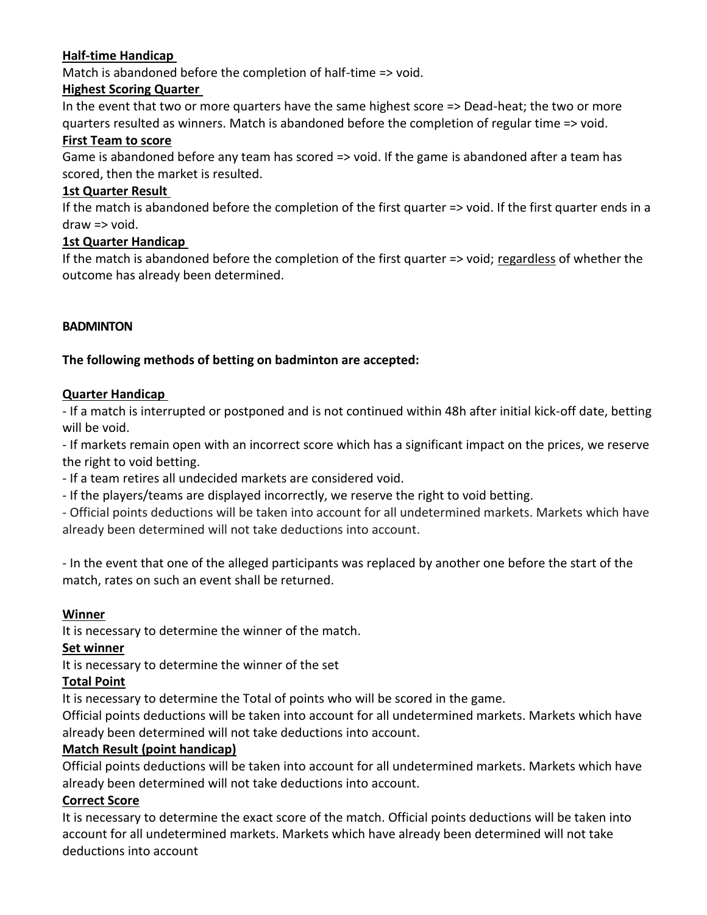## **Half-time Handicap**

Match is abandoned before the completion of half-time => void.

#### **Highest Scoring Quarter**

In the event that two or more quarters have the same highest score => Dead-heat; the two or more quarters resulted as winners. Match is abandoned before the completion of regular time => void.

#### **First Team to score**

Game is abandoned before any team has scored => void. If the game is abandoned after a team has scored, then the market is resulted.

#### **1st Quarter Result**

If the match is abandoned before the completion of the first quarter => void. If the first quarter ends in a draw => void.

#### **1st Quarter Handicap**

If the match is abandoned before the completion of the first quarter => void; regardless of whether the outcome has already been determined.

#### **BADMINTON**

## **The following methods of betting on badminton are accepted:**

#### **Quarter Handicap**

- If a match is interrupted or postponed and is not continued within 48h after initial kick-off date, betting will be void.

- If markets remain open with an incorrect score which has a significant impact on the prices, we reserve the right to void betting.

- If a team retires all undecided markets are considered void.

- If the players/teams are displayed incorrectly, we reserve the right to void betting.

- Official points deductions will be taken into account for all undetermined markets. Markets which have already been determined will not take deductions into account.

- In the event that one of the alleged participants was replaced by another one before the start of the match, rates on such an event shall be returned.

#### **Winner**

It is necessary to determine the winner of the match.

#### **Set winner**

It is necessary to determine the winner of the set

#### **Total Point**

It is necessary to determine the Total of points who will be scored in the game.

Official points deductions will be taken into account for all undetermined markets. Markets which have already been determined will not take deductions into account.

#### **Match Result (point handicap)**

Official points deductions will be taken into account for all undetermined markets. Markets which have already been determined will not take deductions into account.

#### **Correct Score**

It is necessary to determine the exact score of the match. Official points deductions will be taken into account for all undetermined markets. Markets which have already been determined will not take deductions into account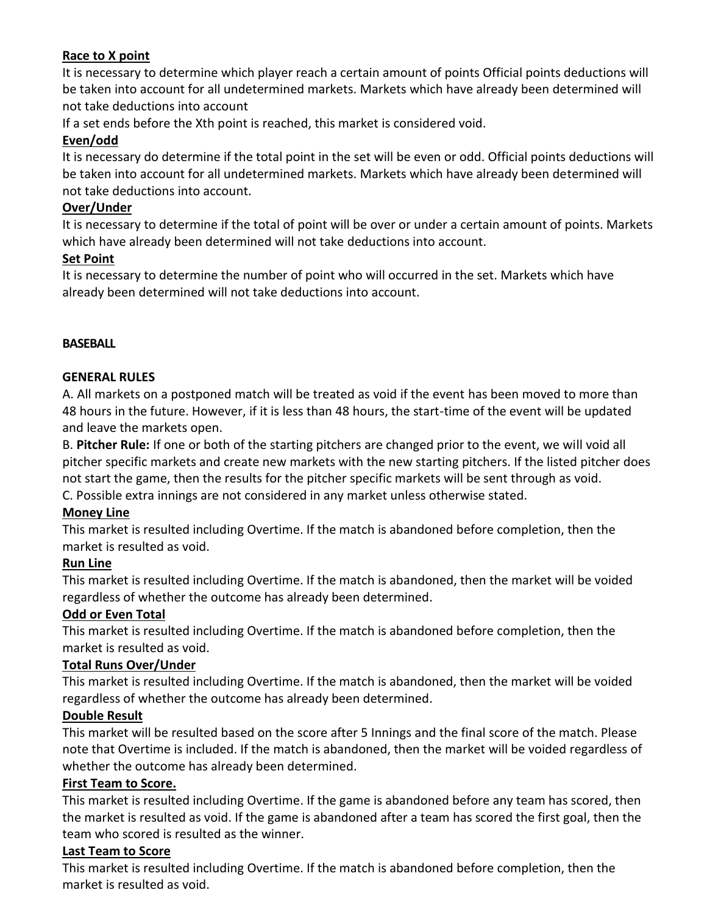## **Race to X point**

It is necessary to determine which player reach a certain amount of points Official points deductions will be taken into account for all undetermined markets. Markets which have already been determined will not take deductions into account

If a set ends before the Xth point is reached, this market is considered void.

## **Even/odd**

It is necessary do determine if the total point in the set will be even or odd. Official points deductions will be taken into account for all undetermined markets. Markets which have already been determined will not take deductions into account.

#### **Over/Under**

It is necessary to determine if the total of point will be over or under a certain amount of points. Markets which have already been determined will not take deductions into account.

## **Set Point**

It is necessary to determine the number of point who will occurred in the set. Markets which have already been determined will not take deductions into account.

#### **BASEBALL**

#### **GENERAL RULES**

A. All markets on a postponed match will be treated as void if the event has been moved to more than 48 hours in the future. However, if it is less than 48 hours, the start-time of the event will be updated and leave the markets open.

B. **Pitcher Rule:** If one or both of the starting pitchers are changed prior to the event, we will void all pitcher specific markets and create new markets with the new starting pitchers. If the listed pitcher does not start the game, then the results for the pitcher specific markets will be sent through as void. C. Possible extra innings are not considered in any market unless otherwise stated.

## **Money Line**

This market is resulted including Overtime. If the match is abandoned before completion, then the market is resulted as void.

## **Run Line**

This market is resulted including Overtime. If the match is abandoned, then the market will be voided regardless of whether the outcome has already been determined.

## **Odd or Even Total**

This market is resulted including Overtime. If the match is abandoned before completion, then the market is resulted as void.

## **Total Runs Over/Under**

This market is resulted including Overtime. If the match is abandoned, then the market will be voided regardless of whether the outcome has already been determined.

#### **Double Result**

This market will be resulted based on the score after 5 Innings and the final score of the match. Please note that Overtime is included. If the match is abandoned, then the market will be voided regardless of whether the outcome has already been determined.

## **First Team to Score.**

This market is resulted including Overtime. If the game is abandoned before any team has scored, then the market is resulted as void. If the game is abandoned after a team has scored the first goal, then the team who scored is resulted as the winner.

## **Last Team to Score**

This market is resulted including Overtime. If the match is abandoned before completion, then the market is resulted as void.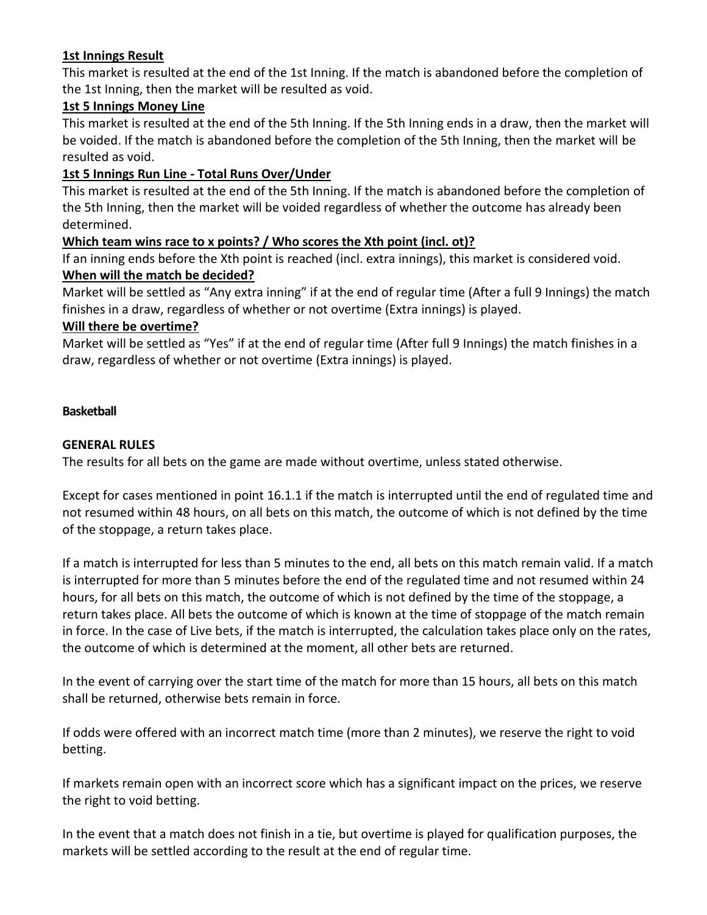## **1st Innings Result**

This market is resulted at the end of the 1st Inning. If the match is abandoned before the completion of the 1st Inning, then the market will be resulted as void.

## **1st 5 Innings Money Line**

This market is resulted at the end of the 5th Inning. If the 5th Inning ends in a draw, then the market will be voided. If the match is abandoned before the completion of the 5th Inning, then the market will be resulted as void.

## **1st 5 Innings Run Line - Total Runs Over/Under**

This market is resulted at the end of the 5th Inning. If the match is abandoned before the completion of the 5th Inning, then the market will be voided regardless of whether the outcome has already been determined.

## **Which team wins race to x points? / Who scores the Xth point (incl. ot)?**

If an inning ends before the Xth point is reached (incl. extra innings), this market is considered void. **When will the match be decided?**

Market will be settled as "Any extra inning" if at the end of regular time (After a full 9 Innings) the match finishes in a draw, regardless of whether or not overtime (Extra innings) is played.

#### **Will there be overtime?**

Market will be settled as "Yes" if at the end of regular time (After full 9 Innings) the match finishes in a draw, regardless of whether or not overtime (Extra innings) is played.

#### **Basketball**

#### **GENERAL RULES**

The results for all bets on the game are made without overtime, unless stated otherwise.

Except for cases mentioned in point 16.1.1 if the match is interrupted until the end of regulated time and not resumed within 48 hours, on all bets on this match, the outcome of which is not defined by the time of the stoppage, a return takes place.

If a match is interrupted for less than 5 minutes to the end, all bets on this match remain valid. If a match is interrupted for more than 5 minutes before the end of the regulated time and not resumed within 24 hours, for all bets on this match, the outcome of which is not defined by the time of the stoppage, a return takes place. All bets the outcome of which is known at the time of stoppage of the match remain in force. In the case of Live bets, if the match is interrupted, the calculation takes place only on the rates, the outcome of which is determined at the moment, all other bets are returned.

In the event of carrying over the start time of the match for more than 15 hours, all bets on this match shall be returned, otherwise bets remain in force.

If odds were offered with an incorrect match time (more than 2 minutes), we reserve the right to void betting.

If markets remain open with an incorrect score which has a significant impact on the prices, we reserve the right to void betting.

In the event that a match does not finish in a tie, but overtime is played for qualification purposes, the markets will be settled according to the result at the end of regular time.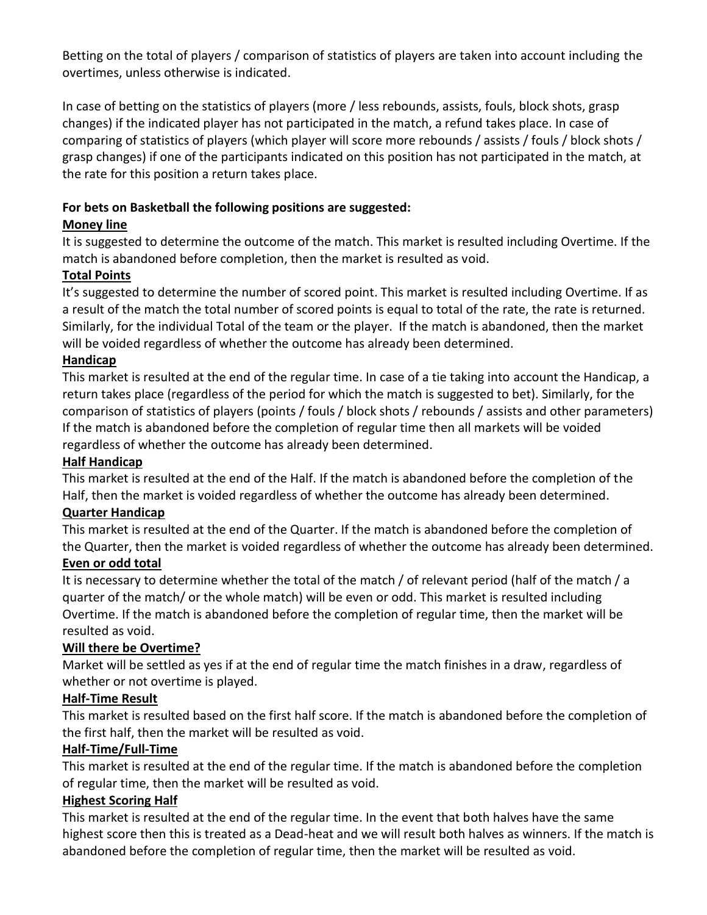Betting on the total of players / comparison of statistics of players are taken into account including the overtimes, unless otherwise is indicated.

In case of betting on the statistics of players (more / less rebounds, assists, fouls, block shots, grasp changes) if the indicated player has not participated in the match, a refund takes place. In case of comparing of statistics of players (which player will score more rebounds / assists / fouls / block shots / grasp changes) if one of the participants indicated on this position has not participated in the match, at the rate for this position a return takes place.

## **For bets on Basketball the following positions are suggested:**

## **Money line**

It is suggested to determine the outcome of the match. This market is resulted including Overtime. If the match is abandoned before completion, then the market is resulted as void.

# **Total Points**

It's suggested to determine the number of scored point. This market is resulted including Overtime. If as a result of the match the total number of scored points is equal to total of the rate, the rate is returned. Similarly, for the individual Total of the team or the player. If the match is abandoned, then the market will be voided regardless of whether the outcome has already been determined.

## **Handicap**

This market is resulted at the end of the regular time. In case of a tie taking into account the Handicap, a return takes place (regardless of the period for which the match is suggested to bet). Similarly, for the comparison of statistics of players (points / fouls / block shots / rebounds / assists and other parameters) If the match is abandoned before the completion of regular time then all markets will be voided regardless of whether the outcome has already been determined.

## **Half Handicap**

This market is resulted at the end of the Half. If the match is abandoned before the completion of the Half, then the market is voided regardless of whether the outcome has already been determined.

## **Quarter Handicap**

This market is resulted at the end of the Quarter. If the match is abandoned before the completion of the Quarter, then the market is voided regardless of whether the outcome has already been determined.

## **Even or odd total**

It is necessary to determine whether the total of the match / of relevant period (half of the match / a quarter of the match/ or the whole match) will be even or odd. This market is resulted including Overtime. If the match is abandoned before the completion of regular time, then the market will be resulted as void.

## **Will there be Overtime?**

Market will be settled as yes if at the end of regular time the match finishes in a draw, regardless of whether or not overtime is played.

## **Half-Time Result**

This market is resulted based on the first half score. If the match is abandoned before the completion of the first half, then the market will be resulted as void.

## **Half-Time/Full-Time**

This market is resulted at the end of the regular time. If the match is abandoned before the completion of regular time, then the market will be resulted as void.

## **Highest Scoring Half**

This market is resulted at the end of the regular time. In the event that both halves have the same highest score then this is treated as a Dead-heat and we will result both halves as winners. If the match is abandoned before the completion of regular time, then the market will be resulted as void.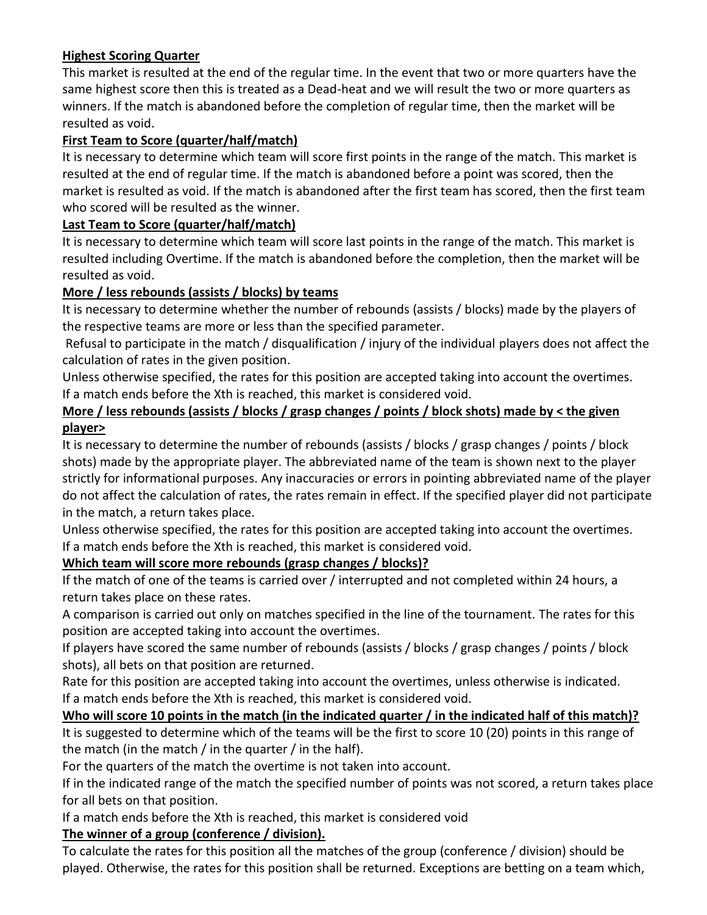## **Highest Scoring Quarter**

This market is resulted at the end of the regular time. In the event that two or more quarters have the same highest score then this is treated as a Dead-heat and we will result the two or more quarters as winners. If the match is abandoned before the completion of regular time, then the market will be resulted as void.

## **First Team to Score (quarter/half/match)**

It is necessary to determine which team will score first points in the range of the match. This market is resulted at the end of regular time. If the match is abandoned before a point was scored, then the market is resulted as void. If the match is abandoned after the first team has scored, then the first team who scored will be resulted as the winner.

### **Last Team to Score (quarter/half/match)**

It is necessary to determine which team will score last points in the range of the match. This market is resulted including Overtime. If the match is abandoned before the completion, then the market will be resulted as void.

## **More / less rebounds (assists / blocks) by teams**

It is necessary to determine whether the number of rebounds (assists / blocks) made by the players of the respective teams are more or less than the specified parameter.

Refusal to participate in the match / disqualification / injury of the individual players does not affect the calculation of rates in the given position.

Unless otherwise specified, the rates for this position are accepted taking into account the overtimes. If a match ends before the Xth is reached, this market is considered void.

## **More / less rebounds (assists / blocks / grasp changes / points / block shots) made by < the given player>**

It is necessary to determine the number of rebounds (assists / blocks / grasp changes / points / block shots) made by the appropriate player. The abbreviated name of the team is shown next to the player strictly for informational purposes. Any inaccuracies or errors in pointing abbreviated name of the player do not affect the calculation of rates, the rates remain in effect. If the specified player did not participate in the match, a return takes place.

Unless otherwise specified, the rates for this position are accepted taking into account the overtimes. If a match ends before the Xth is reached, this market is considered void.

## **Which team will score more rebounds (grasp changes / blocks)?**

If the match of one of the teams is carried over / interrupted and not completed within 24 hours, a return takes place on these rates.

A comparison is carried out only on matches specified in the line of the tournament. The rates for this position are accepted taking into account the overtimes.

If players have scored the same number of rebounds (assists / blocks / grasp changes / points / block shots), all bets on that position are returned.

Rate for this position are accepted taking into account the overtimes, unless otherwise is indicated. If a match ends before the Xth is reached, this market is considered void.

## **Who will score 10 points in the match (in the indicated quarter / in the indicated half of this match)?** It is suggested to determine which of the teams will be the first to score 10 (20) points in this range of the match (in the match / in the quarter / in the half).

For the quarters of the match the overtime is not taken into account.

If in the indicated range of the match the specified number of points was not scored, a return takes place for all bets on that position.

If a match ends before the Xth is reached, this market is considered void

## **The winner of a group (conference / division).**

To calculate the rates for this position all the matches of the group (conference / division) should be played. Otherwise, the rates for this position shall be returned. Exceptions are betting on a team which,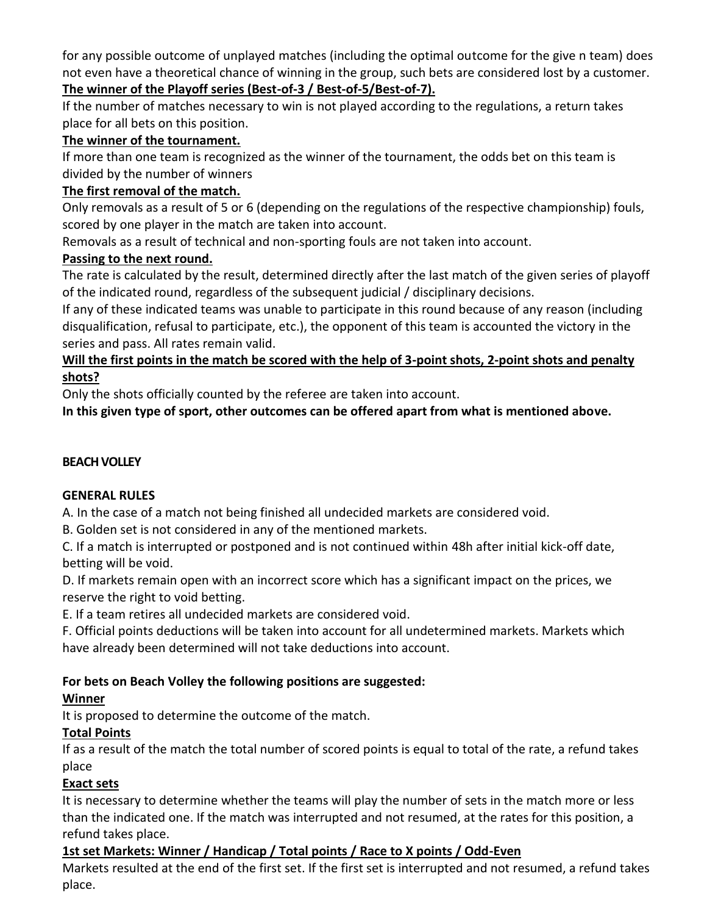for any possible outcome of unplayed matches (including the optimal outcome for the give n team) does not even have a theoretical chance of winning in the group, such bets are considered lost by a customer. **The winner of the Playoff series (Best-of-3 / Best-of-5/Best-of-7).**

If the number of matches necessary to win is not played according to the regulations, a return takes place for all bets on this position.

# **The winner of the tournament.**

If more than one team is recognized as the winner of the tournament, the odds bet on this team is divided by the number of winners

# **The first removal of the match.**

Only removals as a result of 5 or 6 (depending on the regulations of the respective championship) fouls, scored by one player in the match are taken into account.

Removals as a result of technical and non-sporting fouls are not taken into account.

# **Passing to the next round.**

The rate is calculated by the result, determined directly after the last match of the given series of playoff of the indicated round, regardless of the subsequent judicial / disciplinary decisions.

If any of these indicated teams was unable to participate in this round because of any reason (including disqualification, refusal to participate, etc.), the opponent of this team is accounted the victory in the series and pass. All rates remain valid.

## **Will the first points in the match be scored with the help of 3-point shots, 2-point shots and penalty shots?**

Only the shots officially counted by the referee are taken into account.

**In this given type of sport, other outcomes can be offered apart from what is mentioned above.**

# **BEACH VOLLEY**

# **GENERAL RULES**

A. In the case of a match not being finished all undecided markets are considered void.

B. Golden set is not considered in any of the mentioned markets.

C. If a match is interrupted or postponed and is not continued within 48h after initial kick-off date, betting will be void.

D. If markets remain open with an incorrect score which has a significant impact on the prices, we reserve the right to void betting.

E. If a team retires all undecided markets are considered void.

F. Official points deductions will be taken into account for all undetermined markets. Markets which have already been determined will not take deductions into account.

# **For bets on Beach Volley the following positions are suggested:**

# **Winner**

It is proposed to determine the outcome of the match.

# **Total Points**

If as a result of the match the total number of scored points is equal to total of the rate, a refund takes place

# **Exact sets**

It is necessary to determine whether the teams will play the number of sets in the match more or less than the indicated one. If the match was interrupted and not resumed, at the rates for this position, a refund takes place.

# **1st set Markets: Winner / Handicap / Total points / Race to X points / Odd-Even**

Markets resulted at the end of the first set. If the first set is interrupted and not resumed, a refund takes place.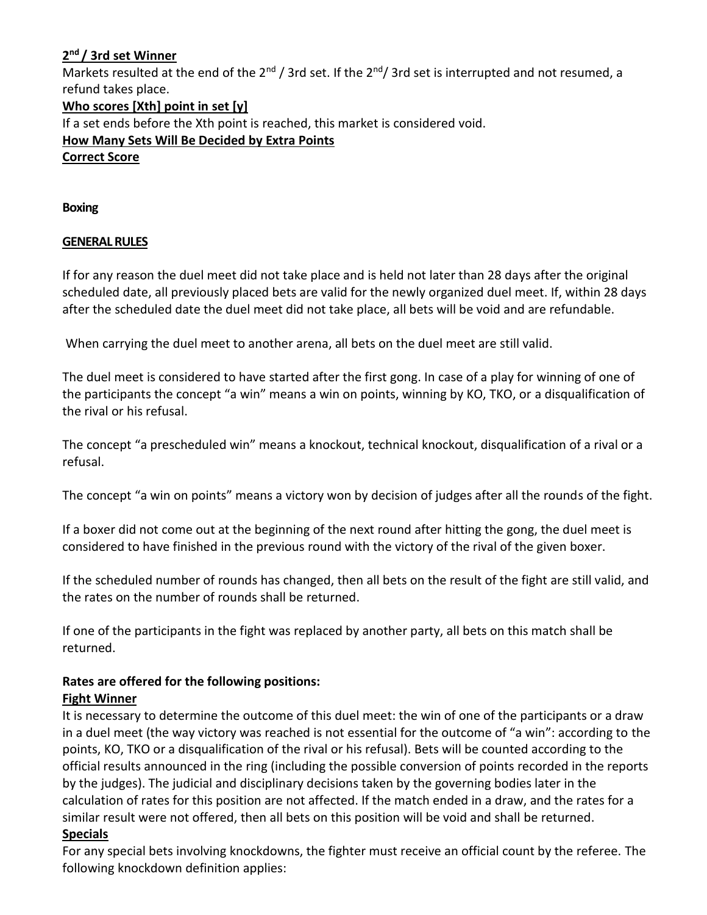## **2 nd / 3rd set Winner**

Markets resulted at the end of the  $2^{nd}$  / 3rd set. If the  $2^{nd}$  / 3rd set is interrupted and not resumed, a refund takes place.

## **Who scores [Xth] point in set [y]**

If a set ends before the Xth point is reached, this market is considered void.

## **How Many Sets Will Be Decided by Extra Points**

#### **Correct Score**

**Boxing**

## **GENERAL RULES**

If for any reason the duel meet did not take place and is held not later than 28 days after the original scheduled date, all previously placed bets are valid for the newly organized duel meet. If, within 28 days after the scheduled date the duel meet did not take place, all bets will be void and are refundable.

When carrying the duel meet to another arena, all bets on the duel meet are still valid.

The duel meet is considered to have started after the first gong. In case of a play for winning of one of the participants the concept "a win" means a win on points, winning by KO, TKO, or a disqualification of the rival or his refusal.

The concept "a prescheduled win" means a knockout, technical knockout, disqualification of a rival or a refusal.

The concept "a win on points" means a victory won by decision of judges after all the rounds of the fight.

If a boxer did not come out at the beginning of the next round after hitting the gong, the duel meet is considered to have finished in the previous round with the victory of the rival of the given boxer.

If the scheduled number of rounds has changed, then all bets on the result of the fight are still valid, and the rates on the number of rounds shall be returned.

If one of the participants in the fight was replaced by another party, all bets on this match shall be returned.

## **Rates are offered for the following positions: Fight Winner**

It is necessary to determine the outcome of this duel meet: the win of one of the participants or a draw in a duel meet (the way victory was reached is not essential for the outcome of "a win": according to the points, KO, TKO or a disqualification of the rival or his refusal). Bets will be counted according to the official results announced in the ring (including the possible conversion of points recorded in the reports by the judges). The judicial and disciplinary decisions taken by the governing bodies later in the calculation of rates for this position are not affected. If the match ended in a draw, and the rates for a similar result were not offered, then all bets on this position will be void and shall be returned.

## **Specials**

For any special bets involving knockdowns, the fighter must receive an official count by the referee. The following knockdown definition applies: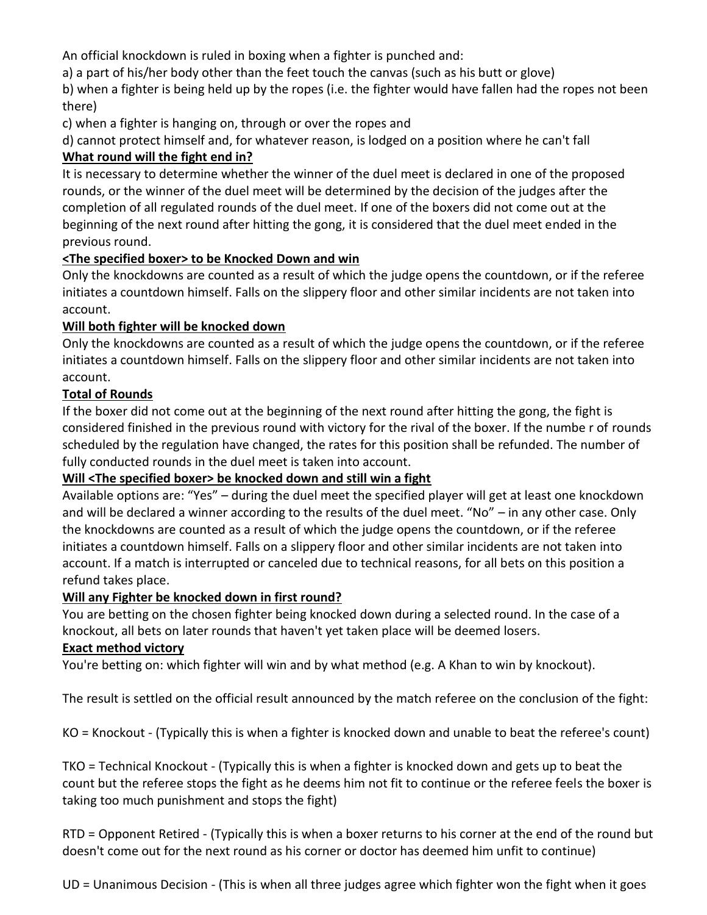An official knockdown is ruled in boxing when a fighter is punched and:

a) a part of his/her body other than the feet touch the canvas (such as his butt or glove)

b) when a fighter is being held up by the ropes (i.e. the fighter would have fallen had the ropes not been there)

c) when a fighter is hanging on, through or over the ropes and

d) cannot protect himself and, for whatever reason, is lodged on a position where he can't fall

# **What round will the fight end in?**

It is necessary to determine whether the winner of the duel meet is declared in one of the proposed rounds, or the winner of the duel meet will be determined by the decision of the judges after the completion of all regulated rounds of the duel meet. If one of the boxers did not come out at the beginning of the next round after hitting the gong, it is considered that the duel meet ended in the previous round.

## **<The specified boxer> to be Knocked Down and win**

Only the knockdowns are counted as a result of which the judge opens the countdown, or if the referee initiates a countdown himself. Falls on the slippery floor and other similar incidents are not taken into account.

## **Will both fighter will be knocked down**

Only the knockdowns are counted as a result of which the judge opens the countdown, or if the referee initiates a countdown himself. Falls on the slippery floor and other similar incidents are not taken into account.

## **Total of Rounds**

If the boxer did not come out at the beginning of the next round after hitting the gong, the fight is considered finished in the previous round with victory for the rival of the boxer. If the numbe r of rounds scheduled by the regulation have changed, the rates for this position shall be refunded. The number of fully conducted rounds in the duel meet is taken into account.

# **Will <The specified boxer> be knocked down and still win a fight**

Available options are: "Yes" – during the duel meet the specified player will get at least one knockdown and will be declared a winner according to the results of the duel meet. "No" – in any other case. Only the knockdowns are counted as a result of which the judge opens the countdown, or if the referee initiates a countdown himself. Falls on a slippery floor and other similar incidents are not taken into account. If a match is interrupted or canceled due to technical reasons, for all bets on this position a refund takes place.

## **Will any Fighter be knocked down in first round?**

You are betting on the chosen fighter being knocked down during a selected round. In the case of a knockout, all bets on later rounds that haven't yet taken place will be deemed losers.

## **Exact method victory**

You're betting on: which fighter will win and by what method (e.g. A Khan to win by knockout).

The result is settled on the official result announced by the match referee on the conclusion of the fight:

KO = Knockout - (Typically this is when a fighter is knocked down and unable to beat the referee's count)

TKO = Technical Knockout - (Typically this is when a fighter is knocked down and gets up to beat the count but the referee stops the fight as he deems him not fit to continue or the referee feels the boxer is taking too much punishment and stops the fight)

RTD = Opponent Retired - (Typically this is when a boxer returns to his corner at the end of the round but doesn't come out for the next round as his corner or doctor has deemed him unfit to continue)

UD = Unanimous Decision - (This is when all three judges agree which fighter won the fight when it goes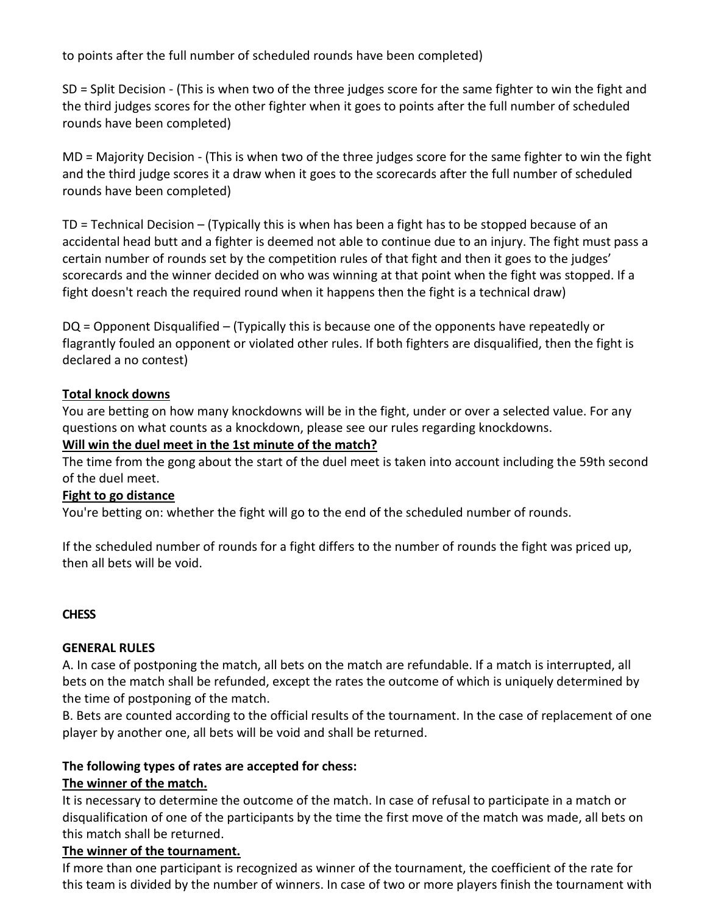to points after the full number of scheduled rounds have been completed)

SD = Split Decision - (This is when two of the three judges score for the same fighter to win the fight and the third judges scores for the other fighter when it goes to points after the full number of scheduled rounds have been completed)

MD = Majority Decision - (This is when two of the three judges score for the same fighter to win the fight and the third judge scores it a draw when it goes to the scorecards after the full number of scheduled rounds have been completed)

TD = Technical Decision – (Typically this is when has been a fight has to be stopped because of an accidental head butt and a fighter is deemed not able to continue due to an injury. The fight must pass a certain number of rounds set by the competition rules of that fight and then it goes to the judges' scorecards and the winner decided on who was winning at that point when the fight was stopped. If a fight doesn't reach the required round when it happens then the fight is a technical draw)

DQ = Opponent Disqualified – (Typically this is because one of the opponents have repeatedly or flagrantly fouled an opponent or violated other rules. If both fighters are disqualified, then the fight is declared a no contest)

## **Total knock downs**

You are betting on how many knockdowns will be in the fight, under or over a selected value. For any questions on what counts as a knockdown, please see our rules regarding knockdowns.

## **Will win the duel meet in the 1st minute of the match?**

The time from the gong about the start of the duel meet is taken into account including the 59th second of the duel meet.

## **Fight to go distance**

You're betting on: whether the fight will go to the end of the scheduled number of rounds.

If the scheduled number of rounds for a fight differs to the number of rounds the fight was priced up, then all bets will be void.

## **CHESS**

## **GENERAL RULES**

A. In case of postponing the match, all bets on the match are refundable. If a match is interrupted, all bets on the match shall be refunded, except the rates the outcome of which is uniquely determined by the time of postponing of the match.

B. Bets are counted according to the official results of the tournament. In the case of replacement of one player by another one, all bets will be void and shall be returned.

## **The following types of rates are accepted for chess:**

# **The winner of the match.**

It is necessary to determine the outcome of the match. In case of refusal to participate in a match or disqualification of one of the participants by the time the first move of the match was made, all bets on this match shall be returned.

# **The winner of the tournament.**

If more than one participant is recognized as winner of the tournament, the coefficient of the rate for this team is divided by the number of winners. In case of two or more players finish the tournament with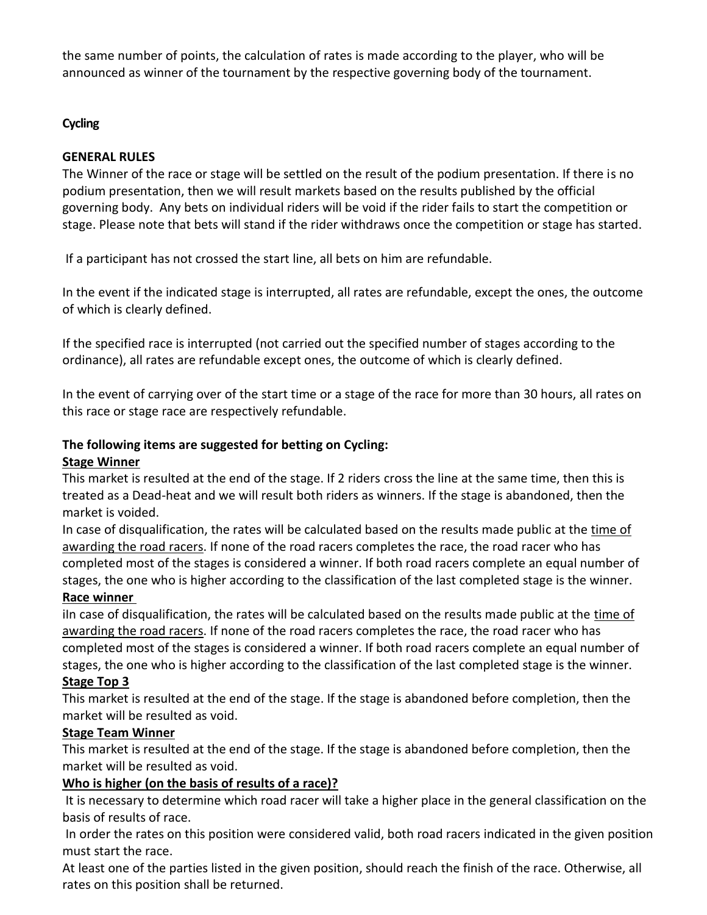the same number of points, the calculation of rates is made according to the player, who will be announced as winner of the tournament by the respective governing body of the tournament.

## **Cycling**

## **GENERAL RULES**

The Winner of the race or stage will be settled on the result of the podium presentation. If there is no podium presentation, then we will result markets based on the results published by the official governing body. Any bets on individual riders will be void if the rider fails to start the competition or stage. Please note that bets will stand if the rider withdraws once the competition or stage has started.

If a participant has not crossed the start line, all bets on him are refundable.

In the event if the indicated stage is interrupted, all rates are refundable, except the ones, the outcome of which is clearly defined.

If the specified race is interrupted (not carried out the specified number of stages according to the ordinance), all rates are refundable except ones, the outcome of which is clearly defined.

In the event of carrying over of the start time or a stage of the race for more than 30 hours, all rates on this race or stage race are respectively refundable.

## **The following items are suggested for betting on Cycling:**

## **Stage Winner**

This market is resulted at the end of the stage. If 2 riders cross the line at the same time, then this is treated as a Dead-heat and we will result both riders as winners. If the stage is abandoned, then the market is voided.

In case of disqualification, the rates will be calculated based on the results made public at the time of awarding the road racers. If none of the road racers completes the race, the road racer who has completed most of the stages is considered a winner. If both road racers complete an equal number of stages, the one who is higher according to the classification of the last completed stage is the winner. **Race winner**

iln case of disqualification, the rates will be calculated based on the results made public at the time of awarding the road racers. If none of the road racers completes the race, the road racer who has completed most of the stages is considered a winner. If both road racers complete an equal number of stages, the one who is higher according to the classification of the last completed stage is the winner.

## **Stage Top 3**

This market is resulted at the end of the stage. If the stage is abandoned before completion, then the market will be resulted as void.

## **Stage Team Winner**

This market is resulted at the end of the stage. If the stage is abandoned before completion, then the market will be resulted as void.

# **Who is higher (on the basis of results of a race)?**

It is necessary to determine which road racer will take a higher place in the general classification on the basis of results of race.

In order the rates on this position were considered valid, both road racers indicated in the given position must start the race.

At least one of the parties listed in the given position, should reach the finish of the race. Otherwise, all rates on this position shall be returned.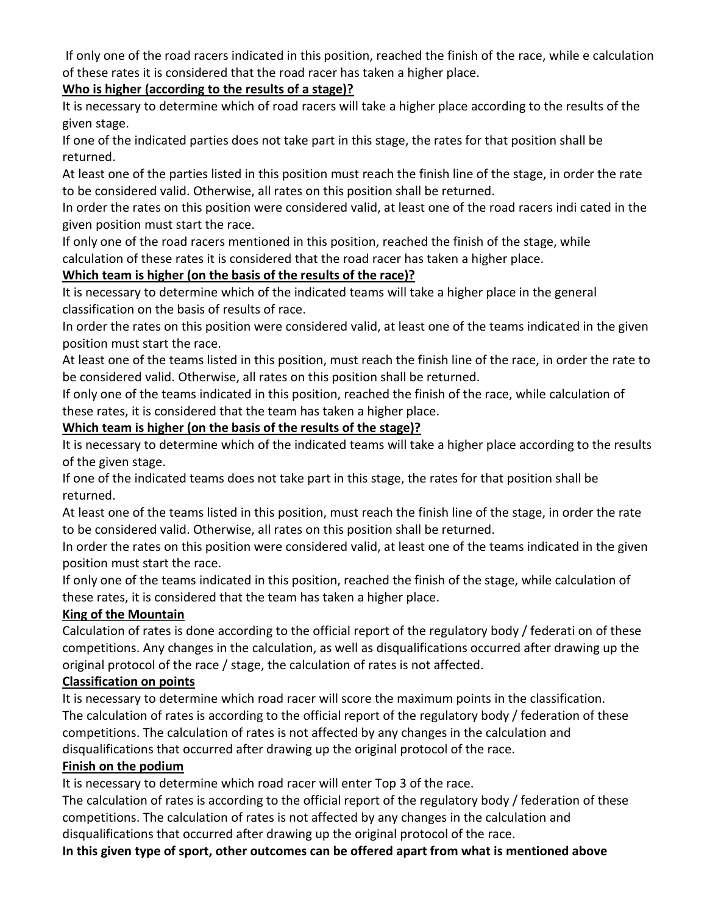If only one of the road racers indicated in this position, reached the finish of the race, while e calculation of these rates it is considered that the road racer has taken a higher place.

# **Who is higher (according to the results of a stage)?**

It is necessary to determine which of road racers will take a higher place according to the results of the given stage.

If one of the indicated parties does not take part in this stage, the rates for that position shall be returned.

At least one of the parties listed in this position must reach the finish line of the stage, in order the rate to be considered valid. Otherwise, all rates on this position shall be returned.

In order the rates on this position were considered valid, at least one of the road racers indi cated in the given position must start the race.

If only one of the road racers mentioned in this position, reached the finish of the stage, while calculation of these rates it is considered that the road racer has taken a higher place.

# **Which team is higher (on the basis of the results of the race)?**

It is necessary to determine which of the indicated teams will take a higher place in the general classification on the basis of results of race.

In order the rates on this position were considered valid, at least one of the teams indicated in the given position must start the race.

At least one of the teams listed in this position, must reach the finish line of the race, in order the rate to be considered valid. Otherwise, all rates on this position shall be returned.

If only one of the teams indicated in this position, reached the finish of the race, while calculation of these rates, it is considered that the team has taken a higher place.

# **Which team is higher (on the basis of the results of the stage)?**

It is necessary to determine which of the indicated teams will take a higher place according to the results of the given stage.

If one of the indicated teams does not take part in this stage, the rates for that position shall be returned.

At least one of the teams listed in this position, must reach the finish line of the stage, in order the rate to be considered valid. Otherwise, all rates on this position shall be returned.

In order the rates on this position were considered valid, at least one of the teams indicated in the given position must start the race.

If only one of the teams indicated in this position, reached the finish of the stage, while calculation of these rates, it is considered that the team has taken a higher place.

# **King of the Mountain**

Calculation of rates is done according to the official report of the regulatory body / federati on of these competitions. Any changes in the calculation, as well as disqualifications occurred after drawing up the original protocol of the race / stage, the calculation of rates is not affected.

# **Classification on points**

It is necessary to determine which road racer will score the maximum points in the classification. The calculation of rates is according to the official report of the regulatory body / federation of these competitions. The calculation of rates is not affected by any changes in the calculation and disqualifications that occurred after drawing up the original protocol of the race.

# **Finish on the podium**

It is necessary to determine which road racer will enter Top 3 of the race.

The calculation of rates is according to the official report of the regulatory body / federation of these competitions. The calculation of rates is not affected by any changes in the calculation and disqualifications that occurred after drawing up the original protocol of the race.

**In this given type of sport, other outcomes can be offered apart from what is mentioned above**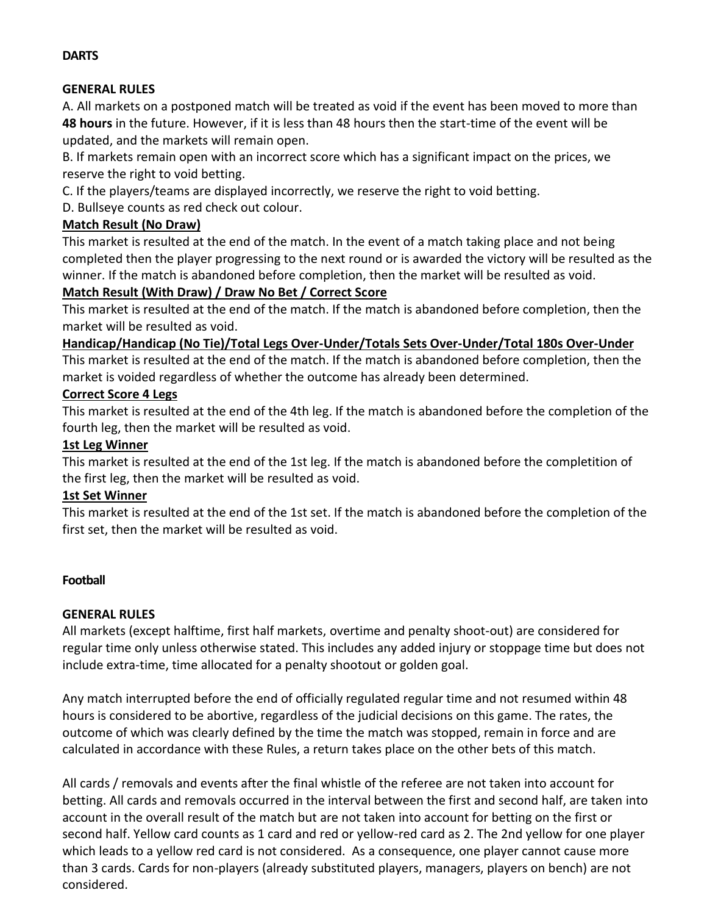#### **DARTS**

#### **GENERAL RULES**

A. All markets on a postponed match will be treated as void if the event has been moved to more than **48 hours** in the future. However, if it is less than 48 hours then the start-time of the event will be updated, and the markets will remain open.

B. If markets remain open with an incorrect score which has a significant impact on the prices, we reserve the right to void betting.

C. If the players/teams are displayed incorrectly, we reserve the right to void betting.

D. Bullseye counts as red check out colour.

### **Match Result (No Draw)**

This market is resulted at the end of the match. In the event of a match taking place and not being completed then the player progressing to the next round or is awarded the victory will be resulted as the winner. If the match is abandoned before completion, then the market will be resulted as void.

#### **Match Result (With Draw) / Draw No Bet / Correct Score**

This market is resulted at the end of the match. If the match is abandoned before completion, then the market will be resulted as void.

#### **Handicap/Handicap (No Tie)/Total Legs Over-Under/Totals Sets Over-Under/Total 180s Over-Under**

This market is resulted at the end of the match. If the match is abandoned before completion, then the market is voided regardless of whether the outcome has already been determined.

#### **Correct Score 4 Legs**

This market is resulted at the end of the 4th leg. If the match is abandoned before the completion of the fourth leg, then the market will be resulted as void.

#### **1st Leg Winner**

This market is resulted at the end of the 1st leg. If the match is abandoned before the completition of the first leg, then the market will be resulted as void.

#### **1st Set Winner**

This market is resulted at the end of the 1st set. If the match is abandoned before the completion of the first set, then the market will be resulted as void.

#### **Football**

#### **GENERAL RULES**

All markets (except halftime, first half markets, overtime and penalty shoot-out) are considered for regular time only unless otherwise stated. This includes any added injury or stoppage time but does not include extra-time, time allocated for a penalty shootout or golden goal.

Any match interrupted before the end of officially regulated regular time and not resumed within 48 hours is considered to be abortive, regardless of the judicial decisions on this game. The rates, the outcome of which was clearly defined by the time the match was stopped, remain in force and are calculated in accordance with these Rules, a return takes place on the other bets of this match.

All cards / removals and events after the final whistle of the referee are not taken into account for betting. All cards and removals occurred in the interval between the first and second half, are taken into account in the overall result of the match but are not taken into account for betting on the first or second half. Yellow card counts as 1 card and red or yellow-red card as 2. The 2nd yellow for one player which leads to a yellow red card is not considered. As a consequence, one player cannot cause more than 3 cards. Cards for non-players (already substituted players, managers, players on bench) are not considered.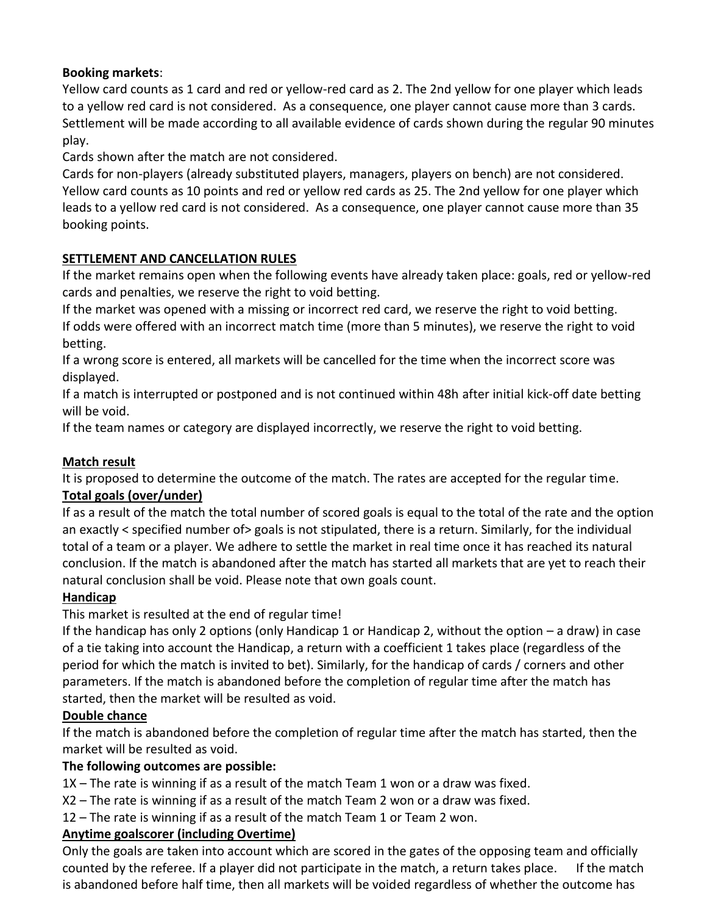# **Booking markets**:

Yellow card counts as 1 card and red or yellow-red card as 2. The 2nd yellow for one player which leads to a yellow red card is not considered. As a consequence, one player cannot cause more than 3 cards. Settlement will be made according to all available evidence of cards shown during the regular 90 minutes play.

Cards shown after the match are not considered.

Cards for non-players (already substituted players, managers, players on bench) are not considered. Yellow card counts as 10 points and red or yellow red cards as 25. The 2nd yellow for one player which leads to a yellow red card is not considered. As a consequence, one player cannot cause more than 35 booking points.

## **SETTLEMENT AND CANCELLATION RULES**

If the market remains open when the following events have already taken place: goals, red or yellow-red cards and penalties, we reserve the right to void betting.

If the market was opened with a missing or incorrect red card, we reserve the right to void betting. If odds were offered with an incorrect match time (more than 5 minutes), we reserve the right to void betting.

If a wrong score is entered, all markets will be cancelled for the time when the incorrect score was displayed.

If a match is interrupted or postponed and is not continued within 48h after initial kick-off date betting will be void.

If the team names or category are displayed incorrectly, we reserve the right to void betting.

## **Match result**

It is proposed to determine the outcome of the match. The rates are accepted for the regular time. **Total goals (over/under)**

If as a result of the match the total number of scored goals is equal to the total of the rate and the option an exactly < specified number of> goals is not stipulated, there is a return. Similarly, for the individual total of a team or a player. We adhere to settle the market in real time once it has reached its natural conclusion. If the match is abandoned after the match has started all markets that are yet to reach their natural conclusion shall be void. Please note that own goals count.

## **Handicap**

This market is resulted at the end of regular time!

If the handicap has only 2 options (only Handicap 1 or Handicap 2, without the option – a draw) in case of a tie taking into account the Handicap, a return with a coefficient 1 takes place (regardless of the period for which the match is invited to bet). Similarly, for the handicap of cards / corners and other parameters. If the match is abandoned before the completion of regular time after the match has started, then the market will be resulted as void.

## **Double chance**

If the match is abandoned before the completion of regular time after the match has started, then the market will be resulted as void.

## **The following outcomes are possible:**

1X – The rate is winning if as a result of the match Team 1 won or a draw was fixed.

- X2 The rate is winning if as a result of the match Team 2 won or a draw was fixed.
- 12 The rate is winning if as a result of the match Team 1 or Team 2 won.

## **Anytime goalscorer (including Overtime)**

Only the goals are taken into account which are scored in the gates of the opposing team and officially counted by the referee. If a player did not participate in the match, a return takes place. If the match is abandoned before half time, then all markets will be voided regardless of whether the outcome has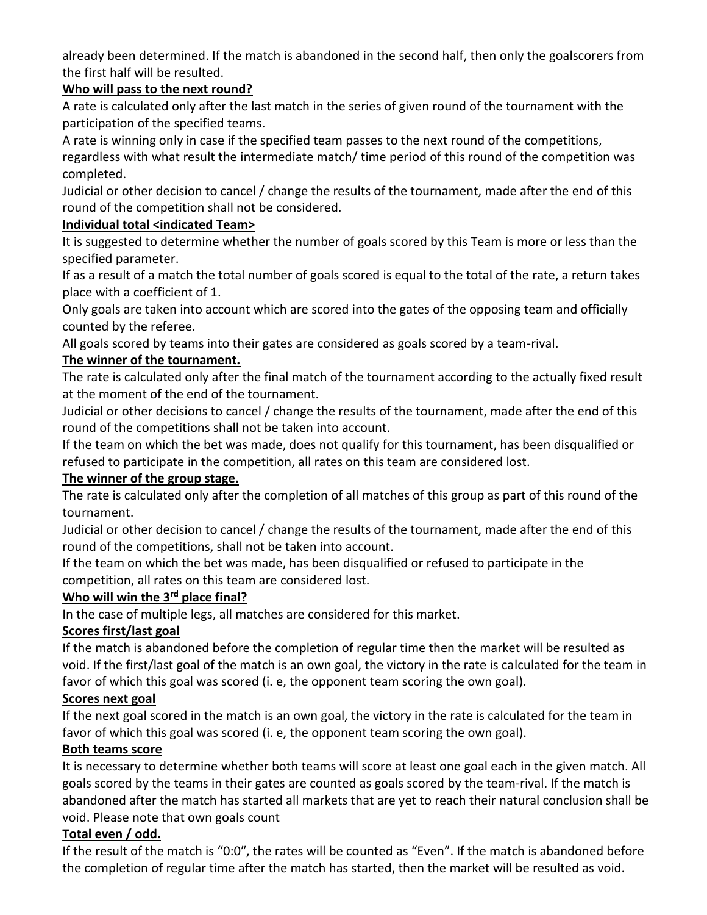already been determined. If the match is abandoned in the second half, then only the goalscorers from the first half will be resulted.

## **Who will pass to the next round?**

A rate is calculated only after the last match in the series of given round of the tournament with the participation of the specified teams.

A rate is winning only in case if the specified team passes to the next round of the competitions, regardless with what result the intermediate match/ time period of this round of the competition was completed.

Judicial or other decision to cancel / change the results of the tournament, made after the end of this round of the competition shall not be considered.

## **Individual total <indicated Team>**

It is suggested to determine whether the number of goals scored by this Team is more or less than the specified parameter.

If as a result of a match the total number of goals scored is equal to the total of the rate, a return takes place with a coefficient of 1.

Only goals are taken into account which are scored into the gates of the opposing team and officially counted by the referee.

All goals scored by teams into their gates are considered as goals scored by a team-rival.

## **The winner of the tournament.**

The rate is calculated only after the final match of the tournament according to the actually fixed result at the moment of the end of the tournament.

Judicial or other decisions to cancel / change the results of the tournament, made after the end of this round of the competitions shall not be taken into account.

If the team on which the bet was made, does not qualify for this tournament, has been disqualified or refused to participate in the competition, all rates on this team are considered lost.

## **The winner of the group stage.**

The rate is calculated only after the completion of all matches of this group as part of this round of the tournament.

Judicial or other decision to cancel / change the results of the tournament, made after the end of this round of the competitions, shall not be taken into account.

If the team on which the bet was made, has been disqualified or refused to participate in the competition, all rates on this team are considered lost.

## **Who will win the 3rd place final?**

In the case of multiple legs, all matches are considered for this market.

## **Scores first/last goal**

If the match is abandoned before the completion of regular time then the market will be resulted as void. If the first/last goal of the match is an own goal, the victory in the rate is calculated for the team in favor of which this goal was scored (i. e, the opponent team scoring the own goal).

## **Scores next goal**

If the next goal scored in the match is an own goal, the victory in the rate is calculated for the team in favor of which this goal was scored (i. e, the opponent team scoring the own goal).

## **Both teams score**

It is necessary to determine whether both teams will score at least one goal each in the given match. All goals scored by the teams in their gates are counted as goals scored by the team-rival. If the match is abandoned after the match has started all markets that are yet to reach their natural conclusion shall be void. Please note that own goals count

# **Total even / odd.**

If the result of the match is "0:0", the rates will be counted as "Even". If the match is abandoned before the completion of regular time after the match has started, then the market will be resulted as void.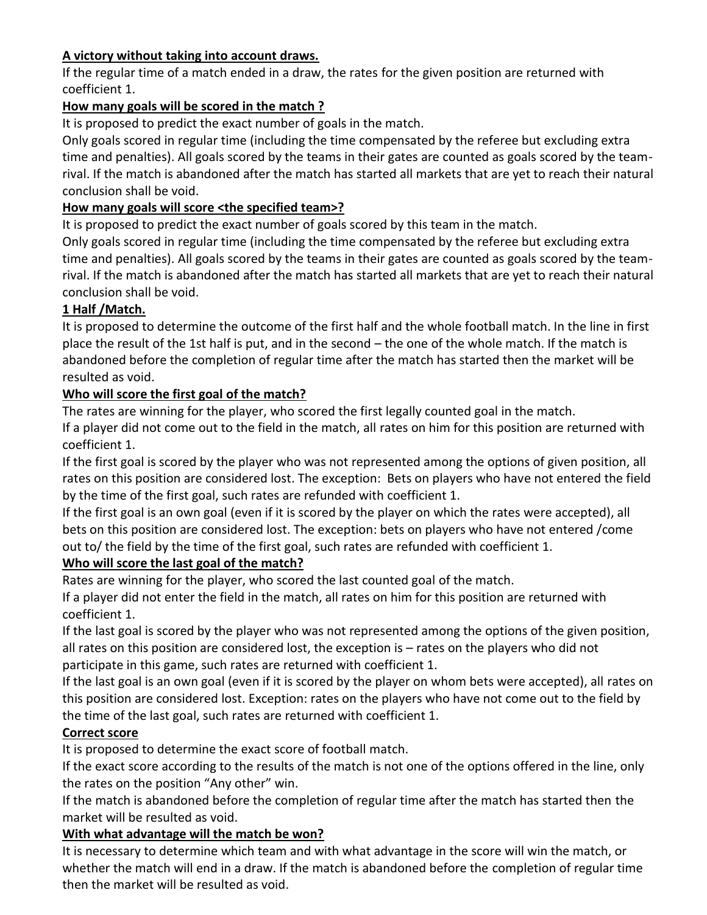# **A victory without taking into account draws.**

If the regular time of a match ended in a draw, the rates for the given position are returned with coefficient 1.

## **How many goals will be scored in the match ?**

It is proposed to predict the exact number of goals in the match.

Only goals scored in regular time (including the time compensated by the referee but excluding extra time and penalties). All goals scored by the teams in their gates are counted as goals scored by the teamrival. If the match is abandoned after the match has started all markets that are yet to reach their natural conclusion shall be void.

## **How many goals will score <the specified team>?**

It is proposed to predict the exact number of goals scored by this team in the match.

Only goals scored in regular time (including the time compensated by the referee but excluding extra time and penalties). All goals scored by the teams in their gates are counted as goals scored by the teamrival. If the match is abandoned after the match has started all markets that are yet to reach their natural conclusion shall be void.

## **1 Half /Match.**

It is proposed to determine the outcome of the first half and the whole football match. In the line in first place the result of the 1st half is put, and in the second – the one of the whole match. If the match is abandoned before the completion of regular time after the match has started then the market will be resulted as void.

## **Who will score the first goal of the match?**

The rates are winning for the player, who scored the first legally counted goal in the match. If a player did not come out to the field in the match, all rates on him for this position are returned with coefficient 1.

If the first goal is scored by the player who was not represented among the options of given position, all rates on this position are considered lost. The exception: Bets on players who have not entered the field by the time of the first goal, such rates are refunded with coefficient 1.

If the first goal is an own goal (even if it is scored by the player on which the rates were accepted), all bets on this position are considered lost. The exception: bets on players who have not entered /come out to/ the field by the time of the first goal, such rates are refunded with coefficient 1.

# **Who will score the last goal of the match?**

Rates are winning for the player, who scored the last counted goal of the match.

If a player did not enter the field in the match, all rates on him for this position are returned with coefficient 1.

If the last goal is scored by the player who was not represented among the options of the given position, all rates on this position are considered lost, the exception is – rates on the players who did not participate in this game, such rates are returned with coefficient 1.

If the last goal is an own goal (even if it is scored by the player on whom bets were accepted), all rates on this position are considered lost. Exception: rates on the players who have not come out to the field by the time of the last goal, such rates are returned with coefficient 1.

# **Correct score**

It is proposed to determine the exact score of football match.

If the exact score according to the results of the match is not one of the options offered in the line, only the rates on the position "Any other" win.

If the match is abandoned before the completion of regular time after the match has started then the market will be resulted as void.

## **With what advantage will the match be won?**

It is necessary to determine which team and with what advantage in the score will win the match, or whether the match will end in a draw. If the match is abandoned before the completion of regular time then the market will be resulted as void.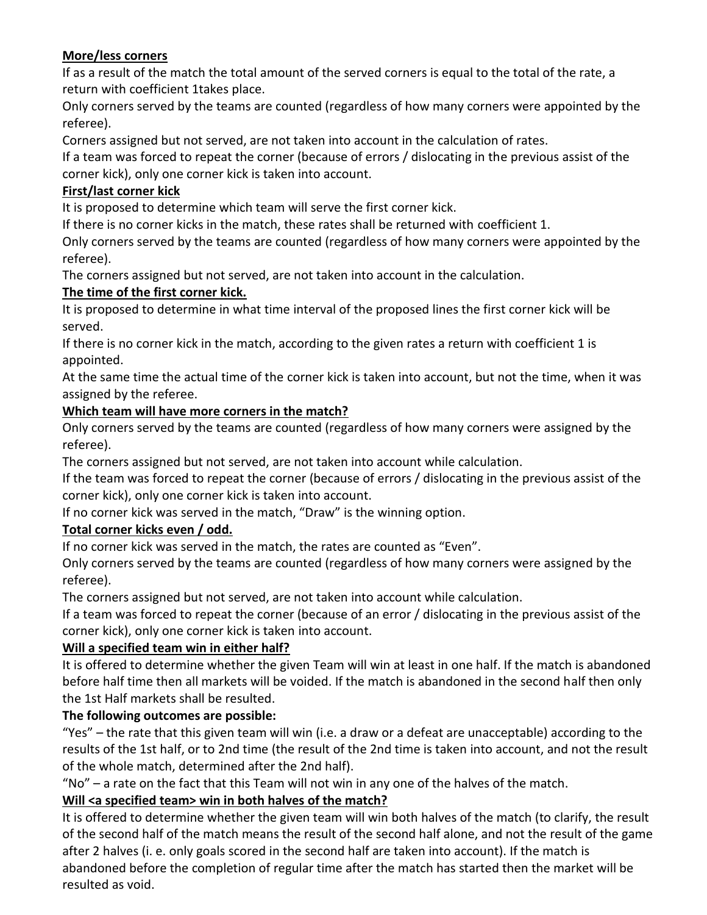# **More/less corners**

If as a result of the match the total amount of the served corners is equal to the total of the rate, a return with coefficient 1takes place.

Only corners served by the teams are counted (regardless of how many corners were appointed by the referee).

Corners assigned but not served, are not taken into account in the calculation of rates.

If a team was forced to repeat the corner (because of errors / dislocating in the previous assist of the corner kick), only one corner kick is taken into account.

# **First/last corner kick**

It is proposed to determine which team will serve the first corner kick.

If there is no corner kicks in the match, these rates shall be returned with coefficient 1.

Only corners served by the teams are counted (regardless of how many corners were appointed by the referee).

The corners assigned but not served, are not taken into account in the calculation.

# **The time of the first corner kick.**

It is proposed to determine in what time interval of the proposed lines the first corner kick will be served.

If there is no corner kick in the match, according to the given rates a return with coefficient 1 is appointed.

At the same time the actual time of the corner kick is taken into account, but not the time, when it was assigned by the referee.

# **Which team will have more corners in the match?**

Only corners served by the teams are counted (regardless of how many corners were assigned by the referee).

The corners assigned but not served, are not taken into account while calculation.

If the team was forced to repeat the corner (because of errors / dislocating in the previous assist of the corner kick), only one corner kick is taken into account.

If no corner kick was served in the match, "Draw" is the winning option.

# **Total corner kicks even / odd.**

If no corner kick was served in the match, the rates are counted as "Even".

Only corners served by the teams are counted (regardless of how many corners were assigned by the referee).

The corners assigned but not served, are not taken into account while calculation.

If a team was forced to repeat the corner (because of an error / dislocating in the previous assist of the corner kick), only one corner kick is taken into account.

# **Will a specified team win in either half?**

It is offered to determine whether the given Team will win at least in one half. If the match is abandoned before half time then all markets will be voided. If the match is abandoned in the second half then only the 1st Half markets shall be resulted.

# **The following outcomes are possible:**

"Yes" – the rate that this given team will win (i.e. a draw or a defeat are unacceptable) according to the results of the 1st half, or to 2nd time (the result of the 2nd time is taken into account, and not the result of the whole match, determined after the 2nd half).

"No" – a rate on the fact that this Team will not win in any one of the halves of the match.

# **Will <a specified team> win in both halves of the match?**

It is offered to determine whether the given team will win both halves of the match (to clarify, the result of the second half of the match means the result of the second half alone, and not the result of the game after 2 halves (i. e. only goals scored in the second half are taken into account). If the match is abandoned before the completion of regular time after the match has started then the market will be resulted as void.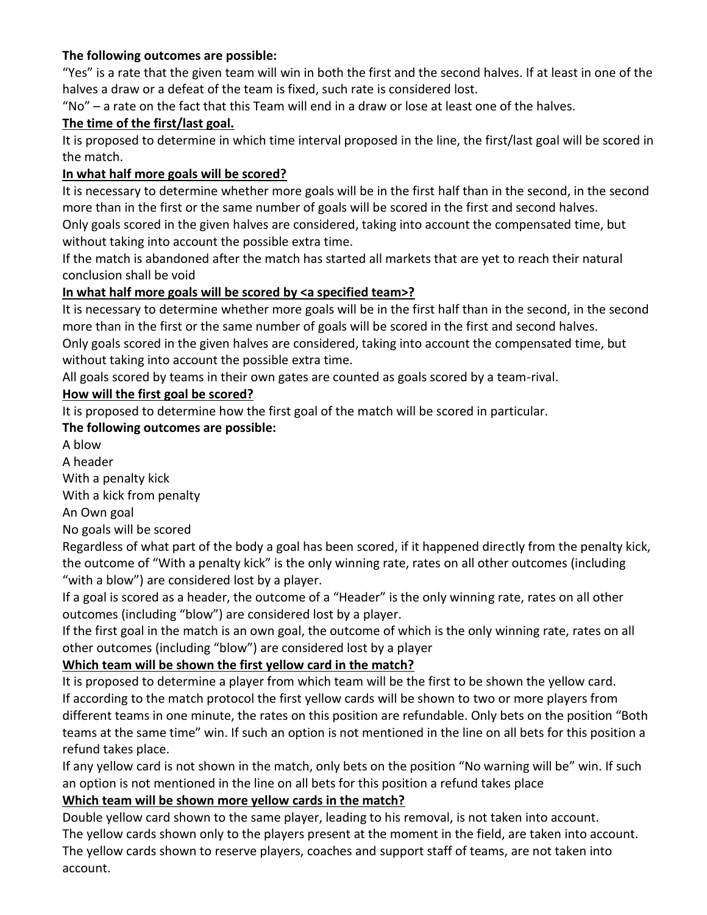## **The following outcomes are possible:**

"Yes" is a rate that the given team will win in both the first and the second halves. If at least in one of the halves a draw or a defeat of the team is fixed, such rate is considered lost.

"No" – a rate on the fact that this Team will end in a draw or lose at least one of the halves.

## **The time of the first/last goal.**

It is proposed to determine in which time interval proposed in the line, the first/last goal will be scored in the match.

#### **In what half more goals will be scored?**

It is necessary to determine whether more goals will be in the first half than in the second, in the second more than in the first or the same number of goals will be scored in the first and second halves.

Only goals scored in the given halves are considered, taking into account the compensated time, but without taking into account the possible extra time.

If the match is abandoned after the match has started all markets that are yet to reach their natural conclusion shall be void

## **In what half more goals will be scored by <a specified team>?**

It is necessary to determine whether more goals will be in the first half than in the second, in the second more than in the first or the same number of goals will be scored in the first and second halves. Only goals scored in the given halves are considered, taking into account the compensated time, but without taking into account the possible extra time.

All goals scored by teams in their own gates are counted as goals scored by a team-rival.

## **How will the first goal be scored?**

It is proposed to determine how the first goal of the match will be scored in particular.

## **The following outcomes are possible:**

A blow

A header

With a penalty kick

With a kick from penalty

An Own goal

No goals will be scored

Regardless of what part of the body a goal has been scored, if it happened directly from the penalty kick, the outcome of "With a penalty kick" is the only winning rate, rates on all other outcomes (including "with a blow") are considered lost by a player.

If a goal is scored as a header, the outcome of a "Header" is the only winning rate, rates on all other outcomes (including "blow") are considered lost by a player.

If the first goal in the match is an own goal, the outcome of which is the only winning rate, rates on all other outcomes (including "blow") are considered lost by a player

# **Which team will be shown the first yellow card in the match?**

It is proposed to determine a player from which team will be the first to be shown the yellow card. If according to the match protocol the first yellow cards will be shown to two or more players from different teams in one minute, the rates on this position are refundable. Only bets on the position "Both teams at the same time" win. If such an option is not mentioned in the line on all bets for this position a refund takes place.

If any yellow card is not shown in the match, only bets on the position "No warning will be" win. If such an option is not mentioned in the line on all bets for this position a refund takes place

# **Which team will be shown more yellow cards in the match?**

Double yellow card shown to the same player, leading to his removal, is not taken into account. The yellow cards shown only to the players present at the moment in the field, are taken into account. The yellow cards shown to reserve players, coaches and support staff of teams, are not taken into account.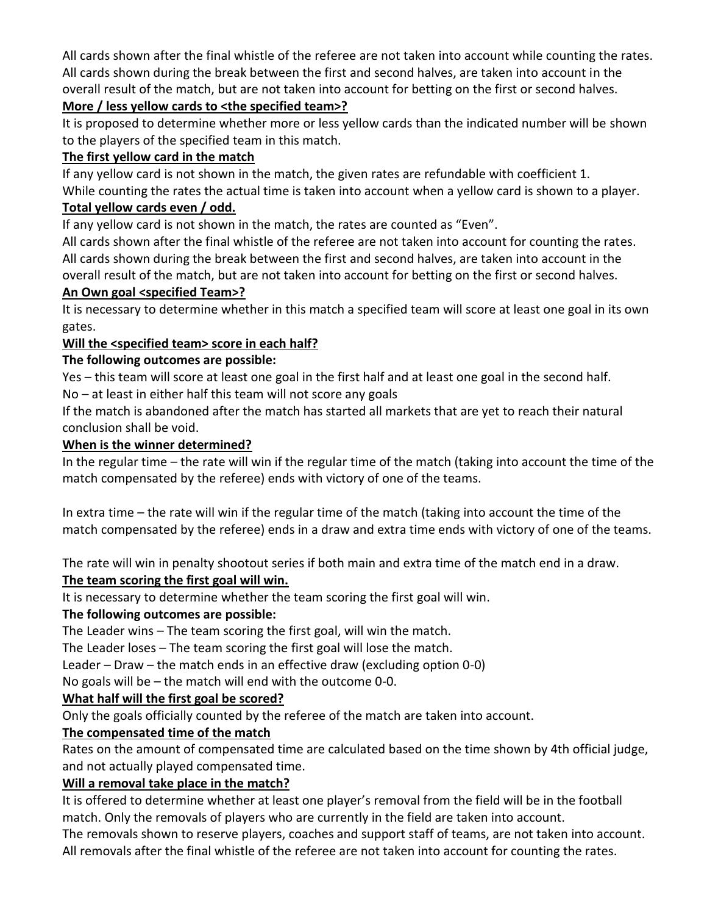All cards shown after the final whistle of the referee are not taken into account while counting the rates. All cards shown during the break between the first and second halves, are taken into account in the overall result of the match, but are not taken into account for betting on the first or second halves.

# **More / less yellow cards to <the specified team>?**

It is proposed to determine whether more or less yellow cards than the indicated number will be shown to the players of the specified team in this match.

#### **The first yellow card in the match**

If any yellow card is not shown in the match, the given rates are refundable with coefficient 1. While counting the rates the actual time is taken into account when a yellow card is shown to a player. **Total yellow cards even / odd.** 

If any yellow card is not shown in the match, the rates are counted as "Even".

All cards shown after the final whistle of the referee are not taken into account for counting the rates. All cards shown during the break between the first and second halves, are taken into account in the overall result of the match, but are not taken into account for betting on the first or second halves.

## **An Own goal <specified Team>?**

It is necessary to determine whether in this match a specified team will score at least one goal in its own gates.

## **Will the <specified team> score in each half?**

# **The following outcomes are possible:**

Yes – this team will score at least one goal in the first half and at least one goal in the second half. No – at least in either half this team will not score any goals

If the match is abandoned after the match has started all markets that are yet to reach their natural conclusion shall be void.

## **When is the winner determined?**

In the regular time – the rate will win if the regular time of the match (taking into account the time of the match compensated by the referee) ends with victory of one of the teams.

In extra time – the rate will win if the regular time of the match (taking into account the time of the match compensated by the referee) ends in a draw and extra time ends with victory of one of the teams.

The rate will win in penalty shootout series if both main and extra time of the match end in a draw.

# **The team scoring the first goal will win.**

It is necessary to determine whether the team scoring the first goal will win.

# **The following outcomes are possible:**

The Leader wins – The team scoring the first goal, will win the match.

The Leader loses – The team scoring the first goal will lose the match.

Leader – Draw – the match ends in an effective draw (excluding option 0-0)

No goals will be – the match will end with the outcome 0-0.

# **What half will the first goal be scored?**

Only the goals officially counted by the referee of the match are taken into account.

# **The compensated time of the match**

Rates on the amount of compensated time are calculated based on the time shown by 4th official judge, and not actually played compensated time.

# **Will a removal take place in the match?**

It is offered to determine whether at least one player's removal from the field will be in the football match. Only the removals of players who are currently in the field are taken into account.

The removals shown to reserve players, coaches and support staff of teams, are not taken into account. All removals after the final whistle of the referee are not taken into account for counting the rates.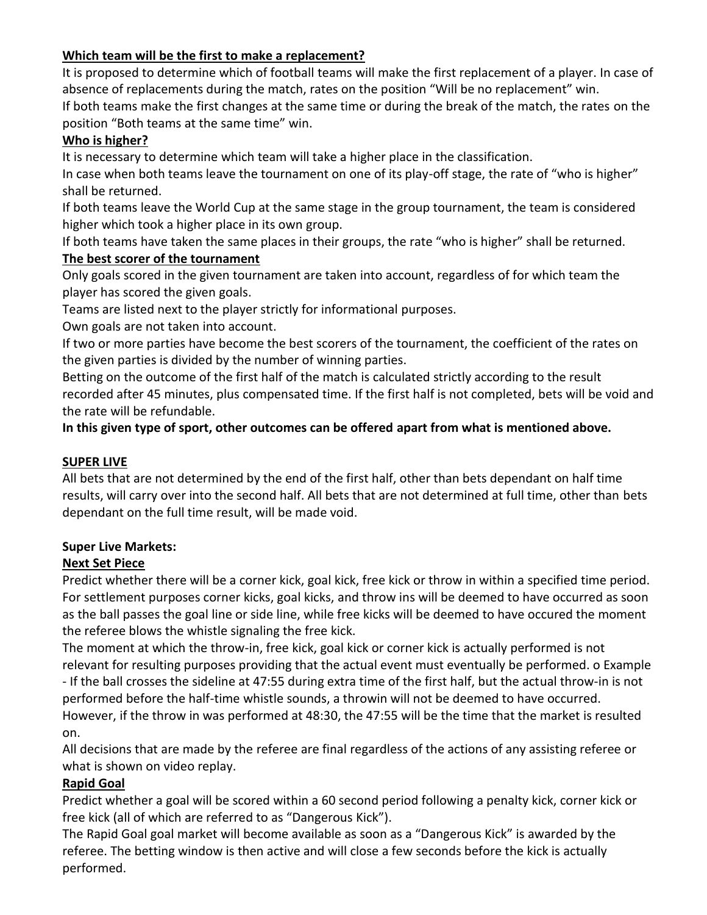## **Which team will be the first to make a replacement?**

It is proposed to determine which of football teams will make the first replacement of a player. In case of absence of replacements during the match, rates on the position "Will be no replacement" win.

If both teams make the first changes at the same time or during the break of the match, the rates on the position "Both teams at the same time" win.

#### **Who is higher?**

It is necessary to determine which team will take a higher place in the classification.

In case when both teams leave the tournament on one of its play-off stage, the rate of "who is higher" shall be returned.

If both teams leave the World Cup at the same stage in the group tournament, the team is considered higher which took a higher place in its own group.

If both teams have taken the same places in their groups, the rate "who is higher" shall be returned.

#### **The best scorer of the tournament**

Only goals scored in the given tournament are taken into account, regardless of for which team the player has scored the given goals.

Teams are listed next to the player strictly for informational purposes.

Own goals are not taken into account.

If two or more parties have become the best scorers of the tournament, the coefficient of the rates on the given parties is divided by the number of winning parties.

Betting on the outcome of the first half of the match is calculated strictly according to the result recorded after 45 minutes, plus compensated time. If the first half is not completed, bets will be void and the rate will be refundable.

**In this given type of sport, other outcomes can be offered apart from what is mentioned above.**

#### **SUPER LIVE**

All bets that are not determined by the end of the first half, other than bets dependant on half time results, will carry over into the second half. All bets that are not determined at full time, other than bets dependant on the full time result, will be made void.

#### **Super Live Markets:**

#### **Next Set Piece**

Predict whether there will be a corner kick, goal kick, free kick or throw in within a specified time period. For settlement purposes corner kicks, goal kicks, and throw ins will be deemed to have occurred as soon as the ball passes the goal line or side line, while free kicks will be deemed to have occured the moment the referee blows the whistle signaling the free kick.

The moment at which the throw-in, free kick, goal kick or corner kick is actually performed is not relevant for resulting purposes providing that the actual event must eventually be performed. o Example - If the ball crosses the sideline at 47:55 during extra time of the first half, but the actual throw-in is not

performed before the half-time whistle sounds, a throwin will not be deemed to have occurred. However, if the throw in was performed at 48:30, the 47:55 will be the time that the market is resulted

on.

All decisions that are made by the referee are final regardless of the actions of any assisting referee or what is shown on video replay.

#### **Rapid Goal**

Predict whether a goal will be scored within a 60 second period following a penalty kick, corner kick or free kick (all of which are referred to as "Dangerous Kick").

The Rapid Goal goal market will become available as soon as a "Dangerous Kick" is awarded by the referee. The betting window is then active and will close a few seconds before the kick is actually performed.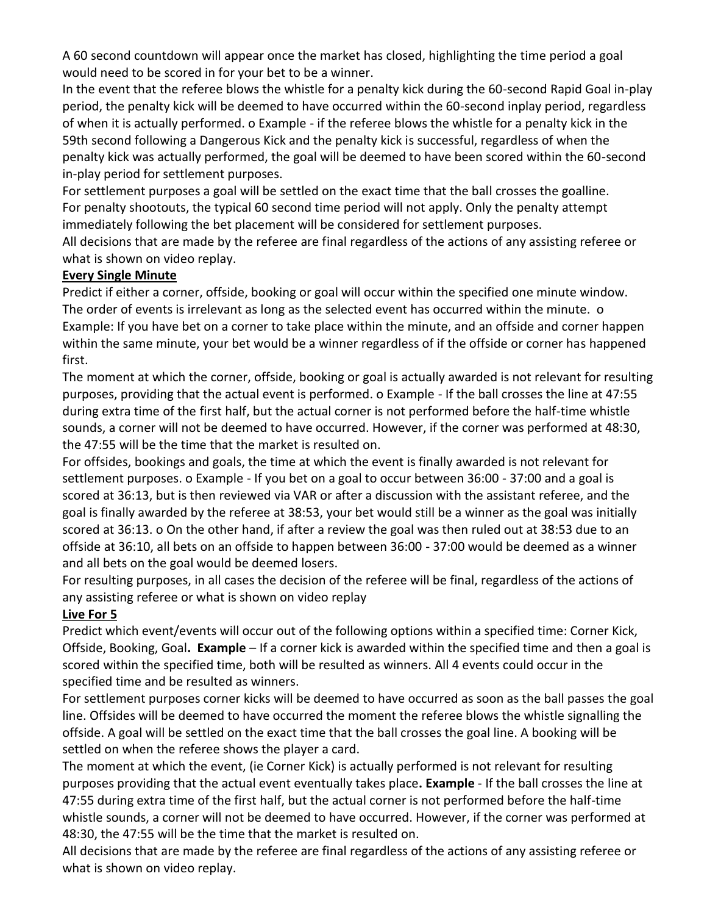A 60 second countdown will appear once the market has closed, highlighting the time period a goal would need to be scored in for your bet to be a winner.

In the event that the referee blows the whistle for a penalty kick during the 60-second Rapid Goal in-play period, the penalty kick will be deemed to have occurred within the 60-second inplay period, regardless of when it is actually performed. o Example - if the referee blows the whistle for a penalty kick in the 59th second following a Dangerous Kick and the penalty kick is successful, regardless of when the penalty kick was actually performed, the goal will be deemed to have been scored within the 60-second in-play period for settlement purposes.

For settlement purposes a goal will be settled on the exact time that the ball crosses the goalline. For penalty shootouts, the typical 60 second time period will not apply. Only the penalty attempt immediately following the bet placement will be considered for settlement purposes.

All decisions that are made by the referee are final regardless of the actions of any assisting referee or what is shown on video replay.

## **Every Single Minute**

Predict if either a corner, offside, booking or goal will occur within the specified one minute window. The order of events is irrelevant as long as the selected event has occurred within the minute. o Example: If you have bet on a corner to take place within the minute, and an offside and corner happen within the same minute, your bet would be a winner regardless of if the offside or corner has happened first.

The moment at which the corner, offside, booking or goal is actually awarded is not relevant for resulting purposes, providing that the actual event is performed. o Example - If the ball crosses the line at 47:55 during extra time of the first half, but the actual corner is not performed before the half-time whistle sounds, a corner will not be deemed to have occurred. However, if the corner was performed at 48:30, the 47:55 will be the time that the market is resulted on.

For offsides, bookings and goals, the time at which the event is finally awarded is not relevant for settlement purposes. o Example - If you bet on a goal to occur between 36:00 - 37:00 and a goal is scored at 36:13, but is then reviewed via VAR or after a discussion with the assistant referee, and the goal is finally awarded by the referee at 38:53, your bet would still be a winner as the goal was initially scored at 36:13. o On the other hand, if after a review the goal was then ruled out at 38:53 due to an offside at 36:10, all bets on an offside to happen between 36:00 - 37:00 would be deemed as a winner and all bets on the goal would be deemed losers.

For resulting purposes, in all cases the decision of the referee will be final, regardless of the actions of any assisting referee or what is shown on video replay

# **Live For 5**

Predict which event/events will occur out of the following options within a specified time: Corner Kick, Offside, Booking, Goal**. Example** – If a corner kick is awarded within the specified time and then a goal is scored within the specified time, both will be resulted as winners. All 4 events could occur in the specified time and be resulted as winners.

For settlement purposes corner kicks will be deemed to have occurred as soon as the ball passes the goal line. Offsides will be deemed to have occurred the moment the referee blows the whistle signalling the offside. A goal will be settled on the exact time that the ball crosses the goal line. A booking will be settled on when the referee shows the player a card.

The moment at which the event, (ie Corner Kick) is actually performed is not relevant for resulting purposes providing that the actual event eventually takes place**. Example** - If the ball crosses the line at 47:55 during extra time of the first half, but the actual corner is not performed before the half-time whistle sounds, a corner will not be deemed to have occurred. However, if the corner was performed at 48:30, the 47:55 will be the time that the market is resulted on.

All decisions that are made by the referee are final regardless of the actions of any assisting referee or what is shown on video replay.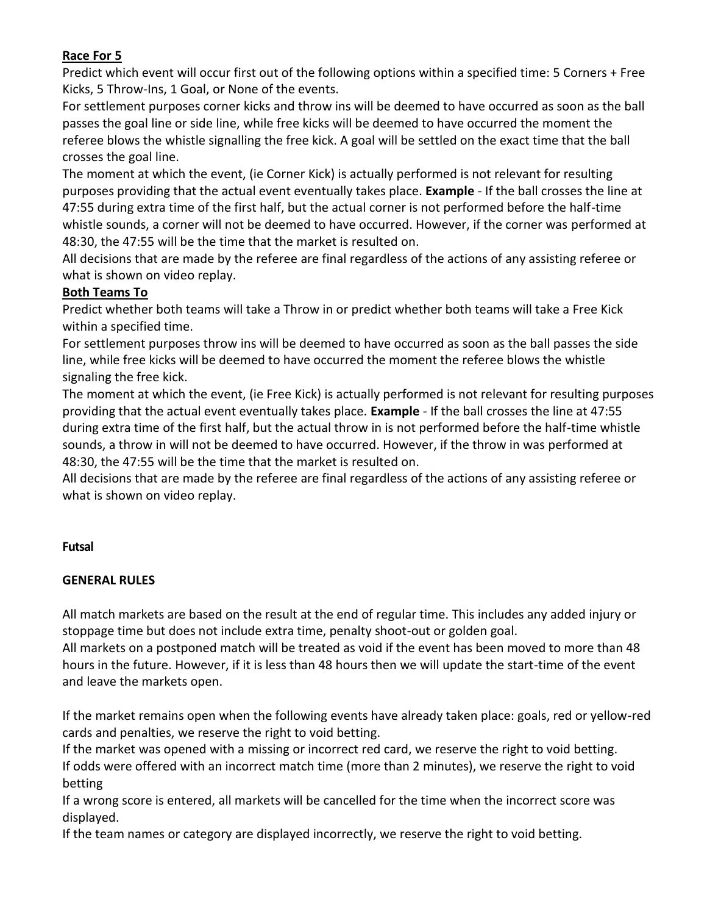#### **Race For 5**

Predict which event will occur first out of the following options within a specified time: 5 Corners + Free Kicks, 5 Throw-Ins, 1 Goal, or None of the events.

For settlement purposes corner kicks and throw ins will be deemed to have occurred as soon as the ball passes the goal line or side line, while free kicks will be deemed to have occurred the moment the referee blows the whistle signalling the free kick. A goal will be settled on the exact time that the ball crosses the goal line.

The moment at which the event, (ie Corner Kick) is actually performed is not relevant for resulting purposes providing that the actual event eventually takes place. **Example** - If the ball crosses the line at 47:55 during extra time of the first half, but the actual corner is not performed before the half-time whistle sounds, a corner will not be deemed to have occurred. However, if the corner was performed at 48:30, the 47:55 will be the time that the market is resulted on.

All decisions that are made by the referee are final regardless of the actions of any assisting referee or what is shown on video replay.

#### **Both Teams To**

Predict whether both teams will take a Throw in or predict whether both teams will take a Free Kick within a specified time.

For settlement purposes throw ins will be deemed to have occurred as soon as the ball passes the side line, while free kicks will be deemed to have occurred the moment the referee blows the whistle signaling the free kick.

The moment at which the event, (ie Free Kick) is actually performed is not relevant for resulting purposes providing that the actual event eventually takes place. **Example** - If the ball crosses the line at 47:55 during extra time of the first half, but the actual throw in is not performed before the half-time whistle sounds, a throw in will not be deemed to have occurred. However, if the throw in was performed at 48:30, the 47:55 will be the time that the market is resulted on.

All decisions that are made by the referee are final regardless of the actions of any assisting referee or what is shown on video replay.

#### **Futsal**

#### **GENERAL RULES**

All match markets are based on the result at the end of regular time. This includes any added injury or stoppage time but does not include extra time, penalty shoot-out or golden goal.

All markets on a postponed match will be treated as void if the event has been moved to more than 48 hours in the future. However, if it is less than 48 hours then we will update the start-time of the event and leave the markets open.

If the market remains open when the following events have already taken place: goals, red or yellow-red cards and penalties, we reserve the right to void betting.

If the market was opened with a missing or incorrect red card, we reserve the right to void betting. If odds were offered with an incorrect match time (more than 2 minutes), we reserve the right to void betting

If a wrong score is entered, all markets will be cancelled for the time when the incorrect score was displayed.

If the team names or category are displayed incorrectly, we reserve the right to void betting.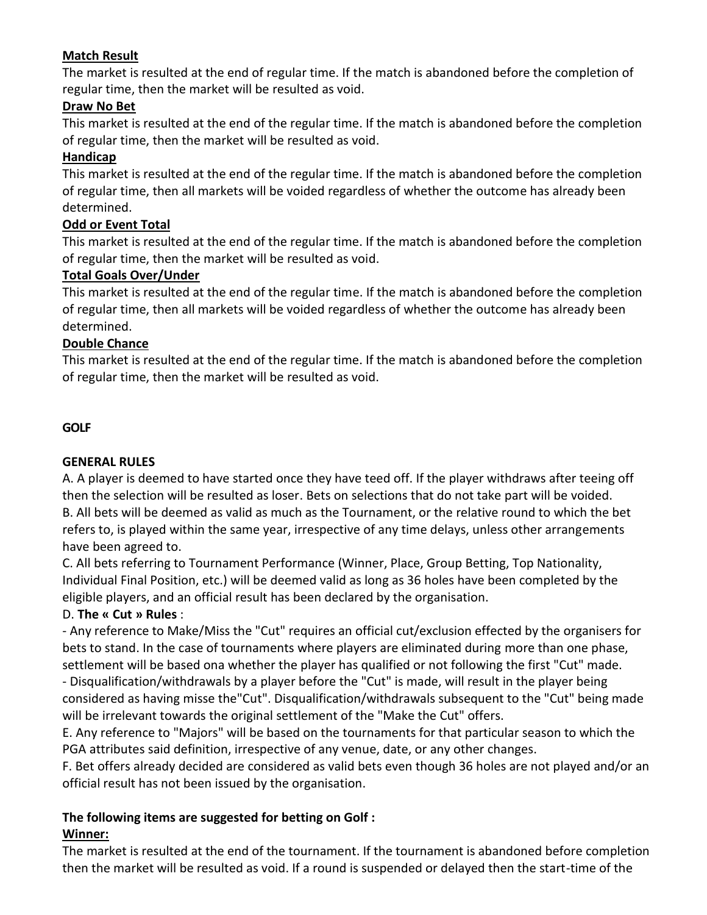## **Match Result**

The market is resulted at the end of regular time. If the match is abandoned before the completion of regular time, then the market will be resulted as void.

#### **Draw No Bet**

This market is resulted at the end of the regular time. If the match is abandoned before the completion of regular time, then the market will be resulted as void.

## **Handicap**

This market is resulted at the end of the regular time. If the match is abandoned before the completion of regular time, then all markets will be voided regardless of whether the outcome has already been determined.

## **Odd or Event Total**

This market is resulted at the end of the regular time. If the match is abandoned before the completion of regular time, then the market will be resulted as void.

## **Total Goals Over/Under**

This market is resulted at the end of the regular time. If the match is abandoned before the completion of regular time, then all markets will be voided regardless of whether the outcome has already been determined.

#### **Double Chance**

This market is resulted at the end of the regular time. If the match is abandoned before the completion of regular time, then the market will be resulted as void.

## **GOLF**

#### **GENERAL RULES**

A. A player is deemed to have started once they have teed off. If the player withdraws after teeing off then the selection will be resulted as loser. Bets on selections that do not take part will be voided. B. All bets will be deemed as valid as much as the Tournament, or the relative round to which the bet refers to, is played within the same year, irrespective of any time delays, unless other arrangements have been agreed to.

C. All bets referring to Tournament Performance (Winner, Place, Group Betting, Top Nationality, Individual Final Position, etc.) will be deemed valid as long as 36 holes have been completed by the eligible players, and an official result has been declared by the organisation.

#### D. **The « Cut » Rules** :

- Any reference to Make/Miss the "Cut" requires an official cut/exclusion effected by the organisers for bets to stand. In the case of tournaments where players are eliminated during more than one phase, settlement will be based ona whether the player has qualified or not following the first "Cut" made. - Disqualification/withdrawals by a player before the "Cut" is made, will result in the player being considered as having misse the"Cut". Disqualification/withdrawals subsequent to the "Cut" being made will be irrelevant towards the original settlement of the "Make the Cut" offers.

E. Any reference to "Majors" will be based on the tournaments for that particular season to which the PGA attributes said definition, irrespective of any venue, date, or any other changes.

F. Bet offers already decided are considered as valid bets even though 36 holes are not played and/or an official result has not been issued by the organisation.

# **The following items are suggested for betting on Golf :**

# **Winner:**

The market is resulted at the end of the tournament. If the tournament is abandoned before completion then the market will be resulted as void. If a round is suspended or delayed then the start-time of the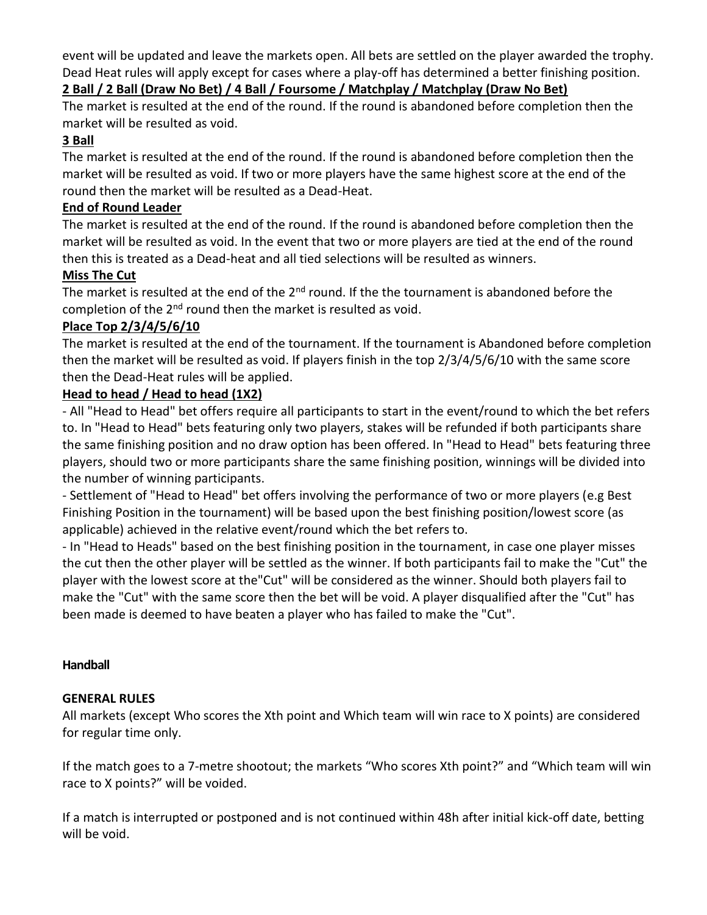event will be updated and leave the markets open. All bets are settled on the player awarded the trophy. Dead Heat rules will apply except for cases where a play-off has determined a better finishing position.

# **2 Ball / 2 Ball (Draw No Bet) / 4 Ball / Foursome / Matchplay / Matchplay (Draw No Bet)**

The market is resulted at the end of the round. If the round is abandoned before completion then the market will be resulted as void.

# **3 Ball**

The market is resulted at the end of the round. If the round is abandoned before completion then the market will be resulted as void. If two or more players have the same highest score at the end of the round then the market will be resulted as a Dead-Heat.

#### **End of Round Leader**

The market is resulted at the end of the round. If the round is abandoned before completion then the market will be resulted as void. In the event that two or more players are tied at the end of the round then this is treated as a Dead-heat and all tied selections will be resulted as winners.

## **Miss The Cut**

The market is resulted at the end of the  $2<sup>nd</sup>$  round. If the the tournament is abandoned before the completion of the  $2<sup>nd</sup>$  round then the market is resulted as void.

## **Place Top 2/3/4/5/6/10**

The market is resulted at the end of the tournament. If the tournament is Abandoned before completion then the market will be resulted as void. If players finish in the top 2/3/4/5/6/10 with the same score then the Dead-Heat rules will be applied.

## **Head to head / Head to head (1X2)**

- All "Head to Head" bet offers require all participants to start in the event/round to which the bet refers to. In "Head to Head" bets featuring only two players, stakes will be refunded if both participants share the same finishing position and no draw option has been offered. In "Head to Head" bets featuring three players, should two or more participants share the same finishing position, winnings will be divided into the number of winning participants.

- Settlement of "Head to Head" bet offers involving the performance of two or more players (e.g Best Finishing Position in the tournament) will be based upon the best finishing position/lowest score (as applicable) achieved in the relative event/round which the bet refers to.

- In "Head to Heads" based on the best finishing position in the tournament, in case one player misses the cut then the other player will be settled as the winner. If both participants fail to make the "Cut" the player with the lowest score at the"Cut" will be considered as the winner. Should both players fail to make the "Cut" with the same score then the bet will be void. A player disqualified after the "Cut" has been made is deemed to have beaten a player who has failed to make the "Cut".

#### **Handball**

#### **GENERAL RULES**

All markets (except Who scores the Xth point and Which team will win race to X points) are considered for regular time only.

If the match goes to a 7-metre shootout; the markets "Who scores Xth point?" and "Which team will win race to X points?" will be voided.

If a match is interrupted or postponed and is not continued within 48h after initial kick-off date, betting will be void.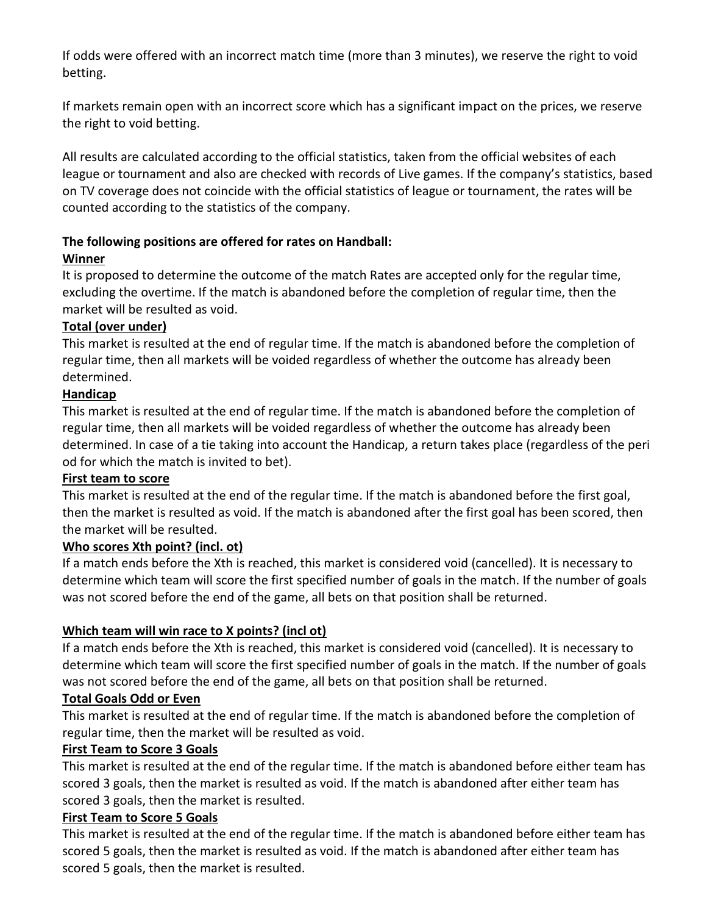If odds were offered with an incorrect match time (more than 3 minutes), we reserve the right to void betting.

If markets remain open with an incorrect score which has a significant impact on the prices, we reserve the right to void betting.

All results are calculated according to the official statistics, taken from the official websites of each league or tournament and also are checked with records of Live games. If the company's statistics, based on TV coverage does not coincide with the official statistics of league or tournament, the rates will be counted according to the statistics of the company.

## **The following positions are offered for rates on Handball:**

## **Winner**

It is proposed to determine the outcome of the match Rates are accepted only for the regular time, excluding the overtime. If the match is abandoned before the completion of regular time, then the market will be resulted as void.

# **Total (over under)**

This market is resulted at the end of regular time. If the match is abandoned before the completion of regular time, then all markets will be voided regardless of whether the outcome has already been determined.

## **Handicap**

This market is resulted at the end of regular time. If the match is abandoned before the completion of regular time, then all markets will be voided regardless of whether the outcome has already been determined. In case of a tie taking into account the Handicap, a return takes place (regardless of the peri od for which the match is invited to bet).

#### **First team to score**

This market is resulted at the end of the regular time. If the match is abandoned before the first goal, then the market is resulted as void. If the match is abandoned after the first goal has been scored, then the market will be resulted.

# **Who scores Xth point? (incl. ot)**

If a match ends before the Xth is reached, this market is considered void (cancelled). It is necessary to determine which team will score the first specified number of goals in the match. If the number of goals was not scored before the end of the game, all bets on that position shall be returned.

# **Which team will win race to X points? (incl ot)**

If a match ends before the Xth is reached, this market is considered void (cancelled). It is necessary to determine which team will score the first specified number of goals in the match. If the number of goals was not scored before the end of the game, all bets on that position shall be returned.

#### **Total Goals Odd or Even**

This market is resulted at the end of regular time. If the match is abandoned before the completion of regular time, then the market will be resulted as void.

#### **First Team to Score 3 Goals**

This market is resulted at the end of the regular time. If the match is abandoned before either team has scored 3 goals, then the market is resulted as void. If the match is abandoned after either team has scored 3 goals, then the market is resulted.

# **First Team to Score 5 Goals**

This market is resulted at the end of the regular time. If the match is abandoned before either team has scored 5 goals, then the market is resulted as void. If the match is abandoned after either team has scored 5 goals, then the market is resulted.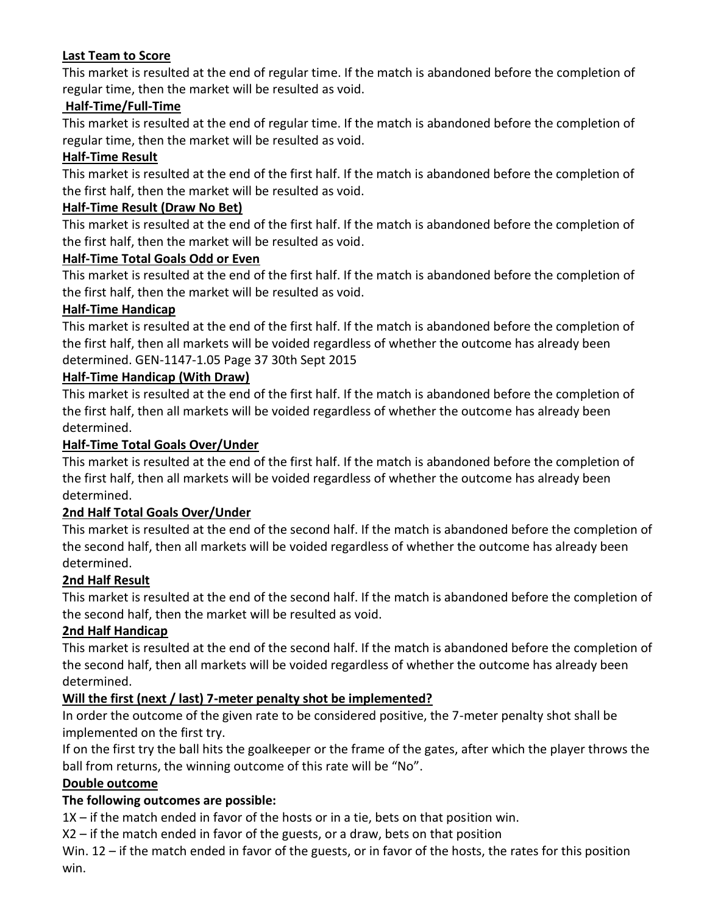#### **Last Team to Score**

This market is resulted at the end of regular time. If the match is abandoned before the completion of regular time, then the market will be resulted as void.

#### **Half-Time/Full-Time**

This market is resulted at the end of regular time. If the match is abandoned before the completion of regular time, then the market will be resulted as void.

#### **Half-Time Result**

This market is resulted at the end of the first half. If the match is abandoned before the completion of the first half, then the market will be resulted as void.

#### **Half-Time Result (Draw No Bet)**

This market is resulted at the end of the first half. If the match is abandoned before the completion of the first half, then the market will be resulted as void.

#### **Half-Time Total Goals Odd or Even**

This market is resulted at the end of the first half. If the match is abandoned before the completion of the first half, then the market will be resulted as void.

## **Half-Time Handicap**

This market is resulted at the end of the first half. If the match is abandoned before the completion of the first half, then all markets will be voided regardless of whether the outcome has already been determined. GEN-1147-1.05 Page 37 30th Sept 2015

## **Half-Time Handicap (With Draw)**

This market is resulted at the end of the first half. If the match is abandoned before the completion of the first half, then all markets will be voided regardless of whether the outcome has already been determined.

## **Half-Time Total Goals Over/Under**

This market is resulted at the end of the first half. If the match is abandoned before the completion of the first half, then all markets will be voided regardless of whether the outcome has already been determined.

#### **2nd Half Total Goals Over/Under**

This market is resulted at the end of the second half. If the match is abandoned before the completion of the second half, then all markets will be voided regardless of whether the outcome has already been determined.

#### **2nd Half Result**

This market is resulted at the end of the second half. If the match is abandoned before the completion of the second half, then the market will be resulted as void.

#### **2nd Half Handicap**

This market is resulted at the end of the second half. If the match is abandoned before the completion of the second half, then all markets will be voided regardless of whether the outcome has already been determined.

#### **Will the first (next / last) 7-meter penalty shot be implemented?**

In order the outcome of the given rate to be considered positive, the 7-meter penalty shot shall be implemented on the first try.

If on the first try the ball hits the goalkeeper or the frame of the gates, after which the player throws the ball from returns, the winning outcome of this rate will be "No".

#### **Double outcome**

# **The following outcomes are possible:**

1X – if the match ended in favor of the hosts or in a tie, bets on that position win.

X2 – if the match ended in favor of the guests, or a draw, bets on that position

Win. 12 – if the match ended in favor of the guests, or in favor of the hosts, the rates for this position win.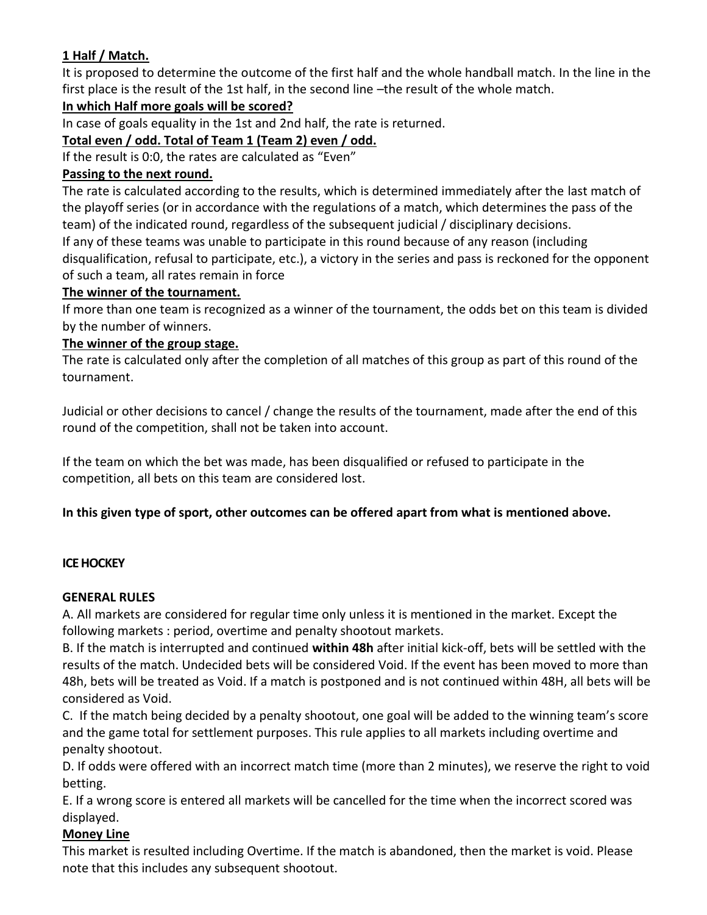# **1 Half / Match.**

It is proposed to determine the outcome of the first half and the whole handball match. In the line in the first place is the result of the 1st half, in the second line –the result of the whole match.

#### **In which Half more goals will be scored?**

In case of goals equality in the 1st and 2nd half, the rate is returned.

## **Total even / odd. Total of Team 1 (Team 2) even / odd.**

If the result is 0:0, the rates are calculated as "Even"

#### **Passing to the next round.**

The rate is calculated according to the results, which is determined immediately after the last match of the playoff series (or in accordance with the regulations of a match, which determines the pass of the team) of the indicated round, regardless of the subsequent judicial / disciplinary decisions. If any of these teams was unable to participate in this round because of any reason (including disqualification, refusal to participate, etc.), a victory in the series and pass is reckoned for the opponent of such a team, all rates remain in force

#### **The winner of the tournament.**

If more than one team is recognized as a winner of the tournament, the odds bet on this team is divided by the number of winners.

#### **The winner of the group stage.**

The rate is calculated only after the completion of all matches of this group as part of this round of the tournament.

Judicial or other decisions to cancel / change the results of the tournament, made after the end of this round of the competition, shall not be taken into account.

If the team on which the bet was made, has been disqualified or refused to participate in the competition, all bets on this team are considered lost.

#### **In this given type of sport, other outcomes can be offered apart from what is mentioned above.**

#### **ICE HOCKEY**

#### **GENERAL RULES**

A. All markets are considered for regular time only unless it is mentioned in the market. Except the following markets : period, overtime and penalty shootout markets.

B. If the match is interrupted and continued **within 48h** after initial kick-off, bets will be settled with the results of the match. Undecided bets will be considered Void. If the event has been moved to more than 48h, bets will be treated as Void. If a match is postponed and is not continued within 48H, all bets will be considered as Void.

C. If the match being decided by a penalty shootout, one goal will be added to the winning team's score and the game total for settlement purposes. This rule applies to all markets including overtime and penalty shootout.

D. If odds were offered with an incorrect match time (more than 2 minutes), we reserve the right to void betting.

E. If a wrong score is entered all markets will be cancelled for the time when the incorrect scored was displayed.

#### **Money Line**

This market is resulted including Overtime. If the match is abandoned, then the market is void. Please note that this includes any subsequent shootout.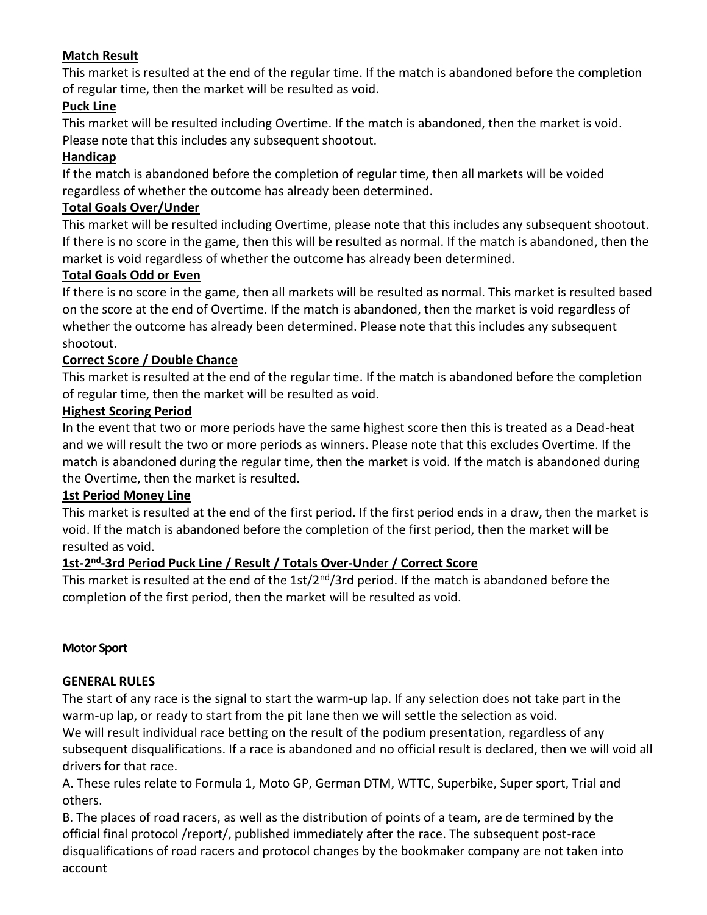## **Match Result**

This market is resulted at the end of the regular time. If the match is abandoned before the completion of regular time, then the market will be resulted as void.

#### **Puck Line**

This market will be resulted including Overtime. If the match is abandoned, then the market is void. Please note that this includes any subsequent shootout.

#### **Handicap**

If the match is abandoned before the completion of regular time, then all markets will be voided regardless of whether the outcome has already been determined.

#### **Total Goals Over/Under**

This market will be resulted including Overtime, please note that this includes any subsequent shootout. If there is no score in the game, then this will be resulted as normal. If the match is abandoned, then the market is void regardless of whether the outcome has already been determined.

#### **Total Goals Odd or Even**

If there is no score in the game, then all markets will be resulted as normal. This market is resulted based on the score at the end of Overtime. If the match is abandoned, then the market is void regardless of whether the outcome has already been determined. Please note that this includes any subsequent shootout.

## **Correct Score / Double Chance**

This market is resulted at the end of the regular time. If the match is abandoned before the completion of regular time, then the market will be resulted as void.

#### **Highest Scoring Period**

In the event that two or more periods have the same highest score then this is treated as a Dead-heat and we will result the two or more periods as winners. Please note that this excludes Overtime. If the match is abandoned during the regular time, then the market is void. If the match is abandoned during the Overtime, then the market is resulted.

#### **1st Period Money Line**

This market is resulted at the end of the first period. If the first period ends in a draw, then the market is void. If the match is abandoned before the completion of the first period, then the market will be resulted as void.

#### **1st-2 nd -3rd Period Puck Line / Result / Totals Over-Under / Correct Score**

This market is resulted at the end of the 1st/2<sup>nd</sup>/3rd period. If the match is abandoned before the completion of the first period, then the market will be resulted as void.

#### **Motor Sport**

#### **GENERAL RULES**

The start of any race is the signal to start the warm-up lap. If any selection does not take part in the warm-up lap, or ready to start from the pit lane then we will settle the selection as void.

We will result individual race betting on the result of the podium presentation, regardless of any subsequent disqualifications. If a race is abandoned and no official result is declared, then we will void all drivers for that race.

A. These rules relate to Formula 1, Moto GP, German DTM, WTTC, Superbike, Super sport, Trial and others.

B. The places of road racers, as well as the distribution of points of a team, are de termined by the official final protocol /report/, published immediately after the race. The subsequent post-race disqualifications of road racers and protocol changes by the bookmaker company are not taken into account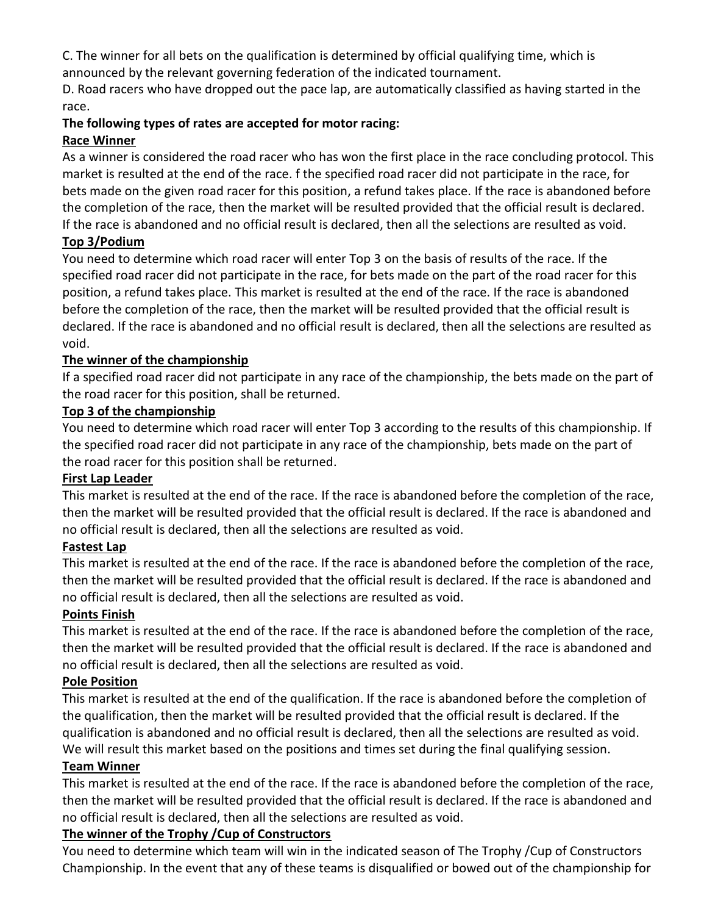C. The winner for all bets on the qualification is determined by official qualifying time, which is

announced by the relevant governing federation of the indicated tournament.

D. Road racers who have dropped out the pace lap, are automatically classified as having started in the race.

#### **The following types of rates are accepted for motor racing: Race Winner**

As a winner is considered the road racer who has won the first place in the race concluding protocol. This market is resulted at the end of the race. f the specified road racer did not participate in the race, for bets made on the given road racer for this position, a refund takes place. If the race is abandoned before the completion of the race, then the market will be resulted provided that the official result is declared. If the race is abandoned and no official result is declared, then all the selections are resulted as void.

# **Top 3/Podium**

You need to determine which road racer will enter Top 3 on the basis of results of the race. If the specified road racer did not participate in the race, for bets made on the part of the road racer for this position, a refund takes place. This market is resulted at the end of the race. If the race is abandoned before the completion of the race, then the market will be resulted provided that the official result is declared. If the race is abandoned and no official result is declared, then all the selections are resulted as void.

# **The winner of the championship**

If a specified road racer did not participate in any race of the championship, the bets made on the part of the road racer for this position, shall be returned.

## **Top 3 of the championship**

You need to determine which road racer will enter Top 3 according to the results of this championship. If the specified road racer did not participate in any race of the championship, bets made on the part of the road racer for this position shall be returned.

#### **First Lap Leader**

This market is resulted at the end of the race. If the race is abandoned before the completion of the race, then the market will be resulted provided that the official result is declared. If the race is abandoned and no official result is declared, then all the selections are resulted as void.

# **Fastest Lap**

This market is resulted at the end of the race. If the race is abandoned before the completion of the race, then the market will be resulted provided that the official result is declared. If the race is abandoned and no official result is declared, then all the selections are resulted as void.

# **Points Finish**

This market is resulted at the end of the race. If the race is abandoned before the completion of the race, then the market will be resulted provided that the official result is declared. If the race is abandoned and no official result is declared, then all the selections are resulted as void.

# **Pole Position**

This market is resulted at the end of the qualification. If the race is abandoned before the completion of the qualification, then the market will be resulted provided that the official result is declared. If the qualification is abandoned and no official result is declared, then all the selections are resulted as void. We will result this market based on the positions and times set during the final qualifying session.

#### **Team Winner**

This market is resulted at the end of the race. If the race is abandoned before the completion of the race, then the market will be resulted provided that the official result is declared. If the race is abandoned and no official result is declared, then all the selections are resulted as void.

# **The winner of the Trophy /Cup of Constructors**

You need to determine which team will win in the indicated season of The Trophy /Cup of Constructors Championship. In the event that any of these teams is disqualified or bowed out of the championship for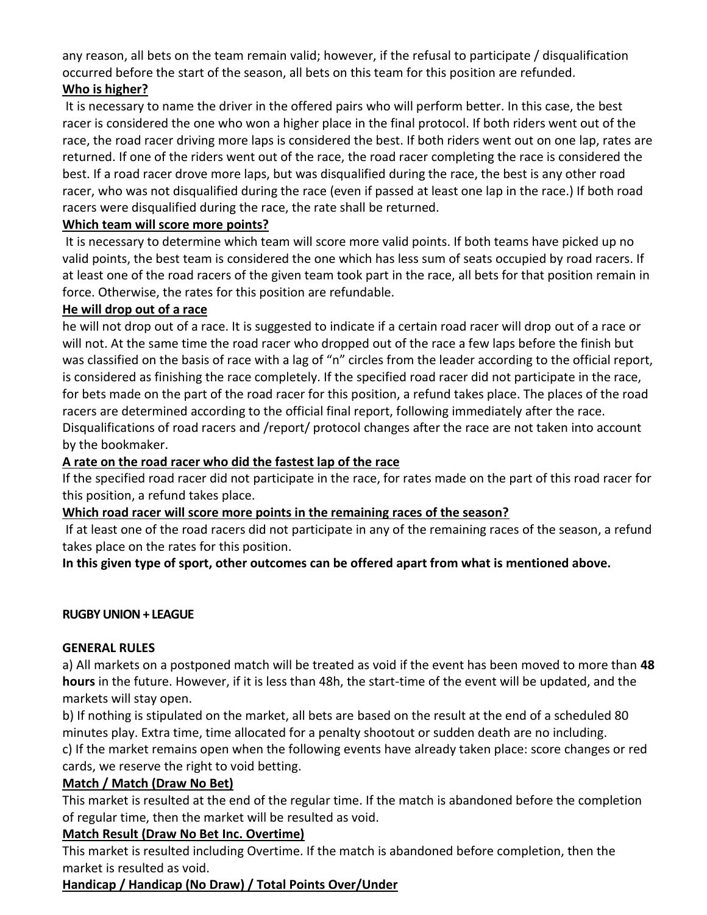any reason, all bets on the team remain valid; however, if the refusal to participate / disqualification occurred before the start of the season, all bets on this team for this position are refunded. **Who is higher?**

It is necessary to name the driver in the offered pairs who will perform better. In this case, the best racer is considered the one who won a higher place in the final protocol. If both riders went out of the race, the road racer driving more laps is considered the best. If both riders went out on one lap, rates are returned. If one of the riders went out of the race, the road racer completing the race is considered the best. If a road racer drove more laps, but was disqualified during the race, the best is any other road racer, who was not disqualified during the race (even if passed at least one lap in the race.) If both road racers were disqualified during the race, the rate shall be returned.

#### **Which team will score more points?**

It is necessary to determine which team will score more valid points. If both teams have picked up no valid points, the best team is considered the one which has less sum of seats occupied by road racers. If at least one of the road racers of the given team took part in the race, all bets for that position remain in force. Otherwise, the rates for this position are refundable.

#### **He will drop out of a race**

he will not drop out of a race. It is suggested to indicate if a certain road racer will drop out of a race or will not. At the same time the road racer who dropped out of the race a few laps before the finish but was classified on the basis of race with a lag of "n" circles from the leader according to the official report, is considered as finishing the race completely. If the specified road racer did not participate in the race, for bets made on the part of the road racer for this position, a refund takes place. The places of the road racers are determined according to the official final report, following immediately after the race. Disqualifications of road racers and /report/ protocol changes after the race are not taken into account by the bookmaker.

#### **A rate on the road racer who did the fastest lap of the race**

If the specified road racer did not participate in the race, for rates made on the part of this road racer for this position, a refund takes place.

#### **Which road racer will score more points in the remaining races of the season?**

If at least one of the road racers did not participate in any of the remaining races of the season, a refund takes place on the rates for this position.

**In this given type of sport, other outcomes can be offered apart from what is mentioned above.**

#### **RUGBY UNION + LEAGUE**

#### **GENERAL RULES**

a) All markets on a postponed match will be treated as void if the event has been moved to more than **48 hours** in the future. However, if it is less than 48h, the start-time of the event will be updated, and the markets will stay open.

b) If nothing is stipulated on the market, all bets are based on the result at the end of a scheduled 80 minutes play. Extra time, time allocated for a penalty shootout or sudden death are no including.

c) If the market remains open when the following events have already taken place: score changes or red cards, we reserve the right to void betting.

#### **Match / Match (Draw No Bet)**

This market is resulted at the end of the regular time. If the match is abandoned before the completion of regular time, then the market will be resulted as void.

#### **Match Result (Draw No Bet Inc. Overtime)**

This market is resulted including Overtime. If the match is abandoned before completion, then the market is resulted as void.

#### **Handicap / Handicap (No Draw) / Total Points Over/Under**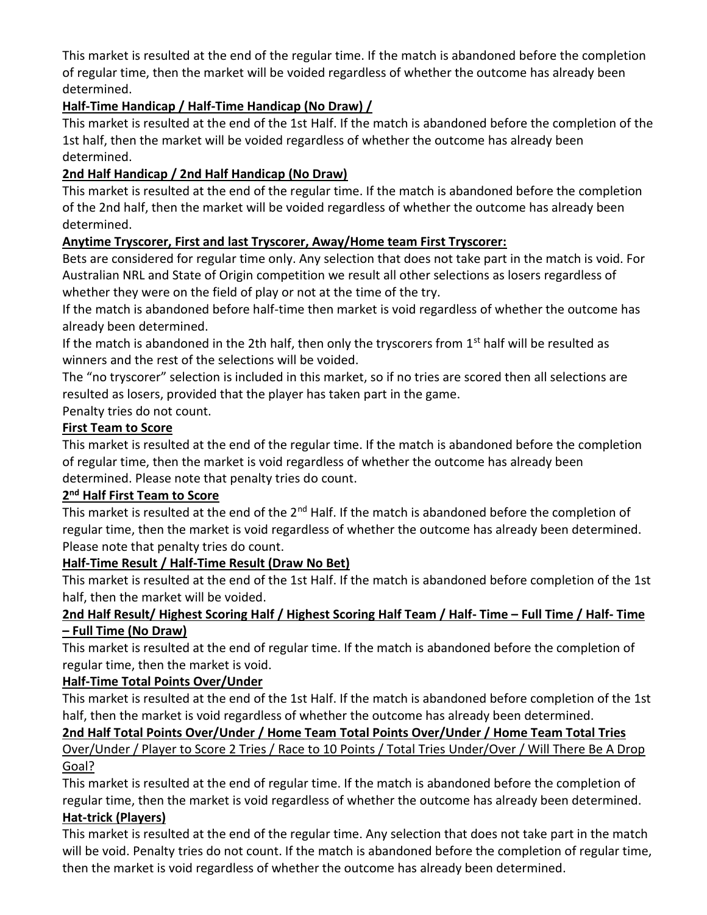This market is resulted at the end of the regular time. If the match is abandoned before the completion of regular time, then the market will be voided regardless of whether the outcome has already been determined.

# **Half-Time Handicap / Half-Time Handicap (No Draw) /**

This market is resulted at the end of the 1st Half. If the match is abandoned before the completion of the 1st half, then the market will be voided regardless of whether the outcome has already been determined.

## **2nd Half Handicap / 2nd Half Handicap (No Draw)**

This market is resulted at the end of the regular time. If the match is abandoned before the completion of the 2nd half, then the market will be voided regardless of whether the outcome has already been determined.

## **Anytime Tryscorer, First and last Tryscorer, Away/Home team First Tryscorer:**

Bets are considered for regular time only. Any selection that does not take part in the match is void. For Australian NRL and State of Origin competition we result all other selections as losers regardless of whether they were on the field of play or not at the time of the try.

If the match is abandoned before half-time then market is void regardless of whether the outcome has already been determined.

If the match is abandoned in the 2th half, then only the tryscorers from  $1<sup>st</sup>$  half will be resulted as winners and the rest of the selections will be voided.

The "no tryscorer" selection is included in this market, so if no tries are scored then all selections are resulted as losers, provided that the player has taken part in the game.

Penalty tries do not count.

## **First Team to Score**

This market is resulted at the end of the regular time. If the match is abandoned before the completion of regular time, then the market is void regardless of whether the outcome has already been determined. Please note that penalty tries do count.

#### **2 nd Half First Team to Score**

This market is resulted at the end of the 2<sup>nd</sup> Half. If the match is abandoned before the completion of regular time, then the market is void regardless of whether the outcome has already been determined. Please note that penalty tries do count.

#### **Half-Time Result / Half-Time Result (Draw No Bet)**

This market is resulted at the end of the 1st Half. If the match is abandoned before completion of the 1st half, then the market will be voided.

## **2nd Half Result/ Highest Scoring Half / Highest Scoring Half Team / Half- Time – Full Time / Half- Time – Full Time (No Draw)**

This market is resulted at the end of regular time. If the match is abandoned before the completion of regular time, then the market is void.

#### **Half-Time Total Points Over/Under**

This market is resulted at the end of the 1st Half. If the match is abandoned before completion of the 1st half, then the market is void regardless of whether the outcome has already been determined.

#### **2nd Half Total Points Over/Under / Home Team Total Points Over/Under / Home Team Total Tries**

Over/Under / Player to Score 2 Tries / Race to 10 Points / Total Tries Under/Over / Will There Be A Drop Goal?

This market is resulted at the end of regular time. If the match is abandoned before the completion of regular time, then the market is void regardless of whether the outcome has already been determined. **Hat-trick (Players)**

This market is resulted at the end of the regular time. Any selection that does not take part in the match will be void. Penalty tries do not count. If the match is abandoned before the completion of regular time, then the market is void regardless of whether the outcome has already been determined.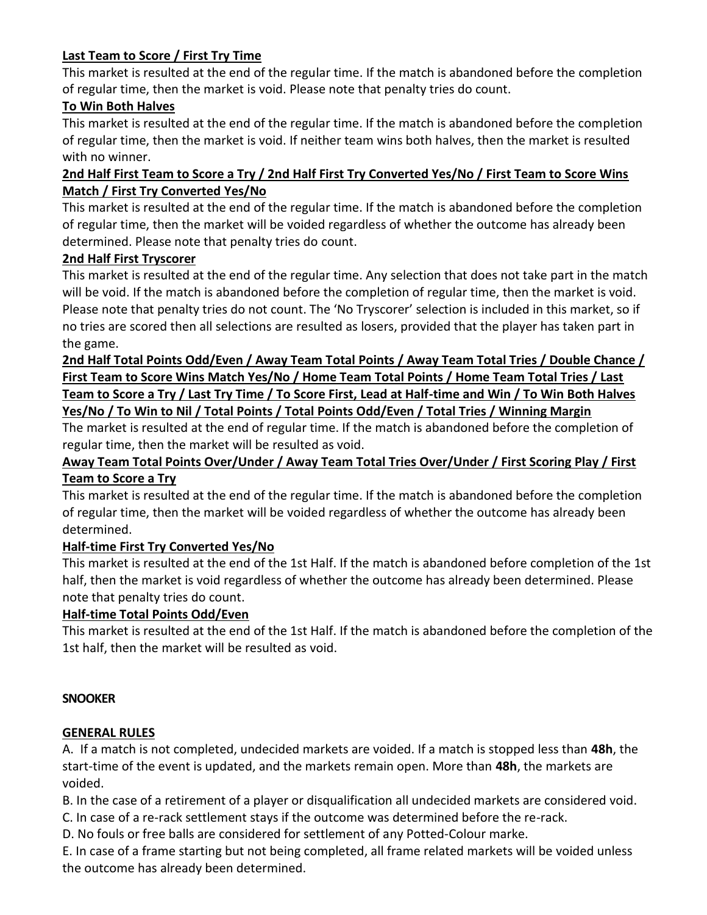## **Last Team to Score / First Try Time**

This market is resulted at the end of the regular time. If the match is abandoned before the completion of regular time, then the market is void. Please note that penalty tries do count.

#### **To Win Both Halves**

This market is resulted at the end of the regular time. If the match is abandoned before the completion of regular time, then the market is void. If neither team wins both halves, then the market is resulted with no winner.

## **2nd Half First Team to Score a Try / 2nd Half First Try Converted Yes/No / First Team to Score Wins Match / First Try Converted Yes/No**

This market is resulted at the end of the regular time. If the match is abandoned before the completion of regular time, then the market will be voided regardless of whether the outcome has already been determined. Please note that penalty tries do count.

#### **2nd Half First Tryscorer**

This market is resulted at the end of the regular time. Any selection that does not take part in the match will be void. If the match is abandoned before the completion of regular time, then the market is void. Please note that penalty tries do not count. The 'No Tryscorer' selection is included in this market, so if no tries are scored then all selections are resulted as losers, provided that the player has taken part in the game.

# **2nd Half Total Points Odd/Even / Away Team Total Points / Away Team Total Tries / Double Chance / First Team to Score Wins Match Yes/No / Home Team Total Points / Home Team Total Tries / Last Team to Score a Try / Last Try Time / To Score First, Lead at Half-time and Win / To Win Both Halves Yes/No / To Win to Nil / Total Points / Total Points Odd/Even / Total Tries / Winning Margin**

The market is resulted at the end of regular time. If the match is abandoned before the completion of regular time, then the market will be resulted as void.

## **Away Team Total Points Over/Under / Away Team Total Tries Over/Under / First Scoring Play / First Team to Score a Try**

This market is resulted at the end of the regular time. If the match is abandoned before the completion of regular time, then the market will be voided regardless of whether the outcome has already been determined.

# **Half-time First Try Converted Yes/No**

This market is resulted at the end of the 1st Half. If the match is abandoned before completion of the 1st half, then the market is void regardless of whether the outcome has already been determined. Please note that penalty tries do count.

#### **Half-time Total Points Odd/Even**

This market is resulted at the end of the 1st Half. If the match is abandoned before the completion of the 1st half, then the market will be resulted as void.

#### **SNOOKER**

#### **GENERAL RULES**

A. If a match is not completed, undecided markets are voided. If a match is stopped less than **48h**, the start-time of the event is updated, and the markets remain open. More than **48h**, the markets are voided.

B. In the case of a retirement of a player or disqualification all undecided markets are considered void.

C. In case of a re-rack settlement stays if the outcome was determined before the re-rack.

D. No fouls or free balls are considered for settlement of any Potted-Colour marke.

E. In case of a frame starting but not being completed, all frame related markets will be voided unless the outcome has already been determined.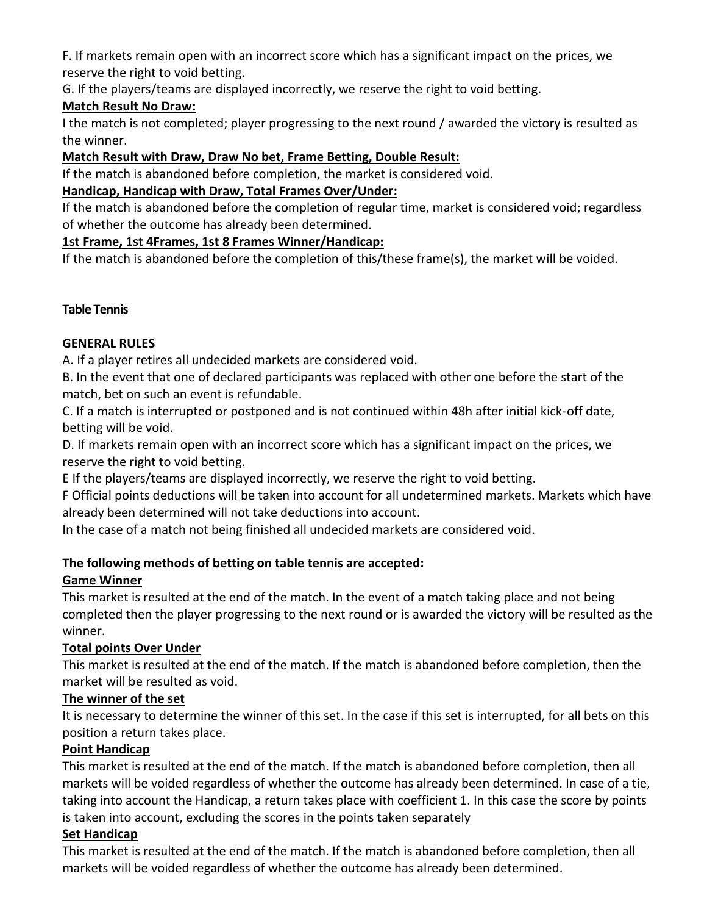F. If markets remain open with an incorrect score which has a significant impact on the prices, we reserve the right to void betting.

G. If the players/teams are displayed incorrectly, we reserve the right to void betting.

## **Match Result No Draw:**

I the match is not completed; player progressing to the next round / awarded the victory is resulted as the winner.

## **Match Result with Draw, Draw No bet, Frame Betting, Double Result:**

If the match is abandoned before completion, the market is considered void.

## **Handicap, Handicap with Draw, Total Frames Over/Under:**

If the match is abandoned before the completion of regular time, market is considered void; regardless of whether the outcome has already been determined.

#### **1st Frame, 1st 4Frames, 1st 8 Frames Winner/Handicap:**

If the match is abandoned before the completion of this/these frame(s), the market will be voided.

## **Table Tennis**

## **GENERAL RULES**

A. If a player retires all undecided markets are considered void.

B. In the event that one of declared participants was replaced with other one before the start of the match, bet on such an event is refundable.

C. If a match is interrupted or postponed and is not continued within 48h after initial kick-off date, betting will be void.

D. If markets remain open with an incorrect score which has a significant impact on the prices, we reserve the right to void betting.

E If the players/teams are displayed incorrectly, we reserve the right to void betting.

F Official points deductions will be taken into account for all undetermined markets. Markets which have already been determined will not take deductions into account.

In the case of a match not being finished all undecided markets are considered void.

# **The following methods of betting on table tennis are accepted:**

# **Game Winner**

This market is resulted at the end of the match. In the event of a match taking place and not being completed then the player progressing to the next round or is awarded the victory will be resulted as the winner.

# **Total points Over Under**

This market is resulted at the end of the match. If the match is abandoned before completion, then the market will be resulted as void.

#### **The winner of the set**

It is necessary to determine the winner of this set. In the case if this set is interrupted, for all bets on this position a return takes place.

#### **Point Handicap**

This market is resulted at the end of the match. If the match is abandoned before completion, then all markets will be voided regardless of whether the outcome has already been determined. In case of a tie, taking into account the Handicap, a return takes place with coefficient 1. In this case the score by points is taken into account, excluding the scores in the points taken separately

# **Set Handicap**

This market is resulted at the end of the match. If the match is abandoned before completion, then all markets will be voided regardless of whether the outcome has already been determined.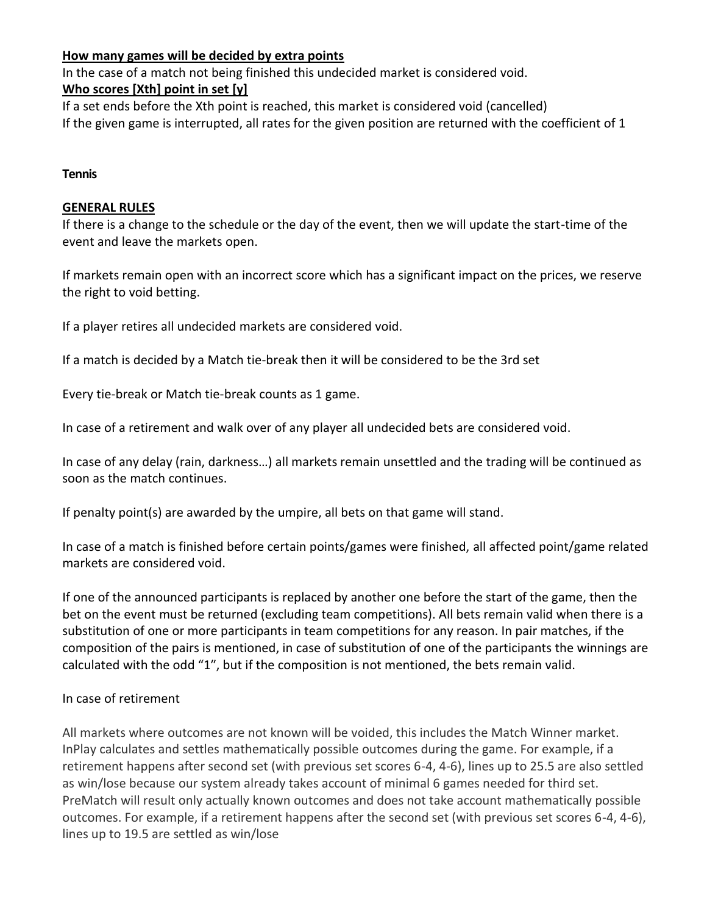#### **How many games will be decided by extra points**

In the case of a match not being finished this undecided market is considered void.

#### **Who scores [Xth] point in set [y]**

If a set ends before the Xth point is reached, this market is considered void (cancelled) If the given game is interrupted, all rates for the given position are returned with the coefficient of 1

#### **Tennis**

#### **GENERAL RULES**

If there is a change to the schedule or the day of the event, then we will update the start-time of the event and leave the markets open.

If markets remain open with an incorrect score which has a significant impact on the prices, we reserve the right to void betting.

If a player retires all undecided markets are considered void.

If a match is decided by a Match tie-break then it will be considered to be the 3rd set

Every tie-break or Match tie-break counts as 1 game.

In case of a retirement and walk over of any player all undecided bets are considered void.

In case of any delay (rain, darkness…) all markets remain unsettled and the trading will be continued as soon as the match continues.

If penalty point(s) are awarded by the umpire, all bets on that game will stand.

In case of a match is finished before certain points/games were finished, all affected point/game related markets are considered void.

If one of the announced participants is replaced by another one before the start of the game, then the bet on the event must be returned (excluding team competitions). All bets remain valid when there is a substitution of one or more participants in team competitions for any reason. In pair matches, if the composition of the pairs is mentioned, in case of substitution of one of the participants the winnings are calculated with the odd "1", but if the composition is not mentioned, the bets remain valid.

#### In case of retirement

All markets where outcomes are not known will be voided, this includes the Match Winner market. InPlay calculates and settles mathematically possible outcomes during the game. For example, if a retirement happens after second set (with previous set scores 6-4, 4-6), lines up to 25.5 are also settled as win/lose because our system already takes account of minimal 6 games needed for third set. PreMatch will result only actually known outcomes and does not take account mathematically possible outcomes. For example, if a retirement happens after the second set (with previous set scores 6-4, 4-6), lines up to 19.5 are settled as win/lose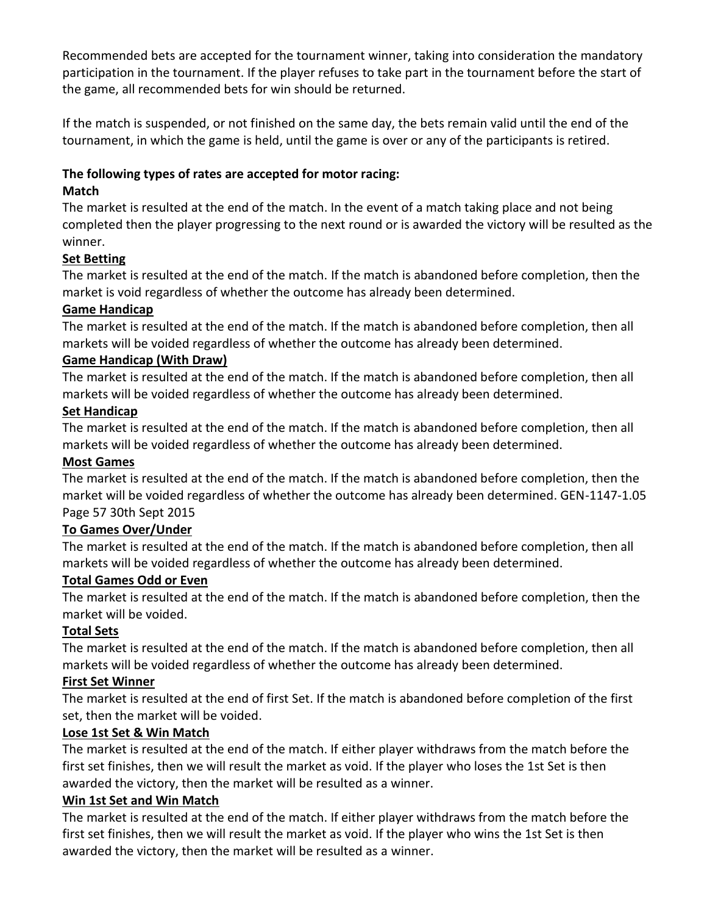Recommended bets are accepted for the tournament winner, taking into consideration the mandatory participation in the tournament. If the player refuses to take part in the tournament before the start of the game, all recommended bets for win should be returned.

If the match is suspended, or not finished on the same day, the bets remain valid until the end of the tournament, in which the game is held, until the game is over or any of the participants is retired.

## **The following types of rates are accepted for motor racing:**

#### **Match**

The market is resulted at the end of the match. In the event of a match taking place and not being completed then the player progressing to the next round or is awarded the victory will be resulted as the winner.

# **Set Betting**

The market is resulted at the end of the match. If the match is abandoned before completion, then the market is void regardless of whether the outcome has already been determined.

## **Game Handicap**

The market is resulted at the end of the match. If the match is abandoned before completion, then all markets will be voided regardless of whether the outcome has already been determined.

#### **Game Handicap (With Draw)**

The market is resulted at the end of the match. If the match is abandoned before completion, then all markets will be voided regardless of whether the outcome has already been determined.

#### **Set Handicap**

The market is resulted at the end of the match. If the match is abandoned before completion, then all markets will be voided regardless of whether the outcome has already been determined.

#### **Most Games**

The market is resulted at the end of the match. If the match is abandoned before completion, then the market will be voided regardless of whether the outcome has already been determined. GEN-1147-1.05 Page 57 30th Sept 2015

# **To Games Over/Under**

The market is resulted at the end of the match. If the match is abandoned before completion, then all markets will be voided regardless of whether the outcome has already been determined.

#### **Total Games Odd or Even**

The market is resulted at the end of the match. If the match is abandoned before completion, then the market will be voided.

#### **Total Sets**

The market is resulted at the end of the match. If the match is abandoned before completion, then all markets will be voided regardless of whether the outcome has already been determined.

#### **First Set Winner**

The market is resulted at the end of first Set. If the match is abandoned before completion of the first set, then the market will be voided.

#### **Lose 1st Set & Win Match**

The market is resulted at the end of the match. If either player withdraws from the match before the first set finishes, then we will result the market as void. If the player who loses the 1st Set is then awarded the victory, then the market will be resulted as a winner.

#### **Win 1st Set and Win Match**

The market is resulted at the end of the match. If either player withdraws from the match before the first set finishes, then we will result the market as void. If the player who wins the 1st Set is then awarded the victory, then the market will be resulted as a winner.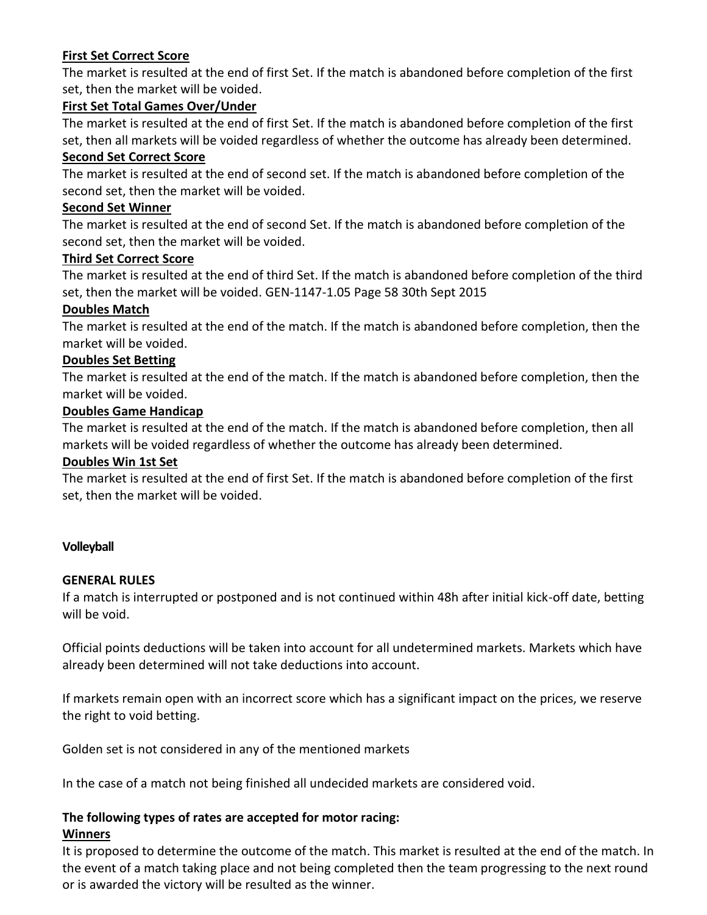#### **First Set Correct Score**

The market is resulted at the end of first Set. If the match is abandoned before completion of the first set, then the market will be voided.

#### **First Set Total Games Over/Under**

The market is resulted at the end of first Set. If the match is abandoned before completion of the first set, then all markets will be voided regardless of whether the outcome has already been determined.

#### **Second Set Correct Score**

The market is resulted at the end of second set. If the match is abandoned before completion of the second set, then the market will be voided.

#### **Second Set Winner**

The market is resulted at the end of second Set. If the match is abandoned before completion of the second set, then the market will be voided.

#### **Third Set Correct Score**

The market is resulted at the end of third Set. If the match is abandoned before completion of the third set, then the market will be voided. GEN-1147-1.05 Page 58 30th Sept 2015

#### **Doubles Match**

The market is resulted at the end of the match. If the match is abandoned before completion, then the market will be voided.

#### **Doubles Set Betting**

The market is resulted at the end of the match. If the match is abandoned before completion, then the market will be voided.

#### **Doubles Game Handicap**

The market is resulted at the end of the match. If the match is abandoned before completion, then all markets will be voided regardless of whether the outcome has already been determined.

#### **Doubles Win 1st Set**

The market is resulted at the end of first Set. If the match is abandoned before completion of the first set, then the market will be voided.

#### **Volleyball**

#### **GENERAL RULES**

If a match is interrupted or postponed and is not continued within 48h after initial kick-off date, betting will be void.

Official points deductions will be taken into account for all undetermined markets. Markets which have already been determined will not take deductions into account.

If markets remain open with an incorrect score which has a significant impact on the prices, we reserve the right to void betting.

Golden set is not considered in any of the mentioned markets

In the case of a match not being finished all undecided markets are considered void.

# **The following types of rates are accepted for motor racing:**

#### **Winners**

It is proposed to determine the outcome of the match. This market is resulted at the end of the match. In the event of a match taking place and not being completed then the team progressing to the next round or is awarded the victory will be resulted as the winner.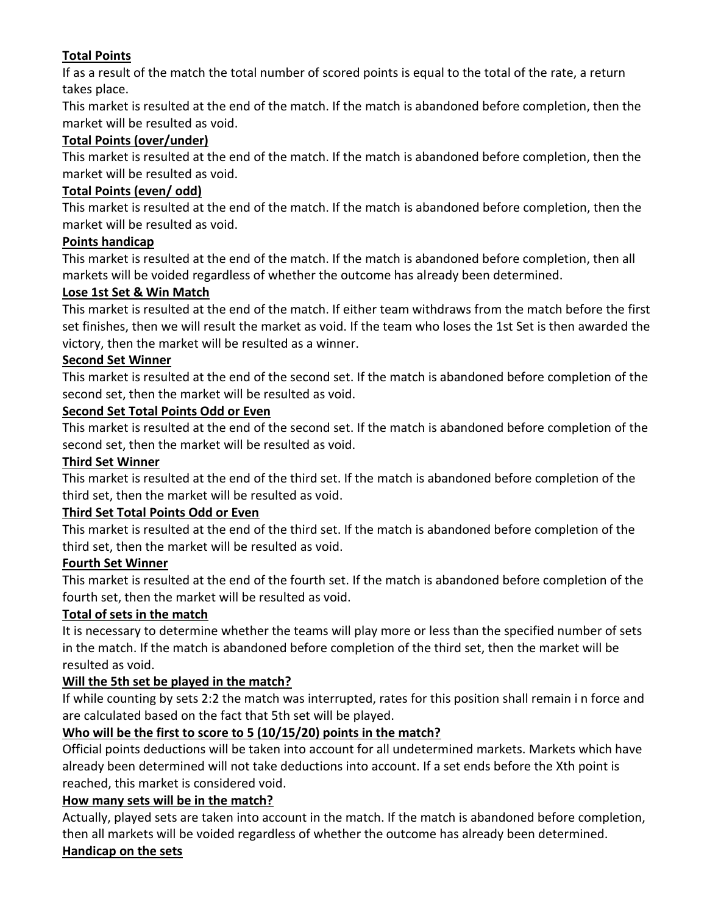# **Total Points**

If as a result of the match the total number of scored points is equal to the total of the rate, a return takes place.

This market is resulted at the end of the match. If the match is abandoned before completion, then the market will be resulted as void.

#### **Total Points (over/under)**

This market is resulted at the end of the match. If the match is abandoned before completion, then the market will be resulted as void.

#### **Total Points (even/ odd)**

This market is resulted at the end of the match. If the match is abandoned before completion, then the market will be resulted as void.

#### **Points handicap**

This market is resulted at the end of the match. If the match is abandoned before completion, then all markets will be voided regardless of whether the outcome has already been determined.

#### **Lose 1st Set & Win Match**

This market is resulted at the end of the match. If either team withdraws from the match before the first set finishes, then we will result the market as void. If the team who loses the 1st Set is then awarded the victory, then the market will be resulted as a winner.

## **Second Set Winner**

This market is resulted at the end of the second set. If the match is abandoned before completion of the second set, then the market will be resulted as void.

#### **Second Set Total Points Odd or Even**

This market is resulted at the end of the second set. If the match is abandoned before completion of the second set, then the market will be resulted as void.

#### **Third Set Winner**

This market is resulted at the end of the third set. If the match is abandoned before completion of the third set, then the market will be resulted as void.

#### **Third Set Total Points Odd or Even**

This market is resulted at the end of the third set. If the match is abandoned before completion of the third set, then the market will be resulted as void.

#### **Fourth Set Winner**

This market is resulted at the end of the fourth set. If the match is abandoned before completion of the fourth set, then the market will be resulted as void.

# **Total of sets in the match**

It is necessary to determine whether the teams will play more or less than the specified number of sets in the match. If the match is abandoned before completion of the third set, then the market will be resulted as void.

#### **Will the 5th set be played in the match?**

If while counting by sets 2:2 the match was interrupted, rates for this position shall remain i n force and are calculated based on the fact that 5th set will be played.

# **Who will be the first to score to 5 (10/15/20) points in the match?**

Official points deductions will be taken into account for all undetermined markets. Markets which have already been determined will not take deductions into account. If a set ends before the Xth point is reached, this market is considered void.

#### **How many sets will be in the match?**

Actually, played sets are taken into account in the match. If the match is abandoned before completion, then all markets will be voided regardless of whether the outcome has already been determined. **Handicap on the sets**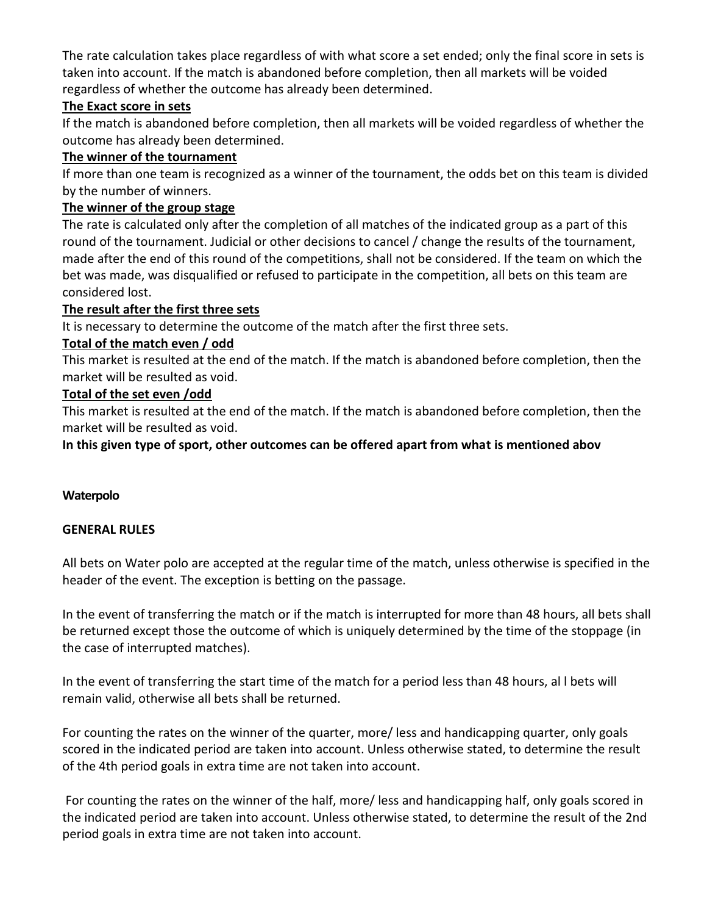The rate calculation takes place regardless of with what score a set ended; only the final score in sets is taken into account. If the match is abandoned before completion, then all markets will be voided regardless of whether the outcome has already been determined.

#### **The Exact score in sets**

If the match is abandoned before completion, then all markets will be voided regardless of whether the outcome has already been determined.

#### **The winner of the tournament**

If more than one team is recognized as a winner of the tournament, the odds bet on this team is divided by the number of winners.

#### **The winner of the group stage**

The rate is calculated only after the completion of all matches of the indicated group as a part of this round of the tournament. Judicial or other decisions to cancel / change the results of the tournament, made after the end of this round of the competitions, shall not be considered. If the team on which the bet was made, was disqualified or refused to participate in the competition, all bets on this team are considered lost.

#### **The result after the first three sets**

It is necessary to determine the outcome of the match after the first three sets.

#### **Total of the match even / odd**

This market is resulted at the end of the match. If the match is abandoned before completion, then the market will be resulted as void.

#### **Total of the set even /odd**

This market is resulted at the end of the match. If the match is abandoned before completion, then the market will be resulted as void.

**In this given type of sport, other outcomes can be offered apart from what is mentioned abov**

#### **Waterpolo**

#### **GENERAL RULES**

All bets on Water polo are accepted at the regular time of the match, unless otherwise is specified in the header of the event. The exception is betting on the passage.

In the event of transferring the match or if the match is interrupted for more than 48 hours, all bets shall be returned except those the outcome of which is uniquely determined by the time of the stoppage (in the case of interrupted matches).

In the event of transferring the start time of the match for a period less than 48 hours, al l bets will remain valid, otherwise all bets shall be returned.

For counting the rates on the winner of the quarter, more/ less and handicapping quarter, only goals scored in the indicated period are taken into account. Unless otherwise stated, to determine the result of the 4th period goals in extra time are not taken into account.

For counting the rates on the winner of the half, more/ less and handicapping half, only goals scored in the indicated period are taken into account. Unless otherwise stated, to determine the result of the 2nd period goals in extra time are not taken into account.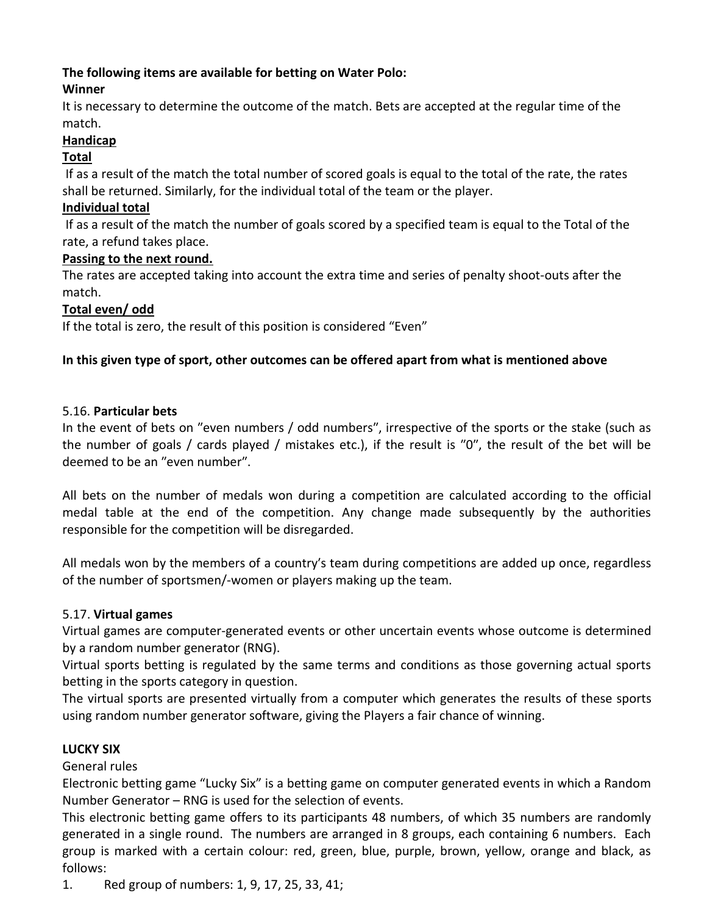# **The following items are available for betting on Water Polo:**

## **Winner**

It is necessary to determine the outcome of the match. Bets are accepted at the regular time of the match.

## **Handicap**

#### **Total**

If as a result of the match the total number of scored goals is equal to the total of the rate, the rates shall be returned. Similarly, for the individual total of the team or the player.

#### **Individual total**

If as a result of the match the number of goals scored by a specified team is equal to the Total of the rate, a refund takes place.

## **Passing to the next round.**

The rates are accepted taking into account the extra time and series of penalty shoot-outs after the match.

# **Total even/ odd**

If the total is zero, the result of this position is considered "Even"

## **In this given type of sport, other outcomes can be offered apart from what is mentioned above**

## 5.16. **Particular bets**

In the event of bets on "even numbers / odd numbers", irrespective of the sports or the stake (such as the number of goals / cards played / mistakes etc.), if the result is  $"0"$ , the result of the bet will be deemed to be an "even number".

All bets on the number of medals won during a competition are calculated according to the official medal table at the end of the competition. Any change made subsequently by the authorities responsible for the competition will be disregarded.

All medals won by the members of a countryʹs team during competitions are added up once, regardless of the number of sportsmen/‐women or players making up the team.

#### 5.17. **Virtual games**

Virtual games are computer-generated events or other uncertain events whose outcome is determined by a random number generator (RNG).

Virtual sports betting is regulated by the same terms and conditions as those governing actual sports betting in the sports category in question.

The virtual sports are presented virtually from a computer which generates the results of these sports using random number generator software, giving the Players a fair chance of winning.

# **LUCKY SIX**

General rules

Electronic betting game "Lucky Six" is a betting game on computer generated events in which a Random Number Generator – RNG is used for the selection of events.

This electronic betting game offers to its participants 48 numbers, of which 35 numbers are randomly generated in a single round. The numbers are arranged in 8 groups, each containing 6 numbers. Each group is marked with a certain colour: red, green, blue, purple, brown, yellow, orange and black, as follows:

1. Red group of numbers: 1, 9, 17, 25, 33, 41;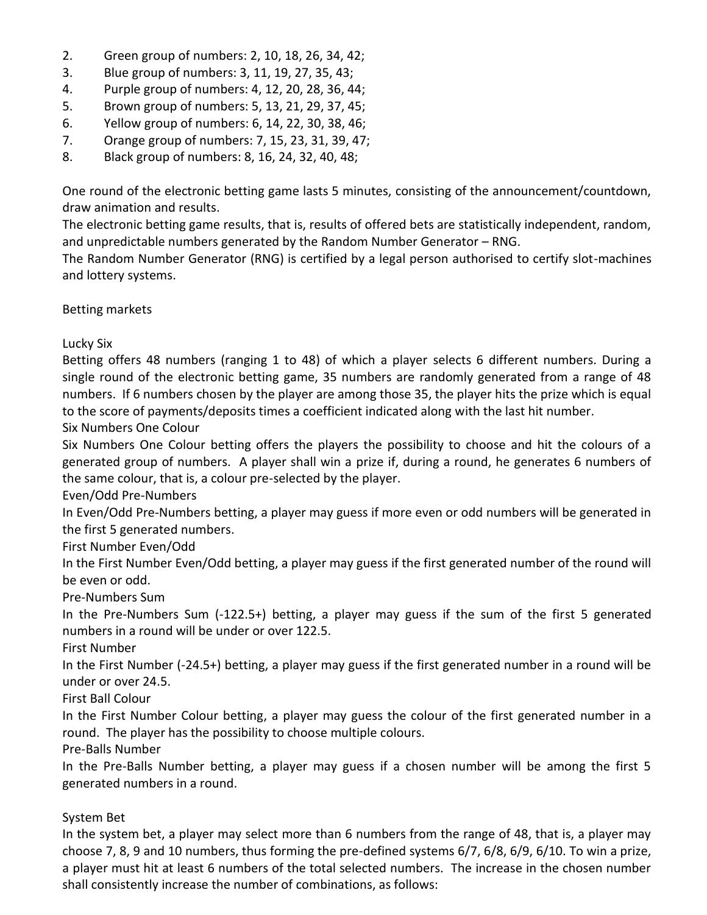- 2. Green group of numbers: 2, 10, 18, 26, 34, 42;
- 3. Blue group of numbers: 3, 11, 19, 27, 35, 43;
- 4. Purple group of numbers: 4, 12, 20, 28, 36, 44;
- 5. Brown group of numbers: 5, 13, 21, 29, 37, 45;
- 6. Yellow group of numbers: 6, 14, 22, 30, 38, 46;
- 7. Orange group of numbers: 7, 15, 23, 31, 39, 47;
- 8. Black group of numbers: 8, 16, 24, 32, 40, 48;

One round of the electronic betting game lasts 5 minutes, consisting of the announcement/countdown, draw animation and results.

The electronic betting game results, that is, results of offered bets are statistically independent, random, and unpredictable numbers generated by the Random Number Generator – RNG.

The Random Number Generator (RNG) is certified by a legal person authorised to certify slot-machines and lottery systems.

Betting markets

Lucky Six

Betting offers 48 numbers (ranging 1 to 48) of which a player selects 6 different numbers. During a single round of the electronic betting game, 35 numbers are randomly generated from a range of 48 numbers. If 6 numbers chosen by the player are among those 35, the player hits the prize which is equal to the score of payments/deposits times a coefficient indicated along with the last hit number.

Six Numbers One Colour

Six Numbers One Colour betting offers the players the possibility to choose and hit the colours of a generated group of numbers. A player shall win a prize if, during a round, he generates 6 numbers of the same colour, that is, a colour pre-selected by the player.

Even/Odd Pre-Numbers

In Even/Odd Pre-Numbers betting, a player may guess if more even or odd numbers will be generated in the first 5 generated numbers.

First Number Even/Odd

In the First Number Even/Odd betting, a player may guess if the first generated number of the round will be even or odd.

Pre-Numbers Sum

In the Pre-Numbers Sum (-122.5+) betting, a player may guess if the sum of the first 5 generated numbers in a round will be under or over 122.5.

First Number

In the First Number (-24.5+) betting, a player may guess if the first generated number in a round will be under or over 24.5.

First Ball Colour

In the First Number Colour betting, a player may guess the colour of the first generated number in a round. The player has the possibility to choose multiple colours.

Pre-Balls Number

In the Pre-Balls Number betting, a player may guess if a chosen number will be among the first 5 generated numbers in a round.

#### System Bet

In the system bet, a player may select more than 6 numbers from the range of 48, that is, a player may choose 7, 8, 9 and 10 numbers, thus forming the pre-defined systems 6/7, 6/8, 6/9, 6/10. To win a prize, a player must hit at least 6 numbers of the total selected numbers. The increase in the chosen number shall consistently increase the number of combinations, as follows: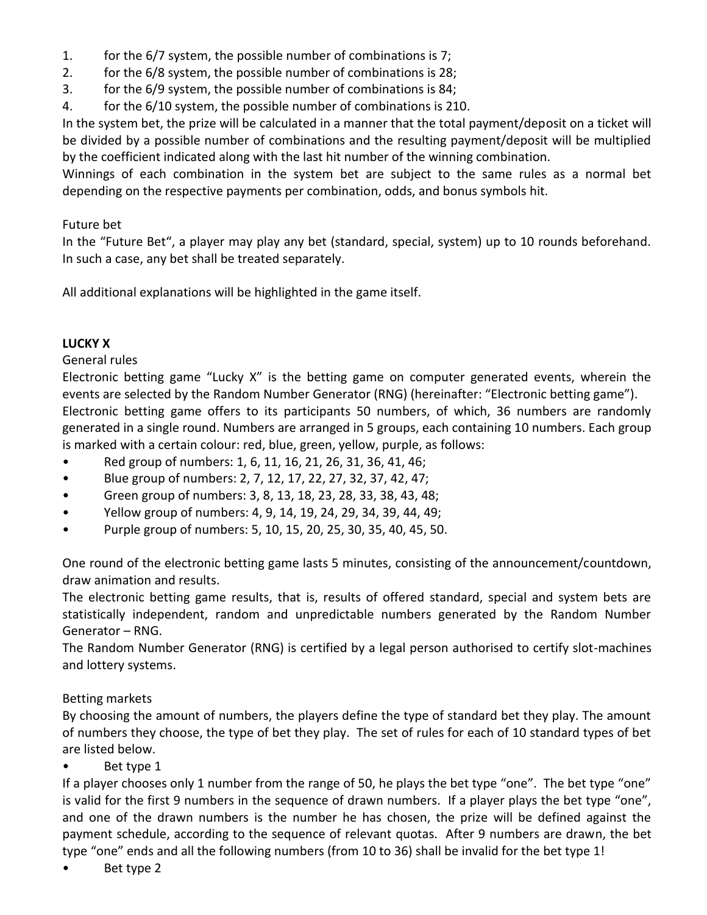- 1. for the 6/7 system, the possible number of combinations is 7;
- 2. for the 6/8 system, the possible number of combinations is 28;
- 3. for the 6/9 system, the possible number of combinations is 84;
- 4. for the 6/10 system, the possible number of combinations is 210.

In the system bet, the prize will be calculated in a manner that the total payment/deposit on a ticket will be divided by a possible number of combinations and the resulting payment/deposit will be multiplied by the coefficient indicated along with the last hit number of the winning combination.

Winnings of each combination in the system bet are subject to the same rules as a normal bet depending on the respective payments per combination, odds, and bonus symbols hit.

#### Future bet

In the "Future Bet", a player may play any bet (standard, special, system) up to 10 rounds beforehand. In such a case, any bet shall be treated separately.

All additional explanations will be highlighted in the game itself.

#### **LUCKY X**

#### General rules

Electronic betting game "Lucky X" is the betting game on computer generated events, wherein the events are selected by the Random Number Generator (RNG) (hereinafter: "Electronic betting game"). Electronic betting game offers to its participants 50 numbers, of which, 36 numbers are randomly generated in a single round. Numbers are arranged in 5 groups, each containing 10 numbers. Each group is marked with a certain colour: red, blue, green, yellow, purple, as follows:

- Red group of numbers: 1, 6, 11, 16, 21, 26, 31, 36, 41, 46;
- Blue group of numbers: 2, 7, 12, 17, 22, 27, 32, 37, 42, 47;
- Green group of numbers: 3, 8, 13, 18, 23, 28, 33, 38, 43, 48;
- Yellow group of numbers: 4, 9, 14, 19, 24, 29, 34, 39, 44, 49;
- Purple group of numbers: 5, 10, 15, 20, 25, 30, 35, 40, 45, 50.

One round of the electronic betting game lasts 5 minutes, consisting of the announcement/countdown, draw animation and results.

The electronic betting game results, that is, results of offered standard, special and system bets are statistically independent, random and unpredictable numbers generated by the Random Number Generator – RNG.

The Random Number Generator (RNG) is certified by a legal person authorised to certify slot-machines and lottery systems.

#### Betting markets

By choosing the amount of numbers, the players define the type of standard bet they play. The amount of numbers they choose, the type of bet they play. The set of rules for each of 10 standard types of bet are listed below.

#### Bet type 1

If a player chooses only 1 number from the range of 50, he plays the bet type "one". The bet type "one" is valid for the first 9 numbers in the sequence of drawn numbers. If a player plays the bet type "one", and one of the drawn numbers is the number he has chosen, the prize will be defined against the payment schedule, according to the sequence of relevant quotas. After 9 numbers are drawn, the bet type "one" ends and all the following numbers (from 10 to 36) shall be invalid for the bet type 1!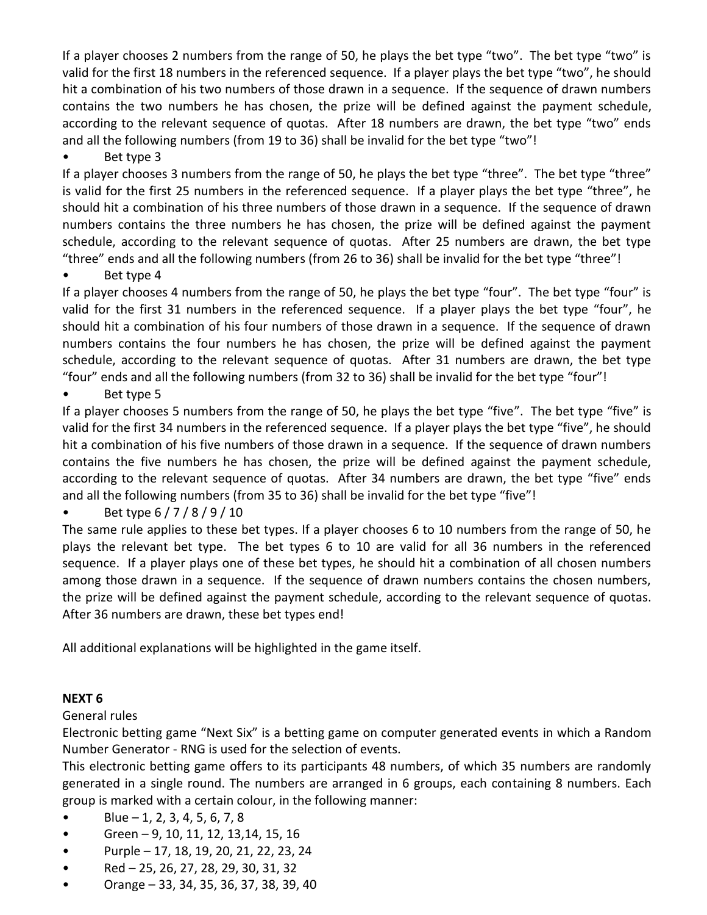If a player chooses 2 numbers from the range of 50, he plays the bet type "two". The bet type "two" is valid for the first 18 numbers in the referenced sequence. If a player plays the bet type "two", he should hit a combination of his two numbers of those drawn in a sequence. If the sequence of drawn numbers contains the two numbers he has chosen, the prize will be defined against the payment schedule, according to the relevant sequence of quotas. After 18 numbers are drawn, the bet type "two" ends and all the following numbers (from 19 to 36) shall be invalid for the bet type "two"!

#### Bet type 3

If a player chooses 3 numbers from the range of 50, he plays the bet type "three". The bet type "three" is valid for the first 25 numbers in the referenced sequence. If a player plays the bet type "three", he should hit a combination of his three numbers of those drawn in a sequence. If the sequence of drawn numbers contains the three numbers he has chosen, the prize will be defined against the payment schedule, according to the relevant sequence of quotas. After 25 numbers are drawn, the bet type "three" ends and all the following numbers (from 26 to 36) shall be invalid for the bet type "three"!

#### • Bet type 4

If a player chooses 4 numbers from the range of 50, he plays the bet type "four". The bet type "four" is valid for the first 31 numbers in the referenced sequence. If a player plays the bet type "four", he should hit a combination of his four numbers of those drawn in a sequence. If the sequence of drawn numbers contains the four numbers he has chosen, the prize will be defined against the payment schedule, according to the relevant sequence of quotas. After 31 numbers are drawn, the bet type "four" ends and all the following numbers (from 32 to 36) shall be invalid for the bet type "four"!

Bet type 5

If a player chooses 5 numbers from the range of 50, he plays the bet type "five". The bet type "five" is valid for the first 34 numbers in the referenced sequence. If a player plays the bet type "five", he should hit a combination of his five numbers of those drawn in a sequence. If the sequence of drawn numbers contains the five numbers he has chosen, the prize will be defined against the payment schedule, according to the relevant sequence of quotas. After 34 numbers are drawn, the bet type "five" ends and all the following numbers (from 35 to 36) shall be invalid for the bet type "five"!

# • Bet type 6 / 7 / 8 / 9 / 10

The same rule applies to these bet types. If a player chooses 6 to 10 numbers from the range of 50, he plays the relevant bet type. The bet types 6 to 10 are valid for all 36 numbers in the referenced sequence. If a player plays one of these bet types, he should hit a combination of all chosen numbers among those drawn in a sequence. If the sequence of drawn numbers contains the chosen numbers, the prize will be defined against the payment schedule, according to the relevant sequence of quotas. After 36 numbers are drawn, these bet types end!

All additional explanations will be highlighted in the game itself.

#### **NEXT 6**

General rules

Electronic betting game "Next Six" is a betting game on computer generated events in which a Random Number Generator - RNG is used for the selection of events.

This electronic betting game offers to its participants 48 numbers, of which 35 numbers are randomly generated in a single round. The numbers are arranged in 6 groups, each containing 8 numbers. Each group is marked with a certain colour, in the following manner:

- $Blue 1, 2, 3, 4, 5, 6, 7, 8$
- Green 9, 10, 11, 12, 13,14, 15, 16
- Purple 17, 18, 19, 20, 21, 22, 23, 24
- Red 25, 26, 27, 28, 29, 30, 31, 32
- Orange 33, 34, 35, 36, 37, 38, 39, 40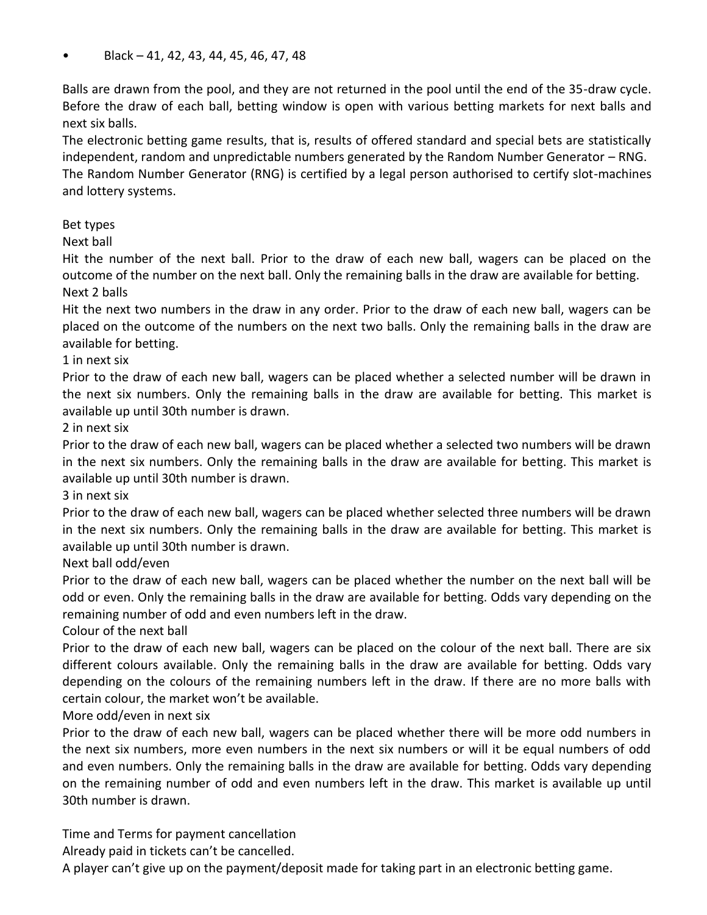• Black – 41, 42, 43, 44, 45, 46, 47, 48

Balls are drawn from the pool, and they are not returned in the pool until the end of the 35-draw cycle. Before the draw of each ball, betting window is open with various betting markets for next balls and next six balls.

The electronic betting game results, that is, results of offered standard and special bets are statistically independent, random and unpredictable numbers generated by the Random Number Generator – RNG. The Random Number Generator (RNG) is certified by a legal person authorised to certify slot-machines and lottery systems.

#### Bet types

Next ball

Hit the number of the next ball. Prior to the draw of each new ball, wagers can be placed on the outcome of the number on the next ball. Only the remaining balls in the draw are available for betting. Next 2 balls

Hit the next two numbers in the draw in any order. Prior to the draw of each new ball, wagers can be placed on the outcome of the numbers on the next two balls. Only the remaining balls in the draw are available for betting.

#### 1 in next six

Prior to the draw of each new ball, wagers can be placed whether a selected number will be drawn in the next six numbers. Only the remaining balls in the draw are available for betting. This market is available up until 30th number is drawn.

#### 2 in next six

Prior to the draw of each new ball, wagers can be placed whether a selected two numbers will be drawn in the next six numbers. Only the remaining balls in the draw are available for betting. This market is available up until 30th number is drawn.

#### 3 in next six

Prior to the draw of each new ball, wagers can be placed whether selected three numbers will be drawn in the next six numbers. Only the remaining balls in the draw are available for betting. This market is available up until 30th number is drawn.

Next ball odd/even

Prior to the draw of each new ball, wagers can be placed whether the number on the next ball will be odd or even. Only the remaining balls in the draw are available for betting. Odds vary depending on the remaining number of odd and even numbers left in the draw.

#### Colour of the next ball

Prior to the draw of each new ball, wagers can be placed on the colour of the next ball. There are six different colours available. Only the remaining balls in the draw are available for betting. Odds vary depending on the colours of the remaining numbers left in the draw. If there are no more balls with certain colour, the market won't be available.

#### More odd/even in next six

Prior to the draw of each new ball, wagers can be placed whether there will be more odd numbers in the next six numbers, more even numbers in the next six numbers or will it be equal numbers of odd and even numbers. Only the remaining balls in the draw are available for betting. Odds vary depending on the remaining number of odd and even numbers left in the draw. This market is available up until 30th number is drawn.

Time and Terms for payment cancellation

Already paid in tickets can't be cancelled.

A player can't give up on the payment/deposit made for taking part in an electronic betting game.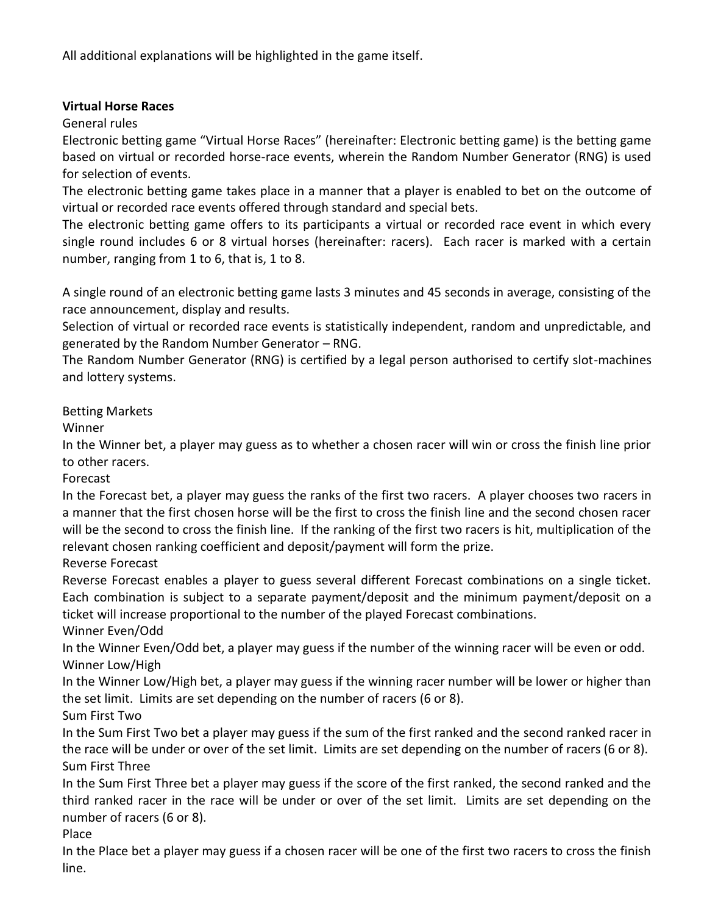All additional explanations will be highlighted in the game itself.

#### **Virtual Horse Races**

## General rules

Electronic betting game "Virtual Horse Races" (hereinafter: Electronic betting game) is the betting game based on virtual or recorded horse-race events, wherein the Random Number Generator (RNG) is used for selection of events.

The electronic betting game takes place in a manner that a player is enabled to bet on the outcome of virtual or recorded race events offered through standard and special bets.

The electronic betting game offers to its participants a virtual or recorded race event in which every single round includes 6 or 8 virtual horses (hereinafter: racers). Each racer is marked with a certain number, ranging from 1 to 6, that is, 1 to 8.

A single round of an electronic betting game lasts 3 minutes and 45 seconds in average, consisting of the race announcement, display and results.

Selection of virtual or recorded race events is statistically independent, random and unpredictable, and generated by the Random Number Generator – RNG.

The Random Number Generator (RNG) is certified by a legal person authorised to certify slot-machines and lottery systems.

## Betting Markets

Winner

In the Winner bet, a player may guess as to whether a chosen racer will win or cross the finish line prior to other racers.

#### Forecast

In the Forecast bet, a player may guess the ranks of the first two racers. A player chooses two racers in a manner that the first chosen horse will be the first to cross the finish line and the second chosen racer will be the second to cross the finish line. If the ranking of the first two racers is hit, multiplication of the relevant chosen ranking coefficient and deposit/payment will form the prize.

#### Reverse Forecast

Reverse Forecast enables a player to guess several different Forecast combinations on a single ticket. Each combination is subject to a separate payment/deposit and the minimum payment/deposit on a ticket will increase proportional to the number of the played Forecast combinations.

Winner Even/Odd

In the Winner Even/Odd bet, a player may guess if the number of the winning racer will be even or odd. Winner Low/High

In the Winner Low/High bet, a player may guess if the winning racer number will be lower or higher than the set limit. Limits are set depending on the number of racers (6 or 8).

# Sum First Two

In the Sum First Two bet a player may guess if the sum of the first ranked and the second ranked racer in the race will be under or over of the set limit. Limits are set depending on the number of racers (6 or 8). Sum First Three

In the Sum First Three bet a player may guess if the score of the first ranked, the second ranked and the third ranked racer in the race will be under or over of the set limit. Limits are set depending on the number of racers (6 or 8).

#### Place

In the Place bet a player may guess if a chosen racer will be one of the first two racers to cross the finish line.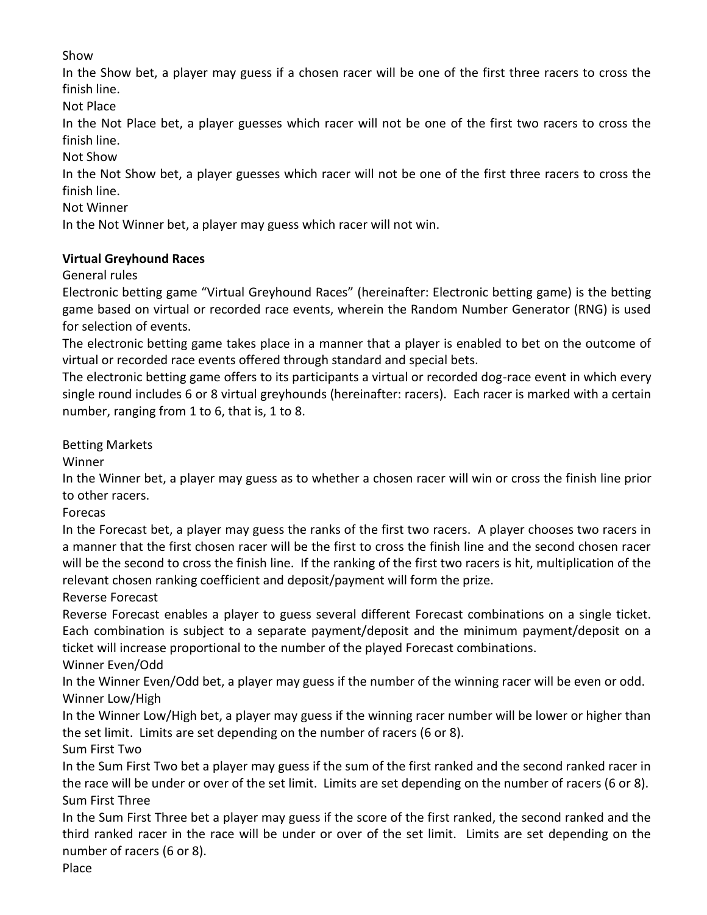## Show

In the Show bet, a player may guess if a chosen racer will be one of the first three racers to cross the finish line.

Not Place

In the Not Place bet, a player guesses which racer will not be one of the first two racers to cross the finish line.

Not Show

In the Not Show bet, a player guesses which racer will not be one of the first three racers to cross the finish line.

Not Winner

In the Not Winner bet, a player may guess which racer will not win.

#### **Virtual Greyhound Races**

General rules

Electronic betting game "Virtual Greyhound Races" (hereinafter: Electronic betting game) is the betting game based on virtual or recorded race events, wherein the Random Number Generator (RNG) is used for selection of events.

The electronic betting game takes place in a manner that a player is enabled to bet on the outcome of virtual or recorded race events offered through standard and special bets.

The electronic betting game offers to its participants a virtual or recorded dog-race event in which every single round includes 6 or 8 virtual greyhounds (hereinafter: racers). Each racer is marked with a certain number, ranging from 1 to 6, that is, 1 to 8.

#### Betting Markets

Winner

In the Winner bet, a player may guess as to whether a chosen racer will win or cross the finish line prior to other racers.

Forecas

In the Forecast bet, a player may guess the ranks of the first two racers. A player chooses two racers in a manner that the first chosen racer will be the first to cross the finish line and the second chosen racer will be the second to cross the finish line. If the ranking of the first two racers is hit, multiplication of the relevant chosen ranking coefficient and deposit/payment will form the prize.

Reverse Forecast

Reverse Forecast enables a player to guess several different Forecast combinations on a single ticket. Each combination is subject to a separate payment/deposit and the minimum payment/deposit on a ticket will increase proportional to the number of the played Forecast combinations.

Winner Even/Odd

In the Winner Even/Odd bet, a player may guess if the number of the winning racer will be even or odd. Winner Low/High

In the Winner Low/High bet, a player may guess if the winning racer number will be lower or higher than the set limit. Limits are set depending on the number of racers (6 or 8).

Sum First Two

In the Sum First Two bet a player may guess if the sum of the first ranked and the second ranked racer in the race will be under or over of the set limit. Limits are set depending on the number of racers (6 or 8). Sum First Three

In the Sum First Three bet a player may guess if the score of the first ranked, the second ranked and the third ranked racer in the race will be under or over of the set limit. Limits are set depending on the number of racers (6 or 8).

Place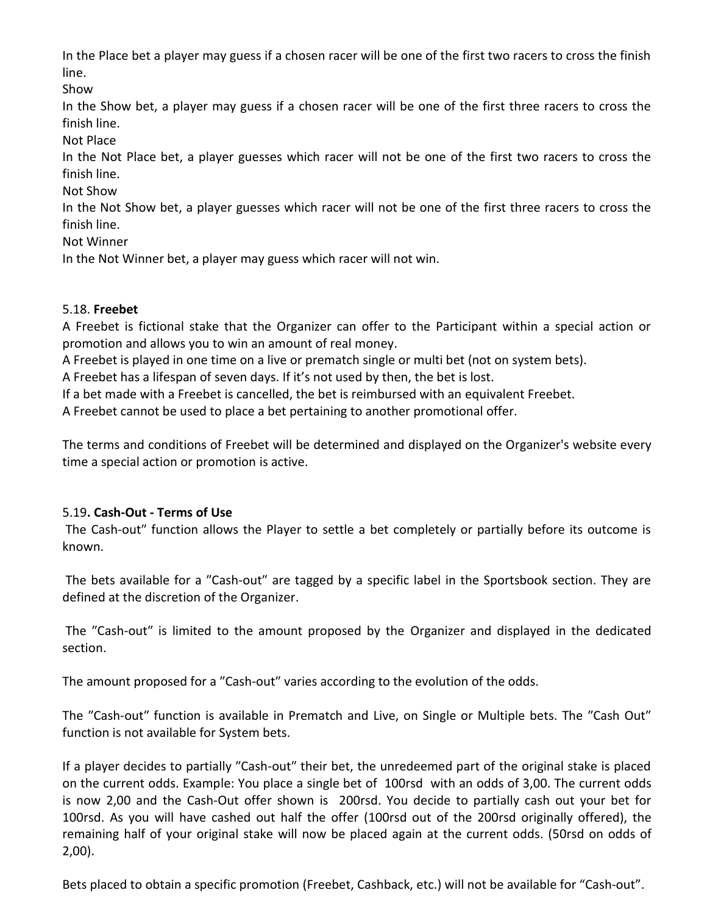In the Place bet a player may guess if a chosen racer will be one of the first two racers to cross the finish line.

Show

In the Show bet, a player may guess if a chosen racer will be one of the first three racers to cross the finish line.

Not Place

In the Not Place bet, a player guesses which racer will not be one of the first two racers to cross the finish line.

Not Show

In the Not Show bet, a player guesses which racer will not be one of the first three racers to cross the finish line.

Not Winner

In the Not Winner bet, a player may guess which racer will not win.

#### 5.18. **Freebet**

A Freebet is fictional stake that the Organizer can offer to the Participant within a special action or promotion and allows you to win an amount of real money.

A Freebet is played in one time on a live or prematch single or multi bet (not on system bets).

A Freebet has a lifespan of seven days. If it's not used by then, the bet is lost.

If a bet made with a Freebet is cancelled, the bet is reimbursed with an equivalent Freebet.

A Freebet cannot be used to place a bet pertaining to another promotional offer.

The terms and conditions of Freebet will be determined and displayed on the Organizer's website every time a special action or promotion is active.

#### 5.19**. Cash‐Out ‐ Terms of Use**

The Cash-out" function allows the Player to settle a bet completely or partially before its outcome is known.

The bets available for a "Cash-out" are tagged by a specific label in the Sportsbook section. They are defined at the discretion of the Organizer.

The "Cash-out" is limited to the amount proposed by the Organizer and displayed in the dedicated section.

The amount proposed for a "Cash-out" varies according to the evolution of the odds.

The "Cash-out" function is available in Prematch and Live, on Single or Multiple bets. The "Cash Out" function is not available for System bets.

If a player decides to partially "Cash-out" their bet, the unredeemed part of the original stake is placed on the current odds. Example: You place a single bet of 100rsd with an odds of 3,00. The current odds is now 2,00 and the Cash-Out offer shown is 200rsd. You decide to partially cash out your bet for 100rsd. As you will have cashed out half the offer (100rsd out of the 200rsd originally offered), the remaining half of your original stake will now be placed again at the current odds. (50rsd on odds of 2,00).

Bets placed to obtain a specific promotion (Freebet, Cashback, etc.) will not be available for "Cash-out".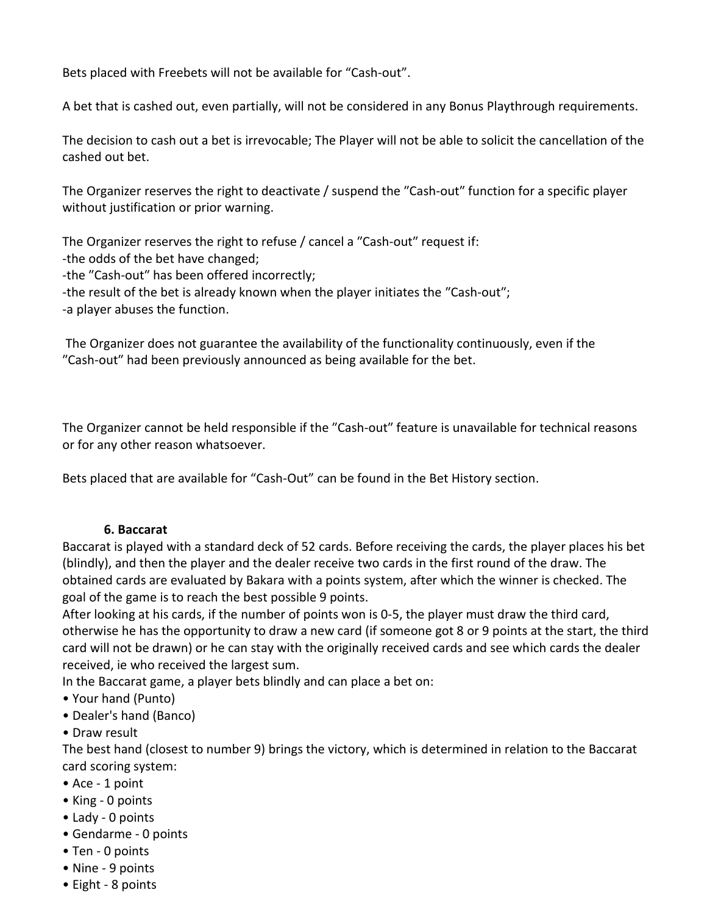Bets placed with Freebets will not be available for "Cash‐out".

A bet that is cashed out, even partially, will not be considered in any Bonus Playthrough requirements.

The decision to cash out a bet is irrevocable; The Player will not be able to solicit the cancellation of the cashed out bet.

The Organizer reserves the right to deactivate / suspend the "Cash-out" function for a specific player without justification or prior warning.

The Organizer reserves the right to refuse / cancel a "Cash-out" request if: -the odds of the bet have changed; -the "Cash-out" has been offered incorrectly; -the result of the bet is already known when the player initiates the "Cash-out"; -a player abuses the function.

The Organizer does not guarantee the availability of the functionality continuously, even if the ʺCash‐outʺ had been previously announced as being available for the bet.

The Organizer cannot be held responsible if the "Cash-out" feature is unavailable for technical reasons or for any other reason whatsoever.

Bets placed that are available for "Cash‐Out" can be found in the Bet History section.

#### **6. Baccarat**

Baccarat is played with a standard deck of 52 cards. Before receiving the cards, the player places his bet (blindly), and then the player and the dealer receive two cards in the first round of the draw. The obtained cards are evaluated by Bakara with a points system, after which the winner is checked. The goal of the game is to reach the best possible 9 points.

After looking at his cards, if the number of points won is 0-5, the player must draw the third card, otherwise he has the opportunity to draw a new card (if someone got 8 or 9 points at the start, the third card will not be drawn) or he can stay with the originally received cards and see which cards the dealer received, ie who received the largest sum.

In the Baccarat game, a player bets blindly and can place a bet on:

- Your hand (Punto)
- Dealer's hand (Banco)
- Draw result

The best hand (closest to number 9) brings the victory, which is determined in relation to the Baccarat card scoring system:

- Ace 1 point
- King 0 points
- Lady 0 points
- Gendarme 0 points
- Ten 0 points
- Nine 9 points
- Eight 8 points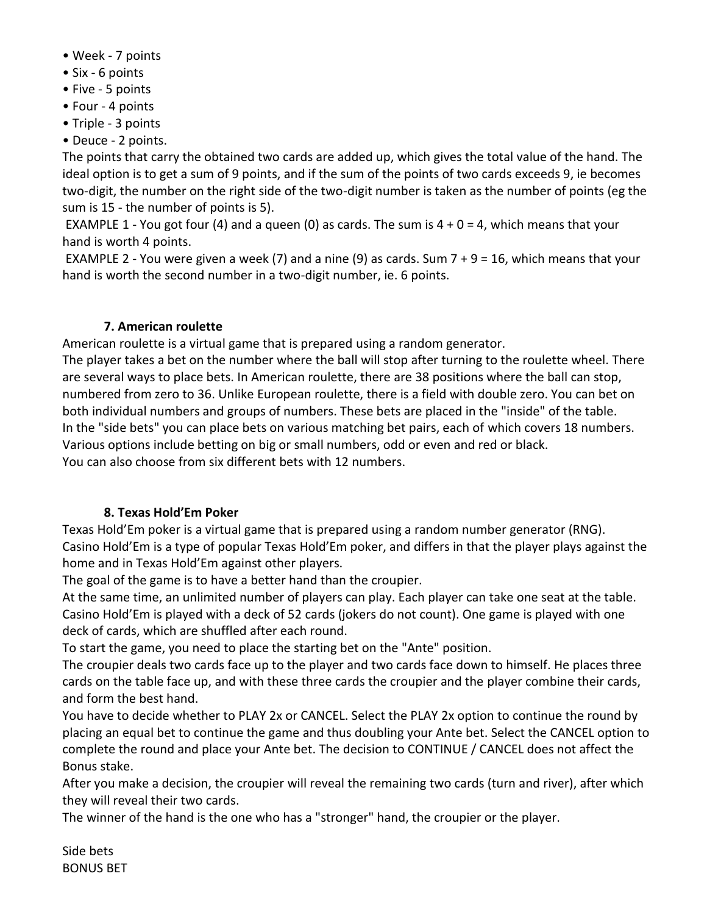- Week 7 points
- Six 6 points
- Five 5 points
- Four 4 points
- Triple 3 points
- Deuce 2 points.

The points that carry the obtained two cards are added up, which gives the total value of the hand. The ideal option is to get a sum of 9 points, and if the sum of the points of two cards exceeds 9, ie becomes two-digit, the number on the right side of the two-digit number is taken as the number of points (eg the sum is 15 - the number of points is 5).

EXAMPLE 1 - You got four (4) and a queen (0) as cards. The sum is  $4 + 0 = 4$ , which means that your hand is worth 4 points.

EXAMPLE 2 - You were given a week (7) and a nine (9) as cards. Sum  $7 + 9 = 16$ , which means that your hand is worth the second number in a two-digit number, ie. 6 points.

#### **7. American roulette**

American roulette is a virtual game that is prepared using a random generator.

The player takes a bet on the number where the ball will stop after turning to the roulette wheel. There are several ways to place bets. In American roulette, there are 38 positions where the ball can stop, numbered from zero to 36. Unlike European roulette, there is a field with double zero. You can bet on both individual numbers and groups of numbers. These bets are placed in the "inside" of the table. In the "side bets" you can place bets on various matching bet pairs, each of which covers 18 numbers. Various options include betting on big or small numbers, odd or even and red or black. You can also choose from six different bets with 12 numbers.

#### **8. Texas Hold'Em Poker**

Texas Hold'Em poker is a virtual game that is prepared using a random number generator (RNG). Casino Hold'Em is a type of popular Texas Hold'Em poker, and differs in that the player plays against the home and in Texas Hold'Em against other players.

The goal of the game is to have a better hand than the croupier.

At the same time, an unlimited number of players can play. Each player can take one seat at the table. Casino Hold'Em is played with a deck of 52 cards (jokers do not count). One game is played with one deck of cards, which are shuffled after each round.

To start the game, you need to place the starting bet on the "Ante" position.

The croupier deals two cards face up to the player and two cards face down to himself. He places three cards on the table face up, and with these three cards the croupier and the player combine their cards, and form the best hand.

You have to decide whether to PLAY 2x or CANCEL. Select the PLAY 2x option to continue the round by placing an equal bet to continue the game and thus doubling your Ante bet. Select the CANCEL option to complete the round and place your Ante bet. The decision to CONTINUE / CANCEL does not affect the Bonus stake.

After you make a decision, the croupier will reveal the remaining two cards (turn and river), after which they will reveal their two cards.

The winner of the hand is the one who has a "stronger" hand, the croupier or the player.

Side bets BONUS BET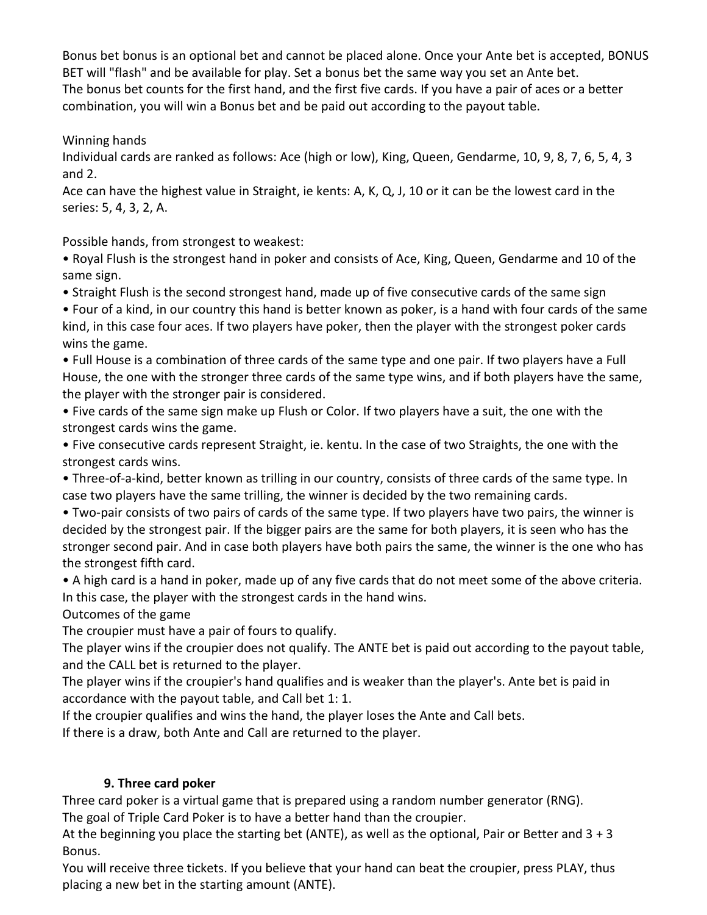Bonus bet bonus is an optional bet and cannot be placed alone. Once your Ante bet is accepted, BONUS BET will "flash" and be available for play. Set a bonus bet the same way you set an Ante bet. The bonus bet counts for the first hand, and the first five cards. If you have a pair of aces or a better combination, you will win a Bonus bet and be paid out according to the payout table.

Winning hands

Individual cards are ranked as follows: Ace (high or low), King, Queen, Gendarme, 10, 9, 8, 7, 6, 5, 4, 3 and 2.

Ace can have the highest value in Straight, ie kents: A, K, Q, J, 10 or it can be the lowest card in the series: 5, 4, 3, 2, A.

Possible hands, from strongest to weakest:

• Royal Flush is the strongest hand in poker and consists of Ace, King, Queen, Gendarme and 10 of the same sign.

• Straight Flush is the second strongest hand, made up of five consecutive cards of the same sign

• Four of a kind, in our country this hand is better known as poker, is a hand with four cards of the same kind, in this case four aces. If two players have poker, then the player with the strongest poker cards wins the game.

• Full House is a combination of three cards of the same type and one pair. If two players have a Full House, the one with the stronger three cards of the same type wins, and if both players have the same, the player with the stronger pair is considered.

• Five cards of the same sign make up Flush or Color. If two players have a suit, the one with the strongest cards wins the game.

• Five consecutive cards represent Straight, ie. kentu. In the case of two Straights, the one with the strongest cards wins.

• Three-of-a-kind, better known as trilling in our country, consists of three cards of the same type. In case two players have the same trilling, the winner is decided by the two remaining cards.

• Two-pair consists of two pairs of cards of the same type. If two players have two pairs, the winner is decided by the strongest pair. If the bigger pairs are the same for both players, it is seen who has the stronger second pair. And in case both players have both pairs the same, the winner is the one who has the strongest fifth card.

• A high card is a hand in poker, made up of any five cards that do not meet some of the above criteria. In this case, the player with the strongest cards in the hand wins.

Outcomes of the game

The croupier must have a pair of fours to qualify.

The player wins if the croupier does not qualify. The ANTE bet is paid out according to the payout table, and the CALL bet is returned to the player.

The player wins if the croupier's hand qualifies and is weaker than the player's. Ante bet is paid in accordance with the payout table, and Call bet 1: 1.

If the croupier qualifies and wins the hand, the player loses the Ante and Call bets.

If there is a draw, both Ante and Call are returned to the player.

#### **9. Three card poker**

Three card poker is a virtual game that is prepared using a random number generator (RNG).

The goal of Triple Card Poker is to have a better hand than the croupier.

At the beginning you place the starting bet (ANTE), as well as the optional, Pair or Better and  $3 + 3$ Bonus.

You will receive three tickets. If you believe that your hand can beat the croupier, press PLAY, thus placing a new bet in the starting amount (ANTE).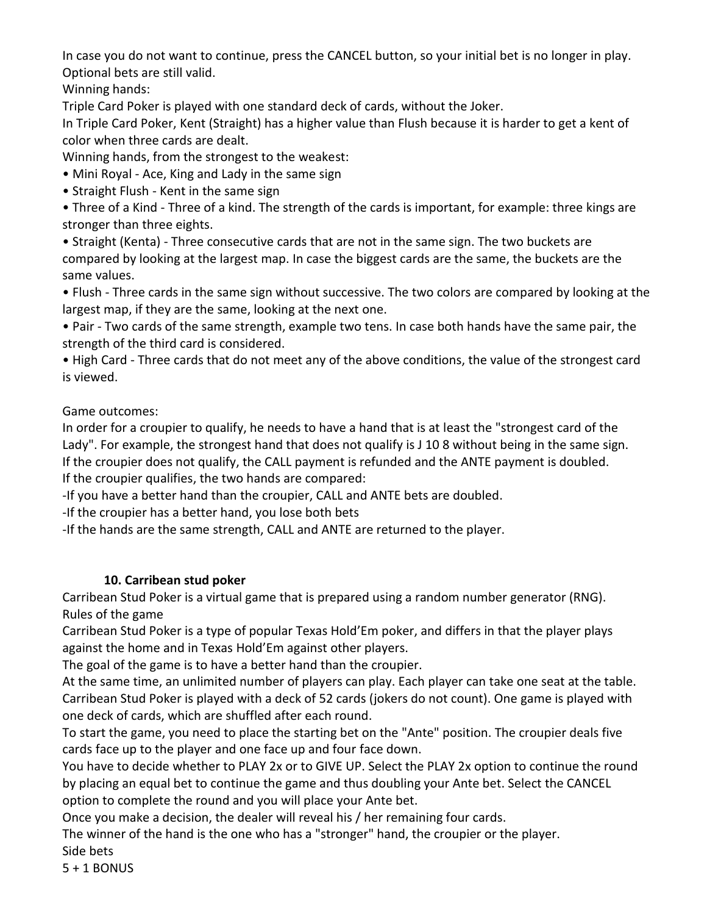In case you do not want to continue, press the CANCEL button, so your initial bet is no longer in play. Optional bets are still valid.

Winning hands:

Triple Card Poker is played with one standard deck of cards, without the Joker.

In Triple Card Poker, Kent (Straight) has a higher value than Flush because it is harder to get a kent of color when three cards are dealt.

Winning hands, from the strongest to the weakest:

• Mini Royal - Ace, King and Lady in the same sign

• Straight Flush - Kent in the same sign

• Three of a Kind - Three of a kind. The strength of the cards is important, for example: three kings are stronger than three eights.

• Straight (Kenta) - Three consecutive cards that are not in the same sign. The two buckets are compared by looking at the largest map. In case the biggest cards are the same, the buckets are the same values.

• Flush - Three cards in the same sign without successive. The two colors are compared by looking at the largest map, if they are the same, looking at the next one.

• Pair - Two cards of the same strength, example two tens. In case both hands have the same pair, the strength of the third card is considered.

• High Card - Three cards that do not meet any of the above conditions, the value of the strongest card is viewed.

Game outcomes:

In order for a croupier to qualify, he needs to have a hand that is at least the "strongest card of the Lady". For example, the strongest hand that does not qualify is J 10 8 without being in the same sign. If the croupier does not qualify, the CALL payment is refunded and the ANTE payment is doubled. If the croupier qualifies, the two hands are compared:

-If you have a better hand than the croupier, CALL and ANTE bets are doubled.

-If the croupier has a better hand, you lose both bets

-If the hands are the same strength, CALL and ANTE are returned to the player.

# **10. Carribean stud poker**

Carribean Stud Poker is a virtual game that is prepared using a random number generator (RNG). Rules of the game

Carribean Stud Poker is a type of popular Texas Hold'Em poker, and differs in that the player plays against the home and in Texas Hold'Em against other players.

The goal of the game is to have a better hand than the croupier.

At the same time, an unlimited number of players can play. Each player can take one seat at the table. Carribean Stud Poker is played with a deck of 52 cards (jokers do not count). One game is played with one deck of cards, which are shuffled after each round.

To start the game, you need to place the starting bet on the "Ante" position. The croupier deals five cards face up to the player and one face up and four face down.

You have to decide whether to PLAY 2x or to GIVE UP. Select the PLAY 2x option to continue the round by placing an equal bet to continue the game and thus doubling your Ante bet. Select the CANCEL option to complete the round and you will place your Ante bet.

Once you make a decision, the dealer will reveal his / her remaining four cards.

The winner of the hand is the one who has a "stronger" hand, the croupier or the player.

Side bets

5 + 1 BONUS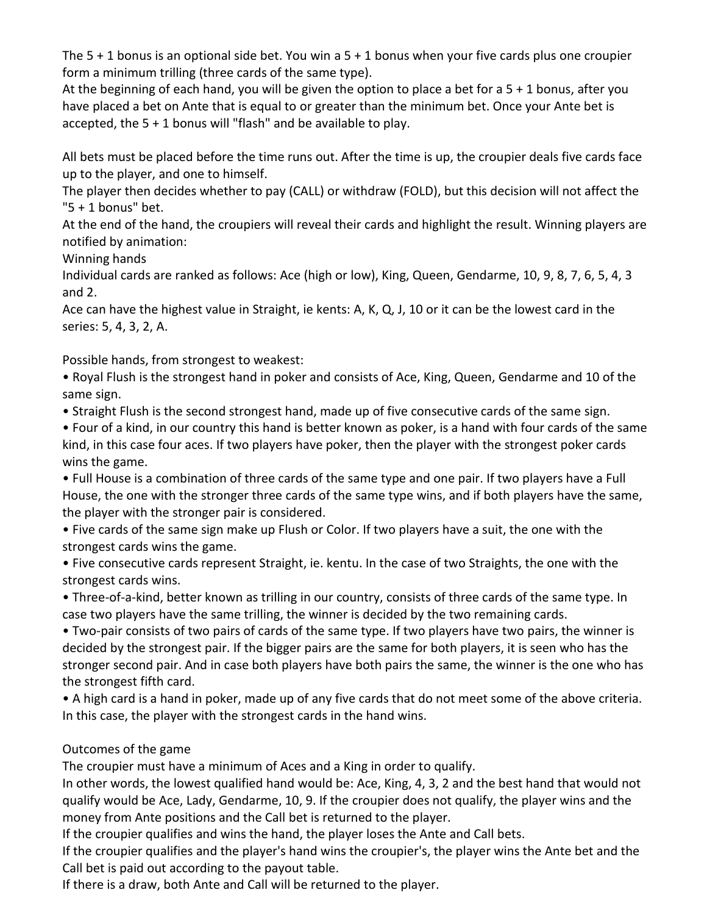The  $5 + 1$  bonus is an optional side bet. You win a  $5 + 1$  bonus when your five cards plus one croupier form a minimum trilling (three cards of the same type).

At the beginning of each hand, you will be given the option to place a bet for a 5 + 1 bonus, after you have placed a bet on Ante that is equal to or greater than the minimum bet. Once your Ante bet is accepted, the 5 + 1 bonus will "flash" and be available to play.

All bets must be placed before the time runs out. After the time is up, the croupier deals five cards face up to the player, and one to himself.

The player then decides whether to pay (CALL) or withdraw (FOLD), but this decision will not affect the "5 + 1 bonus" bet.

At the end of the hand, the croupiers will reveal their cards and highlight the result. Winning players are notified by animation:

Winning hands

Individual cards are ranked as follows: Ace (high or low), King, Queen, Gendarme, 10, 9, 8, 7, 6, 5, 4, 3 and 2.

Ace can have the highest value in Straight, ie kents: A, K, Q, J, 10 or it can be the lowest card in the series: 5, 4, 3, 2, A.

Possible hands, from strongest to weakest:

• Royal Flush is the strongest hand in poker and consists of Ace, King, Queen, Gendarme and 10 of the same sign.

• Straight Flush is the second strongest hand, made up of five consecutive cards of the same sign.

• Four of a kind, in our country this hand is better known as poker, is a hand with four cards of the same kind, in this case four aces. If two players have poker, then the player with the strongest poker cards wins the game.

• Full House is a combination of three cards of the same type and one pair. If two players have a Full House, the one with the stronger three cards of the same type wins, and if both players have the same, the player with the stronger pair is considered.

• Five cards of the same sign make up Flush or Color. If two players have a suit, the one with the strongest cards wins the game.

• Five consecutive cards represent Straight, ie. kentu. In the case of two Straights, the one with the strongest cards wins.

• Three-of-a-kind, better known as trilling in our country, consists of three cards of the same type. In case two players have the same trilling, the winner is decided by the two remaining cards.

• Two-pair consists of two pairs of cards of the same type. If two players have two pairs, the winner is decided by the strongest pair. If the bigger pairs are the same for both players, it is seen who has the stronger second pair. And in case both players have both pairs the same, the winner is the one who has the strongest fifth card.

• A high card is a hand in poker, made up of any five cards that do not meet some of the above criteria. In this case, the player with the strongest cards in the hand wins.

# Outcomes of the game

The croupier must have a minimum of Aces and a King in order to qualify.

In other words, the lowest qualified hand would be: Ace, King, 4, 3, 2 and the best hand that would not qualify would be Ace, Lady, Gendarme, 10, 9. If the croupier does not qualify, the player wins and the money from Ante positions and the Call bet is returned to the player.

If the croupier qualifies and wins the hand, the player loses the Ante and Call bets.

If the croupier qualifies and the player's hand wins the croupier's, the player wins the Ante bet and the Call bet is paid out according to the payout table.

If there is a draw, both Ante and Call will be returned to the player.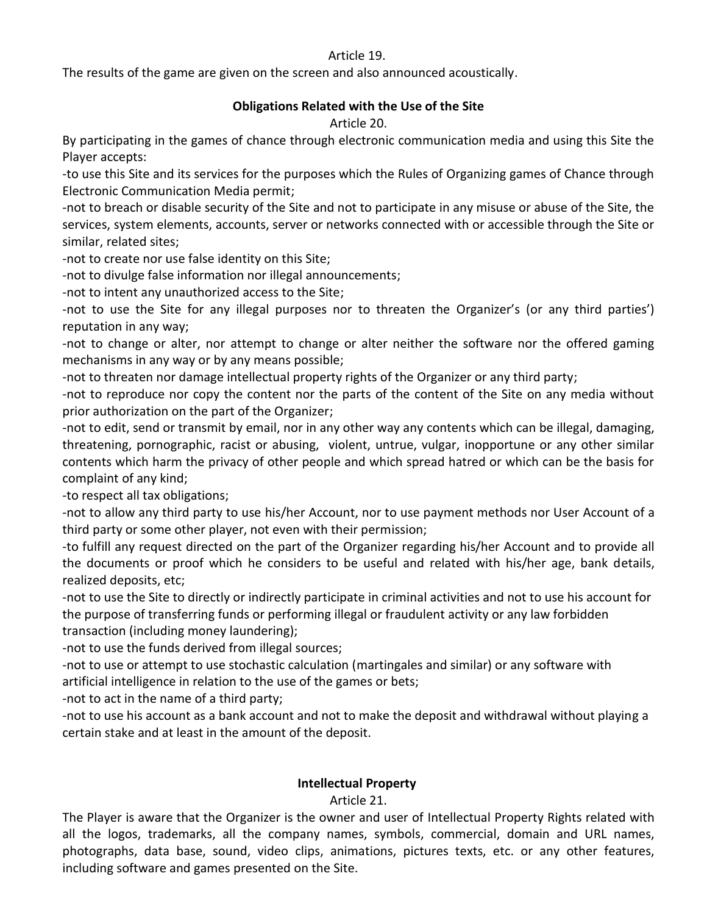#### Article 19.

The results of the game are given on the screen and also announced acoustically.

#### **Obligations Related with the Use of the Site**

Article 20.

By participating in the games of chance through electronic communication media and using this Site the Player accepts:

-to use this Site and its services for the purposes which the Rules of Organizing games of Chance through Electronic Communication Media permit;

-not to breach or disable security of the Site and not to participate in any misuse or abuse of the Site, the services, system elements, accounts, server or networks connected with or accessible through the Site or similar, related sites;

-not to create nor use false identity on this Site;

-not to divulge false information nor illegal announcements;

-not to intent any unauthorized access to the Site;

-not to use the Site for any illegal purposes nor to threaten the Organizer's (or any third parties') reputation in any way;

-not to change or alter, nor attempt to change or alter neither the software nor the offered gaming mechanisms in any way or by any means possible;

-not to threaten nor damage intellectual property rights of the Organizer or any third party;

-not to reproduce nor copy the content nor the parts of the content of the Site on any media without prior authorization on the part of the Organizer;

-not to edit, send or transmit by email, nor in any other way any contents which can be illegal, damaging, threatening, pornographic, racist or abusing, violent, untrue, vulgar, inopportune or any other similar contents which harm the privacy of other people and which spread hatred or which can be the basis for complaint of any kind;

-to respect all tax obligations;

-not to allow any third party to use his/her Account, nor to use payment methods nor User Account of a third party or some other player, not even with their permission;

-to fulfill any request directed on the part of the Organizer regarding his/her Account and to provide all the documents or proof which he considers to be useful and related with his/her age, bank details, realized deposits, etc;

-not to use the Site to directly or indirectly participate in criminal activities and not to use his account for the purpose of transferring funds or performing illegal or fraudulent activity or any law forbidden transaction (including money laundering);

-not to use the funds derived from illegal sources;

-not to use or attempt to use stochastic calculation (martingales and similar) or any software with artificial intelligence in relation to the use of the games or bets;

-not to act in the name of a third party;

-not to use his account as a bank account and not to make the deposit and withdrawal without playing a certain stake and at least in the amount of the deposit.

#### **Intellectual Property**

Article 21.

The Player is aware that the Organizer is the owner and user of Intellectual Property Rights related with all the logos, trademarks, all the company names, symbols, commercial, domain and URL names, photographs, data base, sound, video clips, animations, pictures texts, etc. or any other features, including software and games presented on the Site.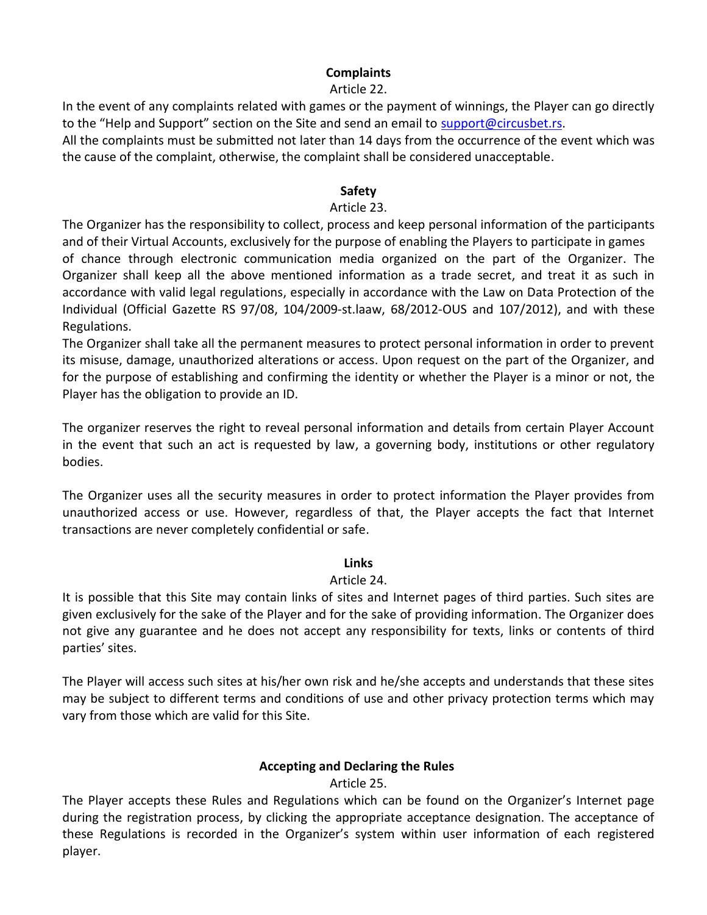## **Complaints**

#### Article 22.

In the event of any complaints related with games or the payment of winnings, the Player can go directly to the "Help and Support" section on the Site and send an email to [support@circusbet.rs.](mailto:support@circuscasino.rs)

All the complaints must be submitted not later than 14 days from the occurrence of the event which was the cause of the complaint, otherwise, the complaint shall be considered unacceptable.

#### **Safety**

#### Article 23.

The Organizer has the responsibility to collect, process and keep personal information of the participants and of their Virtual Accounts, exclusively for the purpose of enabling the Players to participate in games of chance through electronic communication media organized on the part of the Organizer. The Organizer shall keep all the above mentioned information as a trade secret, and treat it as such in accordance with valid legal regulations, especially in accordance with the Law on Data Protection of the Individual (Official Gazette RS 97/08, [104/2009-](javascript:void(0);)st.laaw, [68/2012-](javascript:void(0);)OUS and 107/2012), and with these Regulations.

The Organizer shall take all the permanent measures to protect personal information in order to prevent its misuse, damage, unauthorized alterations or access. Upon request on the part of the Organizer, and for the purpose of establishing and confirming the identity or whether the Player is a minor or not, the Player has the obligation to provide an ID.

The organizer reserves the right to reveal personal information and details from certain Player Account in the event that such an act is requested by law, a governing body, institutions or other regulatory bodies.

The Organizer uses all the security measures in order to protect information the Player provides from unauthorized access or use. However, regardless of that, the Player accepts the fact that Internet transactions are never completely confidential or safe.

### **Links**

### Article 24.

It is possible that this Site may contain links of sites and Internet pages of third parties. Such sites are given exclusively for the sake of the Player and for the sake of providing information. The Organizer does not give any guarantee and he does not accept any responsibility for texts, links or contents of third parties' sites.

The Player will access such sites at his/her own risk and he/she accepts and understands that these sites may be subject to different terms and conditions of use and other privacy protection terms which may vary from those which are valid for this Site.

### **Accepting and Declaring the Rules**

### Article 25.

The Player accepts these Rules and Regulations which can be found on the Organizer's Internet page during the registration process, by clicking the appropriate acceptance designation. The acceptance of these Regulations is recorded in the Organizer's system within user information of each registered player.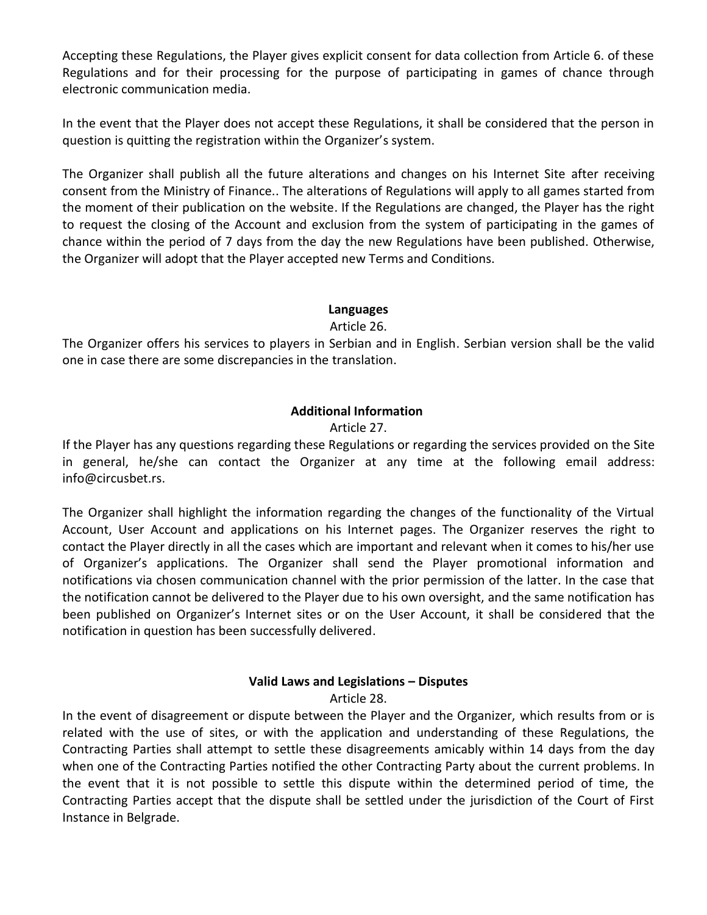Accepting these Regulations, the Player gives explicit consent for data collection from Article 6. of these Regulations and for their processing for the purpose of participating in games of chance through electronic communication media.

In the event that the Player does not accept these Regulations, it shall be considered that the person in question is quitting the registration within the Organizer's system.

The Organizer shall publish all the future alterations and changes on his Internet Site after receiving consent from the Ministry of Finance.. The alterations of Regulations will apply to all games started from the moment of their publication on the website. If the Regulations are changed, the Player has the right to request the closing of the Account and exclusion from the system of participating in the games of chance within the period of 7 days from the day the new Regulations have been published. Otherwise, the Organizer will adopt that the Player accepted new Terms and Conditions.

## **Languages**

Article 26.

The Organizer offers his services to players in Serbian and in English. Serbian version shall be the valid one in case there are some discrepancies in the translation.

# **Additional Information**

## Article 27.

If the Player has any questions regarding these Regulations or regarding the services provided on the Site in general, he/she can contact the Organizer at any time at the following email address: info@circusbet.rs.

The Organizer shall highlight the information regarding the changes of the functionality of the Virtual Account, User Account and applications on his Internet pages. The Organizer reserves the right to contact the Player directly in all the cases which are important and relevant when it comes to his/her use of Organizer's applications. The Organizer shall send the Player promotional information and notifications via chosen communication channel with the prior permission of the latter. In the case that the notification cannot be delivered to the Player due to his own oversight, and the same notification has been published on Organizer's Internet sites or on the User Account, it shall be considered that the notification in question has been successfully delivered.

# **Valid Laws and Legislations – Disputes**

Article 28.

In the event of disagreement or dispute between the Player and the Organizer, which results from or is related with the use of sites, or with the application and understanding of these Regulations, the Contracting Parties shall attempt to settle these disagreements amicably within 14 days from the day when one of the Contracting Parties notified the other Contracting Party about the current problems. In the event that it is not possible to settle this dispute within the determined period of time, the Contracting Parties accept that the dispute shall be settled under the jurisdiction of the Court of First Instance in Belgrade.